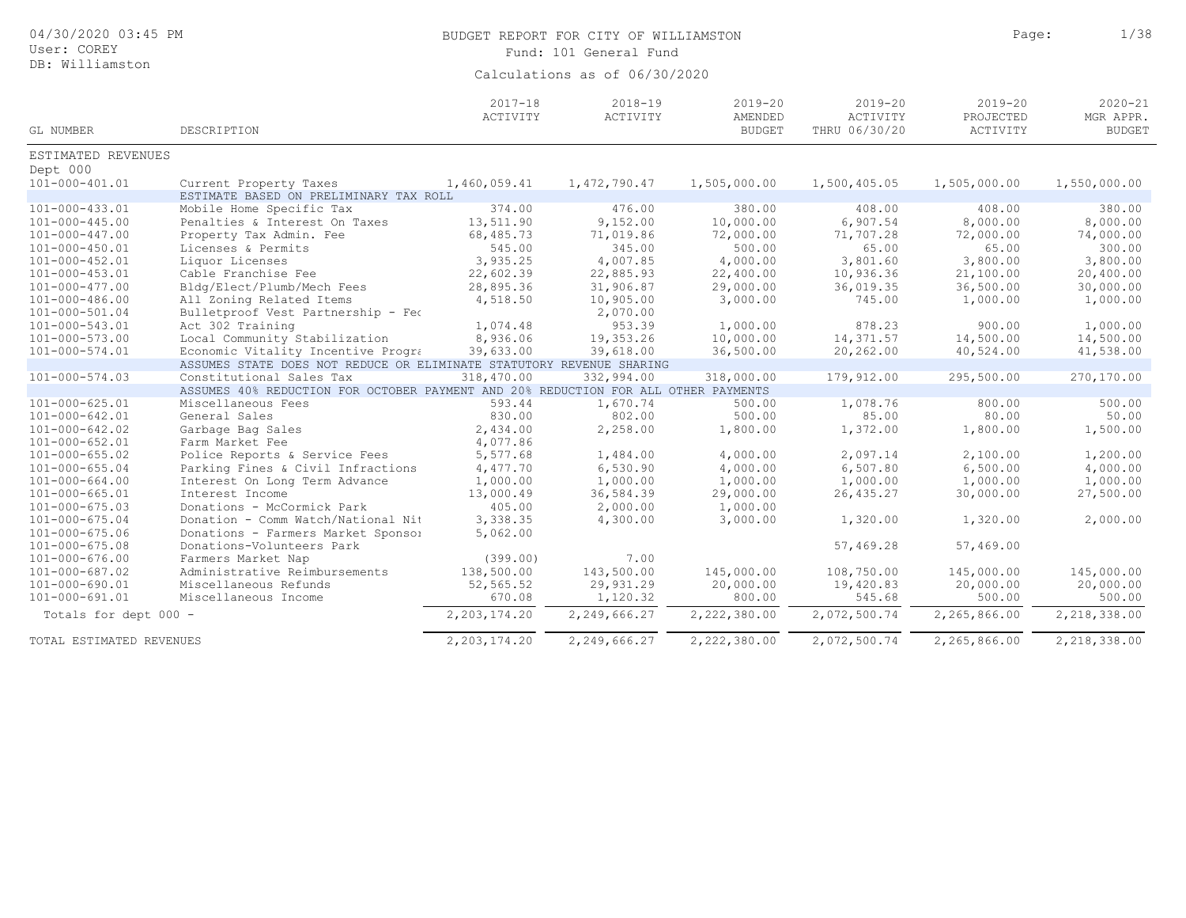| 04/30/2020 03:45 PM<br>User: COREY<br>DB: Williamston |                                                                                    |                         | BUDGET REPORT FOR CITY OF WILLIAMSTON<br>Fund: 101 General Fund<br>Calculations as of 06/30/2020 | Page:                                   | 1/38                                     |                                      |                                           |
|-------------------------------------------------------|------------------------------------------------------------------------------------|-------------------------|--------------------------------------------------------------------------------------------------|-----------------------------------------|------------------------------------------|--------------------------------------|-------------------------------------------|
| GL NUMBER                                             | DESCRIPTION                                                                        | $2017 - 18$<br>ACTIVITY | $2018 - 19$<br>ACTIVITY                                                                          | $2019 - 20$<br>AMENDED<br><b>BUDGET</b> | $2019 - 20$<br>ACTIVITY<br>THRU 06/30/20 | $2019 - 20$<br>PROJECTED<br>ACTIVITY | $2020 - 21$<br>MGR APPR.<br><b>BUDGET</b> |
| ESTIMATED REVENUES                                    |                                                                                    |                         |                                                                                                  |                                         |                                          |                                      |                                           |
| Dept 000                                              |                                                                                    |                         |                                                                                                  |                                         |                                          |                                      |                                           |
| $101 - 000 - 401.01$                                  | Current Property Taxes                                                             | 1,460,059.41            | 1, 472, 790.47                                                                                   | 1,505,000.00                            | 1,500,405.05                             | 1,505,000.00                         | 1,550,000.00                              |
|                                                       | ESTIMATE BASED ON PRELIMINARY TAX ROLL                                             |                         |                                                                                                  |                                         |                                          |                                      |                                           |
| 101-000-433.01                                        | Mobile Home Specific Tax                                                           | 374.00                  | 476.00                                                                                           | 380.00                                  | 408.00                                   | 408.00                               | 380.00                                    |
| $101 - 000 - 445.00$                                  | Penalties & Interest On Taxes                                                      | 13,511.90               | 9,152.00                                                                                         | 10,000.00                               | 6,907.54                                 | 8,000.00                             | 8,000.00                                  |
| $101 - 000 - 447.00$                                  | Property Tax Admin. Fee                                                            | 68,485.73               | 71,019.86                                                                                        | 72,000.00                               | 71,707.28                                | 72,000.00                            | 74,000.00                                 |
| 101-000-450.01                                        | Licenses & Permits                                                                 | 545.00                  | 345.00                                                                                           | 500.00                                  | 65.00                                    | 65.00                                | 300.00                                    |
| 101-000-452.01                                        | Liquor Licenses                                                                    | 3,935.25                | 4,007.85                                                                                         | 4,000.00                                | 3,801.60                                 | 3,800.00                             | 3,800.00                                  |
| 101-000-453.01                                        | Cable Franchise Fee                                                                | 22,602.39               | 22,885.93                                                                                        | 22,400.00                               | 10,936.36                                | 21,100.00                            | 20,400.00                                 |
| $101 - 000 - 477.00$                                  | Bldg/Elect/Plumb/Mech Fees                                                         | 28,895.36               | 31,906.87                                                                                        | 29,000.00                               | 36,019.35                                | 36,500.00                            | 30,000.00                                 |
| $101 - 000 - 486.00$                                  | All Zoning Related Items                                                           | 4,518.50                | 10,905.00                                                                                        | 3,000.00                                | 745.00                                   | 1,000.00                             | 1,000.00                                  |
| 101-000-501.04                                        | Bulletproof Vest Partnership - Feo                                                 |                         | 2,070.00                                                                                         |                                         |                                          |                                      |                                           |
| 101-000-543.01                                        | Act 302 Training                                                                   | 1,074.48                | 953.39                                                                                           | 1,000.00                                | 878.23                                   | 900.00                               | 1,000.00                                  |
| $101 - 000 - 573.00$                                  | Local Community Stabilization                                                      | 8,936.06                | 19,353.26                                                                                        | 10,000.00                               | 14,371.57                                | 14,500.00                            | 14,500.00                                 |
| 101-000-574.01                                        | Economic Vitality Incentive Progra                                                 | 39,633.00               | 39,618.00                                                                                        | 36,500.00                               | 20,262.00                                | 40,524.00                            | 41,538.00                                 |
|                                                       | ASSUMES STATE DOES NOT REDUCE OR ELIMINATE STATUTORY REVENUE SHARING               |                         |                                                                                                  |                                         |                                          |                                      |                                           |
| $101 - 000 - 574.03$                                  | Constitutional Sales Tax                                                           | 318,470.00              | 332,994.00                                                                                       | 318,000.00                              | 179,912.00                               | 295,500.00                           | 270,170.00                                |
|                                                       | ASSUMES 40% REDUCTION FOR OCTOBER PAYMENT AND 20% REDUCTION FOR ALL OTHER PAYMENTS |                         |                                                                                                  |                                         |                                          |                                      |                                           |
| $101 - 000 - 625.01$                                  | Miscellaneous Fees                                                                 | 593.44                  | 1,670.74                                                                                         | 500.00                                  | 1,078.76                                 | 800.00                               | 500.00                                    |
| 101-000-642.01                                        | General Sales                                                                      | 830.00                  | 802.00                                                                                           | 500.00                                  | 85.00                                    | 80.00                                | 50.00                                     |
| $101 - 000 - 642.02$                                  | Garbage Bag Sales                                                                  | 2,434.00                | 2,258.00                                                                                         | 1,800.00                                | 1,372.00                                 | 1,800.00                             | 1,500.00                                  |
| 101-000-652.01                                        | Farm Market Fee                                                                    | 4,077.86                |                                                                                                  |                                         |                                          |                                      |                                           |
| $101 - 000 - 655.02$                                  | Police Reports & Service Fees                                                      | 5,577.68                | 1,484.00                                                                                         | 4,000.00                                | 2,097.14                                 | 2,100.00                             | 1,200.00                                  |
| $101 - 000 - 655.04$                                  | Parking Fines & Civil Infractions                                                  | 4,477.70                | 6,530.90                                                                                         | 4,000.00                                | 6, 507.80                                | 6,500.00                             | 4,000.00                                  |
| $101 - 000 - 664.00$                                  | Interest On Long Term Advance                                                      | 1,000.00                | 1,000.00                                                                                         | 1,000.00                                | 1,000.00                                 | 1,000.00                             | 1,000.00                                  |
| $101 - 000 - 665.01$                                  | Interest Income                                                                    | 13,000.49               | 36,584.39                                                                                        | 29,000.00                               | 26, 435.27                               | 30,000.00                            | 27,500.00                                 |
| $101 - 000 - 675.03$                                  | Donations - McCormick Park                                                         | 405.00                  | 2,000.00                                                                                         | 1,000.00                                |                                          |                                      |                                           |
| $101 - 000 - 675.04$                                  | Donation - Comm Watch/National Nit                                                 | 3,338.35                | 4,300.00                                                                                         | 3,000.00                                | 1,320.00                                 | 1,320.00                             | 2,000.00                                  |
| $101 - 000 - 675.06$                                  | Donations - Farmers Market Sponsol                                                 | 5,062.00                |                                                                                                  |                                         |                                          |                                      |                                           |
| $101 - 000 - 675.08$                                  | Donations-Volunteers Park                                                          |                         |                                                                                                  |                                         | 57,469.28                                | 57,469.00                            |                                           |
| $101 - 000 - 676.00$                                  | Farmers Market Nap                                                                 | (399.00)                | 7.00                                                                                             |                                         |                                          |                                      |                                           |
| $101 - 000 - 687.02$                                  | Administrative Reimbursements                                                      | 138,500.00              | 143,500.00                                                                                       | 145,000.00                              | 108,750.00                               | 145,000.00                           | 145,000.00                                |
| 101-000-690.01                                        | Miscellaneous Refunds                                                              | 52, 565.52              | 29,931.29                                                                                        | 20,000.00                               | 19,420.83                                | 20,000.00                            | 20,000.00                                 |
| $101 - 000 - 691.01$                                  | Miscellaneous Income                                                               | 670.08                  | 1,120.32                                                                                         | 800.00                                  | 545.68                                   | 500.00                               | 500.00                                    |
| Totals for dept 000 -                                 |                                                                                    | 2, 203, 174.20          | 2,249,666.27                                                                                     | 2,222,380.00                            | 2,072,500.74                             | 2,265,866.00                         | 2,218,338.00                              |
| TOTAL ESTIMATED REVENUES                              |                                                                                    | 2, 203, 174.20          | 2,249,666.27                                                                                     | 2,222,380.00                            | 2,072,500.74                             | 2,265,866.00                         | 2,218,338.00                              |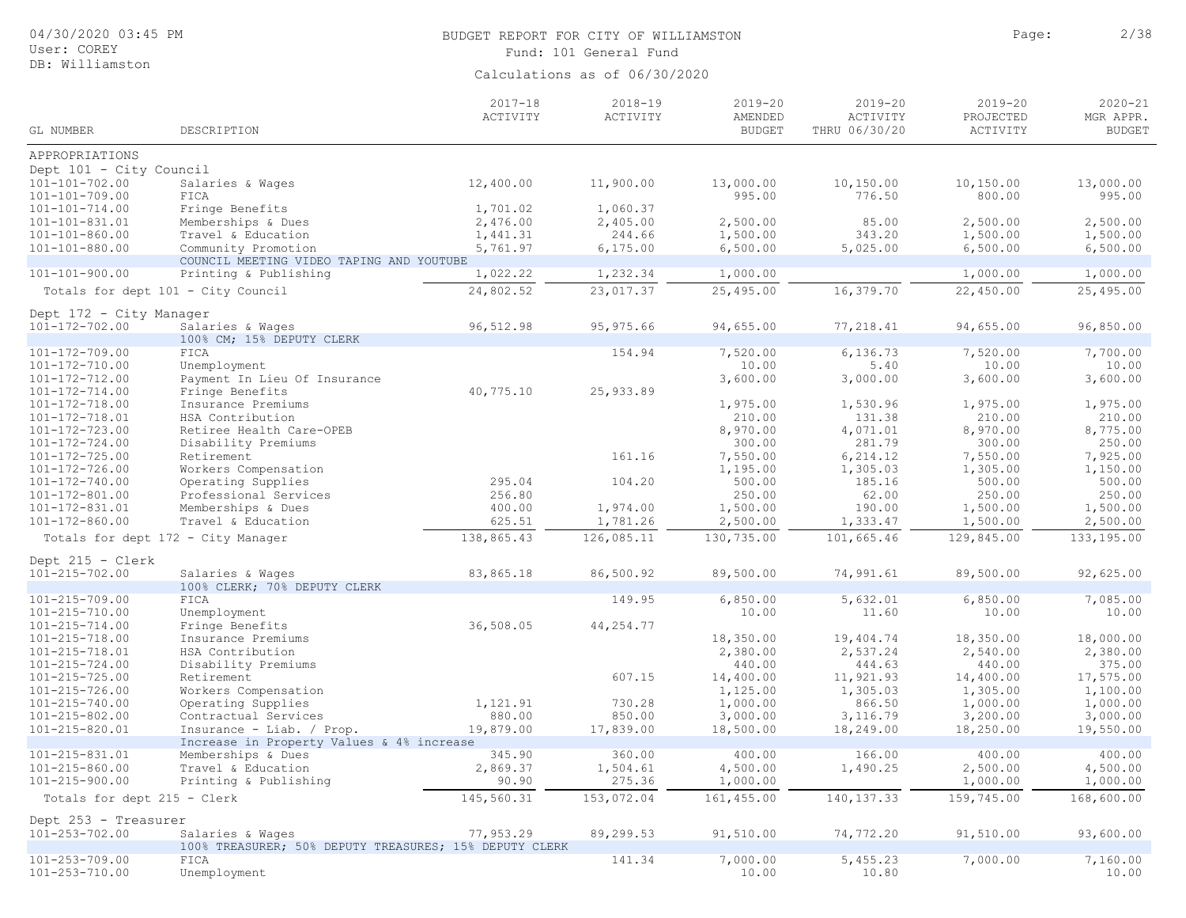DB: Williamston

# BUDGET REPORT FOR CITY OF WILLIAMSTON **Page:** 2/38

Fund: 101 General Fund

| GL NUMBER                                    | DESCRIPTION                                            | $2017 - 18$<br>ACTIVITY | $2018 - 19$<br>ACTIVITY | $2019 - 20$<br>AMENDED<br><b>BUDGET</b> | $2019 - 20$<br>ACTIVITY<br>THRU 06/30/20 | $2019 - 20$<br>PROJECTED<br>ACTIVITY | $2020 - 21$<br>MGR APPR.<br><b>BUDGET</b> |
|----------------------------------------------|--------------------------------------------------------|-------------------------|-------------------------|-----------------------------------------|------------------------------------------|--------------------------------------|-------------------------------------------|
|                                              |                                                        |                         |                         |                                         |                                          |                                      |                                           |
| APPROPRIATIONS                               |                                                        |                         |                         |                                         |                                          |                                      |                                           |
| Dept 101 - City Council                      |                                                        |                         |                         |                                         |                                          |                                      |                                           |
| 101-101-702.00                               | Salaries & Wages                                       | 12,400.00               | 11,900.00               | 13,000.00                               | 10,150.00                                | 10,150.00                            | 13,000.00                                 |
| $101 - 101 - 709.00$                         | FICA<br>Fringe Benefits                                |                         |                         | 995.00                                  | 776.50                                   | 800.00                               | 995.00                                    |
| $101 - 101 - 714.00$<br>$101 - 101 - 831.01$ | Memberships & Dues                                     | 1,701.02<br>2,476.00    | 1,060.37<br>2,405.00    | 2,500.00                                | 85.00                                    | 2,500.00                             | 2,500.00                                  |
| $101 - 101 - 860.00$                         | Travel & Education                                     | 1,441.31                | 244.66                  | 1,500.00                                | 343.20                                   | 1,500.00                             | 1,500.00                                  |
| $101 - 101 - 880.00$                         | Community Promotion                                    | 5,761.97                | 6, 175.00               | 6,500.00                                | 5,025.00                                 | 6,500.00                             | 6,500.00                                  |
|                                              | COUNCIL MEETING VIDEO TAPING AND YOUTUBE               |                         |                         |                                         |                                          |                                      |                                           |
| $101 - 101 - 900.00$                         | Printing & Publishing                                  | 1,022.22                | 1,232.34                | 1,000.00                                |                                          | 1,000.00                             | 1,000.00                                  |
|                                              | Totals for dept 101 - City Council                     | 24,802.52               | 23,017.37               | 25,495.00                               | 16,379.70                                | 22,450.00                            | 25,495.00                                 |
| Dept 172 - City Manager                      |                                                        |                         |                         |                                         |                                          |                                      |                                           |
| $101 - 172 - 702.00$                         | Salaries & Wages                                       | 96,512.98               | 95,975.66               | 94,655.00                               | 77,218.41                                | 94,655.00                            | 96,850.00                                 |
|                                              | 100% CM; 15% DEPUTY CLERK                              |                         |                         |                                         |                                          |                                      |                                           |
| 101-172-709.00                               | FICA                                                   |                         | 154.94                  | 7,520.00                                | 6,136.73                                 | 7,520.00                             | 7,700.00                                  |
| 101-172-710.00                               | Unemployment                                           |                         |                         | 10.00                                   | 5.40                                     | 10.00                                | 10.00                                     |
| 101-172-712.00                               | Payment In Lieu Of Insurance                           |                         |                         | 3,600.00                                | 3,000.00                                 | 3,600.00                             | 3,600.00                                  |
| $101 - 172 - 714.00$                         | Fringe Benefits                                        | 40,775.10               | 25,933.89               |                                         |                                          |                                      |                                           |
| $101 - 172 - 718.00$                         | Insurance Premiums                                     |                         |                         | 1,975.00                                | 1,530.96                                 | 1,975.00                             | 1,975.00                                  |
| 101-172-718.01                               | HSA Contribution                                       |                         |                         | 210.00                                  | 131.38                                   | 210.00                               | 210.00                                    |
| $101 - 172 - 723.00$                         | Retiree Health Care-OPEB                               |                         |                         | 8,970.00<br>300.00                      | 4,071.01<br>281.79                       | 8,970.00<br>300.00                   | 8,775.00<br>250.00                        |
| $101 - 172 - 724.00$<br>$101 - 172 - 725.00$ | Disability Premiums<br>Retirement                      |                         | 161.16                  | 7,550.00                                | 6, 214.12                                | 7,550.00                             | 7,925.00                                  |
| 101-172-726.00                               | Workers Compensation                                   |                         |                         | 1,195.00                                | 1,305.03                                 | 1,305.00                             | 1,150.00                                  |
| 101-172-740.00                               | Operating Supplies                                     | 295.04                  | 104.20                  | 500.00                                  | 185.16                                   | 500.00                               | 500.00                                    |
| $101 - 172 - 801.00$                         | Professional Services                                  | 256.80                  |                         | 250.00                                  | 62.00                                    | 250.00                               | 250.00                                    |
| 101-172-831.01                               | Memberships & Dues                                     | 400.00                  | 1,974.00                | 1,500.00                                | 190.00                                   | 1,500.00                             | 1,500.00                                  |
| $101 - 172 - 860.00$                         | Travel & Education                                     | 625.51                  | 1,781.26                | 2,500.00                                | 1,333.47                                 | 1,500.00                             | 2,500.00                                  |
|                                              | Totals for dept 172 - City Manager                     | 138,865.43              | 126,085.11              | 130,735.00                              | 101,665.46                               | 129,845.00                           | 133, 195.00                               |
| Dept 215 - Clerk                             |                                                        |                         |                         |                                         |                                          |                                      |                                           |
| $101 - 215 - 702.00$                         | Salaries & Wages                                       | 83,865.18               | 86,500.92               | 89,500.00                               | 74,991.61                                | 89,500.00                            | 92,625.00                                 |
|                                              | 100% CLERK; 70% DEPUTY CLERK                           |                         |                         |                                         |                                          |                                      |                                           |
| $101 - 215 - 709.00$                         | FICA                                                   |                         | 149.95                  | 6,850.00                                | 5,632.01                                 | 6,850.00                             | 7,085.00                                  |
| 101-215-710.00                               | Unemployment                                           |                         |                         | 10.00                                   | 11.60                                    | 10.00                                | 10.00                                     |
| $101 - 215 - 714.00$                         | Fringe Benefits                                        | 36,508.05               | 44,254.77               |                                         |                                          |                                      |                                           |
| $101 - 215 - 718.00$                         | Insurance Premiums                                     |                         |                         | 18,350.00                               | 19,404.74                                | 18,350.00                            | 18,000.00                                 |
| 101-215-718.01                               | HSA Contribution                                       |                         |                         | 2,380.00<br>440.00                      | 2,537.24<br>444.63                       | 2,540.00<br>440.00                   | 2,380.00<br>375.00                        |
| $101 - 215 - 724.00$<br>$101 - 215 - 725.00$ | Disability Premiums<br>Retirement                      |                         | 607.15                  | 14,400.00                               | 11,921.93                                | 14,400.00                            | 17,575.00                                 |
| $101 - 215 - 726.00$                         | Workers Compensation                                   |                         |                         | 1,125.00                                | 1,305.03                                 | 1,305.00                             | 1,100.00                                  |
| $101 - 215 - 740.00$                         | Operating Supplies                                     | 1,121.91                | 730.28                  | 1,000.00                                | 866.50                                   | 1,000.00                             | 1,000.00                                  |
| $101 - 215 - 802.00$                         | Contractual Services                                   | 880.00                  | 850.00                  | 3,000.00                                | 3, 116.79                                | 3,200.00                             | 3,000.00                                  |
| 101-215-820.01                               | Insurance - Liab. / Prop.                              | 19,879.00               | 17,839.00               | 18,500.00                               | 18,249.00                                | 18,250.00                            | 19,550.00                                 |
|                                              | Increase in Property Values & 4% increase              |                         |                         |                                         |                                          |                                      |                                           |
| 101-215-831.01                               | Memberships & Dues                                     | 345.90                  | 360.00                  | 400.00                                  | 166.00                                   | 400.00                               | 400.00                                    |
| $101 - 215 - 860.00$                         | Travel & Education                                     | 2,869.37                | 1,504.61                | 4,500.00                                | 1,490.25                                 | 2,500.00                             | 4,500.00                                  |
| $101 - 215 - 900.00$                         | Printing & Publishing                                  | 90.90                   | 275.36                  | 1,000.00                                |                                          | 1,000.00                             | 1,000.00                                  |
| Totals for dept 215 - Clerk                  |                                                        | 145,560.31              | 153,072.04              | 161,455.00                              | 140, 137.33                              | 159,745.00                           | 168,600.00                                |
| Dept 253 - Treasurer                         |                                                        |                         |                         |                                         |                                          |                                      |                                           |
| $101 - 253 - 702.00$                         | Salaries & Wages                                       | 77,953.29               | 89,299.53               | 91,510.00                               | 74,772.20                                | 91,510.00                            | 93,600.00                                 |
|                                              | 100% TREASURER; 50% DEPUTY TREASURES; 15% DEPUTY CLERK |                         |                         |                                         |                                          |                                      |                                           |
| $101 - 253 - 709.00$<br>101-253-710.00       | FICA<br>Unemployment                                   |                         | 141.34                  | 7,000.00<br>10.00                       | 5,455.23<br>10.80                        | 7,000.00                             | 7,160.00<br>10.00                         |
|                                              |                                                        |                         |                         |                                         |                                          |                                      |                                           |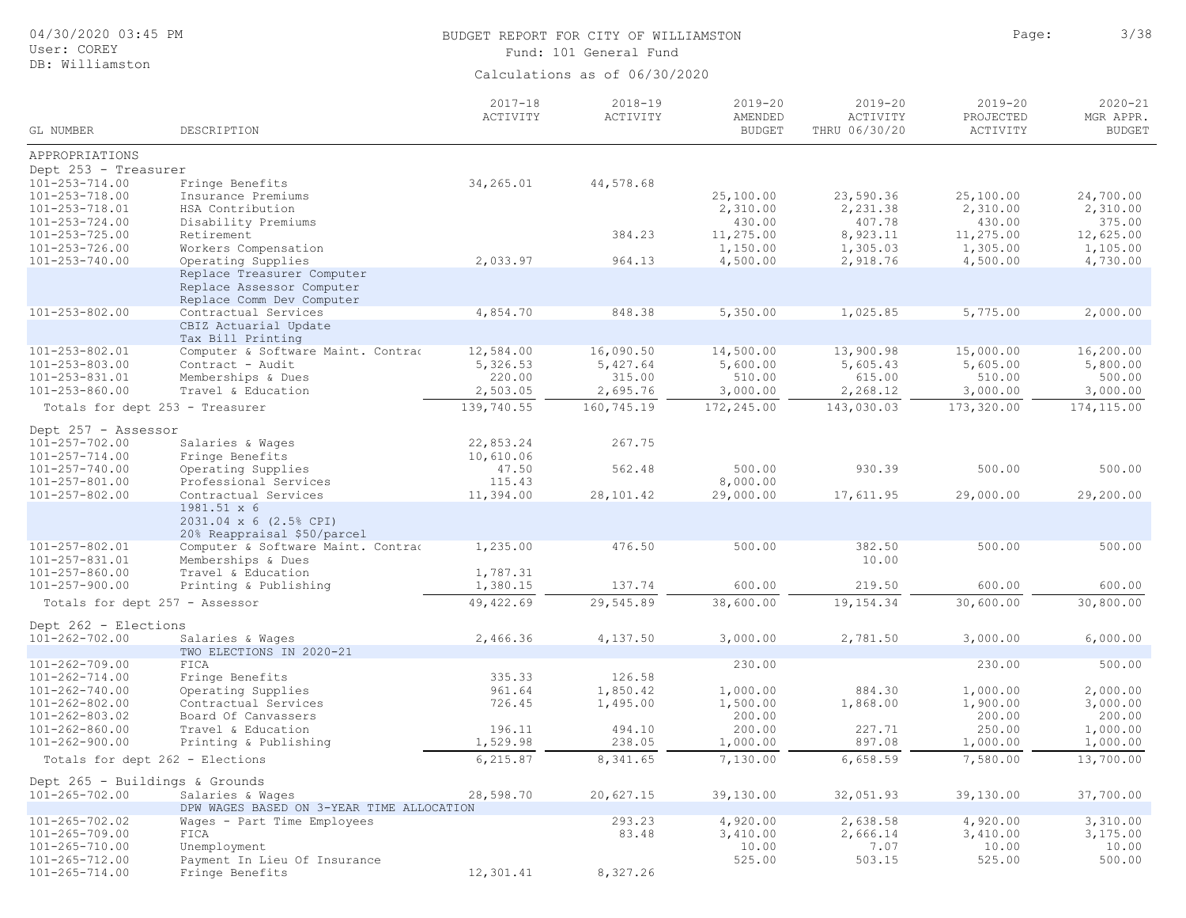| 04/30/2020 03:45 PM<br>User: COREY           |                                                                                      |                         | BUDGET REPORT FOR CITY OF WILLIAMSTON<br>Fund: 101 General Fund | Page:                                   | 3/38                                     |                                      |                                           |
|----------------------------------------------|--------------------------------------------------------------------------------------|-------------------------|-----------------------------------------------------------------|-----------------------------------------|------------------------------------------|--------------------------------------|-------------------------------------------|
| DB: Williamston                              |                                                                                      |                         | Calculations as of 06/30/2020                                   |                                         |                                          |                                      |                                           |
| GL NUMBER                                    | DESCRIPTION                                                                          | $2017 - 18$<br>ACTIVITY | $2018 - 19$<br>ACTIVITY                                         | $2019 - 20$<br>AMENDED<br><b>BUDGET</b> | $2019 - 20$<br>ACTIVITY<br>THRU 06/30/20 | $2019 - 20$<br>PROJECTED<br>ACTIVITY | $2020 - 21$<br>MGR APPR.<br><b>BUDGET</b> |
| APPROPRIATIONS                               |                                                                                      |                         |                                                                 |                                         |                                          |                                      |                                           |
| Dept 253 - Treasurer                         |                                                                                      |                         |                                                                 |                                         |                                          |                                      |                                           |
| $101 - 253 - 714.00$                         | Fringe Benefits                                                                      | 34,265.01               | 44,578.68                                                       |                                         |                                          |                                      |                                           |
| $101 - 253 - 718.00$<br>$101 - 253 - 718.01$ | Insurance Premiums                                                                   |                         |                                                                 | 25,100.00<br>2,310.00                   | 23,590.36                                | 25,100.00<br>2,310.00                | 24,700.00<br>2,310.00                     |
| $101 - 253 - 724.00$                         | HSA Contribution<br>Disability Premiums                                              |                         |                                                                 | 430.00                                  | 2,231.38<br>407.78                       | 430.00                               | 375.00                                    |
| $101 - 253 - 725.00$                         | Retirement                                                                           |                         | 384.23                                                          | 11,275.00                               | 8,923.11                                 | 11,275.00                            | 12,625.00                                 |
| $101 - 253 - 726.00$                         | Workers Compensation                                                                 |                         |                                                                 | 1,150.00                                | 1,305.03                                 | 1,305.00                             | 1,105.00                                  |
| $101 - 253 - 740.00$                         | Operating Supplies                                                                   | 2,033.97                | 964.13                                                          | 4,500.00                                | 2,918.76                                 | 4,500.00                             | 4,730.00                                  |
|                                              | Replace Treasurer Computer<br>Replace Assessor Computer<br>Replace Comm Dev Computer |                         |                                                                 |                                         |                                          |                                      |                                           |
| $101 - 253 - 802.00$                         | Contractual Services                                                                 | 4,854.70                | 848.38                                                          | 5,350.00                                | 1,025.85                                 | 5,775.00                             | 2,000.00                                  |
|                                              | CBIZ Actuarial Update                                                                |                         |                                                                 |                                         |                                          |                                      |                                           |
| $101 - 253 - 802.01$                         | Tax Bill Printing<br>Computer & Software Maint. Contrad                              | 12,584.00               | 16,090.50                                                       | 14,500.00                               | 13,900.98                                | 15,000.00                            | 16,200.00                                 |
| $101 - 253 - 803.00$                         | Contract - Audit                                                                     | 5,326.53                | 5,427.64                                                        | 5,600.00                                | 5,605.43                                 | 5,605.00                             | 5,800.00                                  |
| $101 - 253 - 831.01$                         | Memberships & Dues                                                                   | 220.00                  | 315.00                                                          | 510.00                                  | 615.00                                   | 510.00                               | 500.00                                    |
| $101 - 253 - 860.00$                         | Travel & Education                                                                   | 2,503.05                | 2,695.76                                                        | 3,000.00                                | 2,268.12                                 | 3,000.00                             | 3,000.00                                  |
| Totals for dept 253 - Treasurer              |                                                                                      | 139,740.55              | 160,745.19                                                      | 172,245.00                              | 143,030.03                               | 173,320.00                           | 174,115.00                                |
| Dept 257 - Assessor                          |                                                                                      |                         |                                                                 |                                         |                                          |                                      |                                           |
| $101 - 257 - 702.00$                         | Salaries & Wages                                                                     | 22,853.24               | 267.75                                                          |                                         |                                          |                                      |                                           |
| $101 - 257 - 714.00$                         | Fringe Benefits                                                                      | 10,610.06               |                                                                 |                                         |                                          |                                      |                                           |
| $101 - 257 - 740.00$                         | Operating Supplies                                                                   | 47.50                   | 562.48                                                          | 500.00                                  | 930.39                                   | 500.00                               | 500.00                                    |
| $101 - 257 - 801.00$<br>$101 - 257 - 802.00$ | Professional Services<br>Contractual Services                                        | 115.43<br>11,394.00     | 28,101.42                                                       | 8,000.00<br>29,000.00                   | 17,611.95                                | 29,000.00                            | 29,200.00                                 |
|                                              | 1981.51 x 6<br>2031.04 x 6 (2.5% CPI)<br>20% Reappraisal \$50/parcel                 |                         |                                                                 |                                         |                                          |                                      |                                           |
| $101 - 257 - 802.01$                         | Computer & Software Maint. Contrad                                                   | 1,235.00                | 476.50                                                          | 500.00                                  | 382.50                                   | 500.00                               | 500.00                                    |
| 101-257-831.01                               | Memberships & Dues                                                                   |                         |                                                                 |                                         | 10.00                                    |                                      |                                           |
| $101 - 257 - 860.00$<br>$101 - 257 - 900.00$ | Travel & Education                                                                   | 1,787.31<br>1,380.15    | 137.74                                                          | 600.00                                  | 219.50                                   | 600.00                               | 600.00                                    |
|                                              | Printing & Publishing                                                                |                         |                                                                 |                                         |                                          |                                      |                                           |
| Totals for dept 257 - Assessor               |                                                                                      | 49, 422.69              | 29,545.89                                                       | 38,600.00                               | 19, 154.34                               | 30,600.00                            | 30,800.00                                 |
| Dept 262 - Elections<br>$101 - 262 - 702.00$ | Salaries & Wages                                                                     | 2,466.36                | 4,137.50                                                        | 3,000.00                                | 2,781.50                                 | 3,000.00                             | 6,000.00                                  |
|                                              | TWO ELECTIONS IN 2020-21                                                             |                         |                                                                 |                                         |                                          |                                      |                                           |
| $101 - 262 - 709.00$                         | FICA                                                                                 |                         |                                                                 | 230.00                                  |                                          | 230.00                               | 500.00                                    |
| $101 - 262 - 714.00$                         | Fringe Benefits                                                                      | 335.33                  | 126.58                                                          |                                         |                                          |                                      |                                           |
| $101 - 262 - 740.00$<br>$101 - 262 - 802.00$ | Operating Supplies<br>Contractual Services                                           | 961.64<br>726.45        | 1,850.42<br>1,495.00                                            | 1,000.00<br>1,500.00                    | 884.30<br>1,868.00                       | 1,000.00<br>1,900.00                 | 2,000.00<br>3,000.00                      |
| $101 - 262 - 803.02$                         | Board Of Canvassers                                                                  |                         |                                                                 | 200.00                                  |                                          | 200.00                               | 200.00                                    |
| $101 - 262 - 860.00$                         | Travel & Education                                                                   | 196.11                  | 494.10                                                          | 200.00                                  | 227.71                                   | 250.00                               | 1,000.00                                  |
| $101 - 262 - 900.00$                         | Printing & Publishing                                                                | 1,529.98                | 238.05                                                          | 1,000.00                                | 897.08                                   | 1,000.00                             | 1,000.00                                  |
| Totals for dept 262 - Elections              |                                                                                      | 6, 215.87               | 8,341.65                                                        | 7,130.00                                | 6,658.59                                 | 7,580.00                             | 13,700.00                                 |
| Dept 265 - Buildings & Grounds               |                                                                                      |                         |                                                                 |                                         |                                          |                                      |                                           |
| $101 - 265 - 702.00$                         | Salaries & Wages                                                                     | 28,598.70               | 20,627.15                                                       | 39,130.00                               | 32,051.93                                | 39,130.00                            | 37,700.00                                 |
|                                              | DPW WAGES BASED ON 3-YEAR TIME ALLOCATION                                            |                         |                                                                 |                                         |                                          |                                      |                                           |
| $101 - 265 - 702.02$<br>$101 - 265 - 709.00$ | Wages - Part Time Employees<br>FICA                                                  |                         | 293.23<br>83.48                                                 | 4,920.00<br>3,410.00                    | 2,638.58<br>2,666.14                     | 4,920.00<br>3,410.00                 | 3,310.00<br>3,175.00                      |
| $101 - 265 - 710.00$                         | Unemployment                                                                         |                         |                                                                 | 10.00                                   | 7.07                                     | 10.00                                | 10.00                                     |
| $101 - 265 - 712.00$                         | Payment In Lieu Of Insurance                                                         |                         |                                                                 | 525.00                                  | 503.15                                   | 525.00                               | 500.00                                    |
| 101-265-714.00                               | Fringe Benefits                                                                      | 12,301.41               | 8,327.26                                                        |                                         |                                          |                                      |                                           |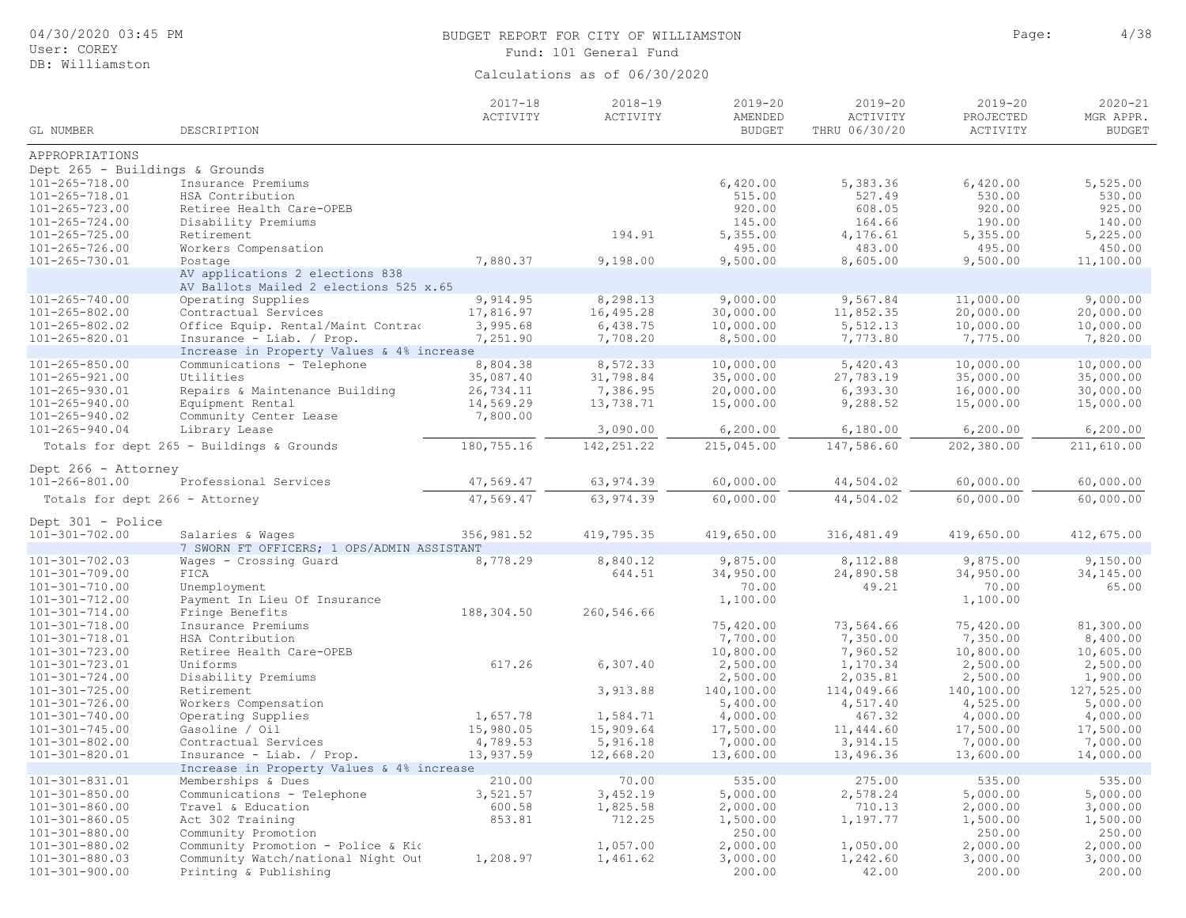| User: COREY                                                                                                                                              |                                                                                                                                                                                                                                            | Fund: 101 General Fund                                      |                                                                 |                                                                              |                                                                  |                                                                              |                                                                              |  |  |  |
|----------------------------------------------------------------------------------------------------------------------------------------------------------|--------------------------------------------------------------------------------------------------------------------------------------------------------------------------------------------------------------------------------------------|-------------------------------------------------------------|-----------------------------------------------------------------|------------------------------------------------------------------------------|------------------------------------------------------------------|------------------------------------------------------------------------------|------------------------------------------------------------------------------|--|--|--|
| DB: Williamston                                                                                                                                          |                                                                                                                                                                                                                                            |                                                             | Calculations as of 06/30/2020                                   |                                                                              |                                                                  |                                                                              |                                                                              |  |  |  |
| GL NUMBER                                                                                                                                                | DESCRIPTION                                                                                                                                                                                                                                | $2017 - 18$<br>ACTIVITY                                     | $2018 - 19$<br>ACTIVITY                                         | $2019 - 20$<br>AMENDED<br><b>BUDGET</b>                                      | $2019 - 20$<br>ACTIVITY<br>THRU 06/30/20                         | $2019 - 20$<br>PROJECTED<br>ACTIVITY                                         | $2020 - 21$<br>MGR APPR.<br><b>BUDGET</b>                                    |  |  |  |
| APPROPRIATIONS                                                                                                                                           |                                                                                                                                                                                                                                            |                                                             |                                                                 |                                                                              |                                                                  |                                                                              |                                                                              |  |  |  |
| Dept $265$ - Buildings & Grounds<br>$101 - 265 - 718.00$<br>101-265-718.01<br>$101 - 265 - 723.00$<br>$101 - 265 - 724.00$<br>$101 - 265 - 725.00$       | Insurance Premiums<br>HSA Contribution<br>Retiree Health Care-OPEB<br>Disability Premiums<br>Retirement                                                                                                                                    |                                                             | 194.91                                                          | 6,420.00<br>515.00<br>920.00<br>145.00<br>5,355.00                           | 5,383.36<br>527.49<br>608.05<br>164.66<br>4,176.61               | 6,420.00<br>530.00<br>920.00<br>190.00<br>5,355.00                           | 5,525.00<br>530.00<br>925.00<br>140.00<br>5,225.00                           |  |  |  |
| 101-265-726.00                                                                                                                                           | Workers Compensation                                                                                                                                                                                                                       |                                                             |                                                                 | 495.00                                                                       | 483.00                                                           | 495.00                                                                       | 450.00                                                                       |  |  |  |
| 101-265-730.01                                                                                                                                           | Postage<br>AV applications 2 elections 838<br>AV Ballots Mailed 2 elections 525 x.65                                                                                                                                                       | 7,880.37                                                    | 9,198.00                                                        | 9,500.00                                                                     | 8,605.00                                                         | 9,500.00                                                                     | 11,100.00                                                                    |  |  |  |
| $101 - 265 - 740.00$<br>$101 - 265 - 802.00$<br>$101 - 265 - 802.02$<br>101-265-820.01                                                                   | Operating Supplies<br>Contractual Services<br>Office Equip. Rental/Maint Contrad<br>Insurance - Liab. / Prop.<br>Increase in Property Values & 4% increase                                                                                 | 9,914.95<br>17,816.97<br>3,995.68<br>7,251.90               | 8,298.13<br>16,495.28<br>6,438.75<br>7,708.20                   | 9,000.00<br>30,000.00<br>10,000.00<br>8,500.00                               | 9,567.84<br>11,852.35<br>5,512.13<br>7,773.80                    | 11,000.00<br>20,000.00<br>10,000.00<br>7,775.00                              | 9,000.00<br>20,000.00<br>10,000.00<br>7,820.00                               |  |  |  |
| $101 - 265 - 850.00$<br>$101 - 265 - 921.00$<br>101-265-930.01<br>101-265-940.00<br>101-265-940.02<br>101-265-940.04                                     | Communications - Telephone<br>Utilities<br>Repairs & Maintenance Building<br>Equipment Rental<br>Community Center Lease<br>Library Lease                                                                                                   | 8,804.38<br>35,087.40<br>26,734.11<br>14,569.29<br>7,800.00 | 8,572.33<br>31,798.84<br>7,386.95<br>13,738.71<br>3,090.00      | 10,000.00<br>35,000.00<br>20,000.00<br>15,000.00<br>6, 200.00                | 5,420.43<br>27,783.19<br>6, 393.30<br>9,288.52<br>6,180.00       | 10,000.00<br>35,000.00<br>16,000.00<br>15,000.00<br>6, 200.00                | 10,000.00<br>35,000.00<br>30,000.00<br>15,000.00<br>6, 200.00                |  |  |  |
|                                                                                                                                                          | Totals for dept 265 - Buildings & Grounds                                                                                                                                                                                                  | 180, 755.16                                                 | 142, 251.22                                                     | 215,045.00                                                                   | 147,586.60                                                       | 202,380.00                                                                   | 211,610.00                                                                   |  |  |  |
|                                                                                                                                                          |                                                                                                                                                                                                                                            |                                                             |                                                                 |                                                                              |                                                                  |                                                                              |                                                                              |  |  |  |
| Dept 266 - Attorney<br>101-266-801.00                                                                                                                    | Professional Services                                                                                                                                                                                                                      | 47,569.47                                                   | 63, 974.39                                                      | 60,000.00                                                                    | 44,504.02                                                        | 60,000.00                                                                    | 60,000.00                                                                    |  |  |  |
| Totals for dept 266 - Attorney                                                                                                                           |                                                                                                                                                                                                                                            | 47,569.47                                                   | 63,974.39                                                       | 60,000.00                                                                    | 44,504.02                                                        | 60,000.00                                                                    | 60,000.00                                                                    |  |  |  |
|                                                                                                                                                          |                                                                                                                                                                                                                                            |                                                             |                                                                 |                                                                              |                                                                  |                                                                              |                                                                              |  |  |  |
| Dept 301 - Police<br>$101 - 301 - 702.00$                                                                                                                | Salaries & Wages<br>7 SWORN FT OFFICERS; 1 OPS/ADMIN ASSISTANT                                                                                                                                                                             | 356,981.52                                                  | 419,795.35                                                      | 419,650.00                                                                   | 316, 481.49                                                      | 419,650.00                                                                   | 412,675.00                                                                   |  |  |  |
| $101 - 301 - 702.03$<br>101-301-709.00<br>101-301-710.00<br>101-301-712.00                                                                               | Wages - Crossing Guard<br>FICA<br>Unemployment<br>Payment In Lieu Of Insurance                                                                                                                                                             | 8,778.29                                                    | 8,840.12<br>644.51                                              | 9,875.00<br>34,950.00<br>70.00<br>1,100.00                                   | 8,112.88<br>24,890.58<br>49.21                                   | 9,875.00<br>34,950.00<br>70.00<br>1,100.00                                   | 9,150.00<br>34,145.00<br>65.00                                               |  |  |  |
| $101 - 301 - 714.00$<br>$101 - 301 - 718.00$<br>101-301-718.01<br>101-301-723.00                                                                         | Fringe Benefits<br>Insurance Premiums<br>HSA Contribution<br>Retiree Health Care-OPEB                                                                                                                                                      | 188,304.50                                                  | 260,546.66                                                      | 75,420.00<br>7,700.00<br>10,800.00                                           | 73,564.66<br>7,350.00<br>7,960.52                                | 75,420.00<br>7,350.00<br>10,800.00                                           | 81,300.00<br>8,400.00<br>10,605.00                                           |  |  |  |
| 101-301-723.01<br>$101 - 301 - 724.00$<br>$101 - 301 - 725.00$                                                                                           | Uniforms<br>Disability Premiums<br>Retirement                                                                                                                                                                                              | 617.26                                                      | 6, 307.40<br>3,913.88                                           | 2,500.00<br>2,500.00<br>140,100.00                                           | 1,170.34<br>2,035.81<br>114,049.66                               | 2,500.00<br>2,500.00<br>140,100.00                                           | 2,500.00<br>1,900.00<br>127,525.00                                           |  |  |  |
| 101-301-726.00<br>$101 - 301 - 740.00$                                                                                                                   | Workers Compensation<br>Operating Supplies                                                                                                                                                                                                 | 1,657.78                                                    | 1,584.71                                                        | 5,400.00<br>4,000.00                                                         | 4,517.40<br>467.32                                               | 4,525.00<br>4,000.00                                                         | 5,000.00<br>4,000.00                                                         |  |  |  |
| $101 - 301 - 745.00$<br>$101 - 301 - 802.00$<br>101-301-820.01                                                                                           | Gasoline / Oil<br>Contractual Services<br>Insurance - Liab. / Prop.                                                                                                                                                                        | 15,980.05<br>4,789.53<br>13,937.59                          | 15,909.64<br>5,916.18<br>12,668.20                              | 17,500.00<br>7,000.00<br>13,600.00                                           | 11,444.60<br>3,914.15<br>13,496.36                               | 17,500.00<br>7,000.00<br>13,600.00                                           | 17,500.00<br>7,000.00<br>14,000.00                                           |  |  |  |
| 101-301-831.01<br>$101 - 301 - 850.00$<br>$101 - 301 - 860.00$<br>$101 - 301 - 860.05$<br>$101 - 301 - 880.00$<br>101-301-880.02<br>$101 - 301 - 880.03$ | Increase in Property Values & 4% increase<br>Memberships & Dues<br>Communications - Telephone<br>Travel & Education<br>Act 302 Training<br>Community Promotion<br>Community Promotion - Police & Kio<br>Community Watch/national Night Out | 210.00<br>3,521.57<br>600.58<br>853.81<br>1,208.97          | 70.00<br>3,452.19<br>1,825.58<br>712.25<br>1,057.00<br>1,461.62 | 535.00<br>5,000.00<br>2,000.00<br>1,500.00<br>250.00<br>2,000.00<br>3,000.00 | 275.00<br>2,578.24<br>710.13<br>1,197.77<br>1,050.00<br>1,242.60 | 535.00<br>5,000.00<br>2,000.00<br>1,500.00<br>250.00<br>2,000.00<br>3,000.00 | 535.00<br>5,000.00<br>3,000.00<br>1,500.00<br>250.00<br>2,000.00<br>3,000.00 |  |  |  |
| 101-301-900.00                                                                                                                                           | Printing & Publishing                                                                                                                                                                                                                      |                                                             |                                                                 | 200.00                                                                       | 42.00                                                            | 200.00                                                                       | 200.00                                                                       |  |  |  |

BUDGET REPORT FOR CITY OF WILLIAMSTON **Page:** 4/38

04/30/2020 03:45 PM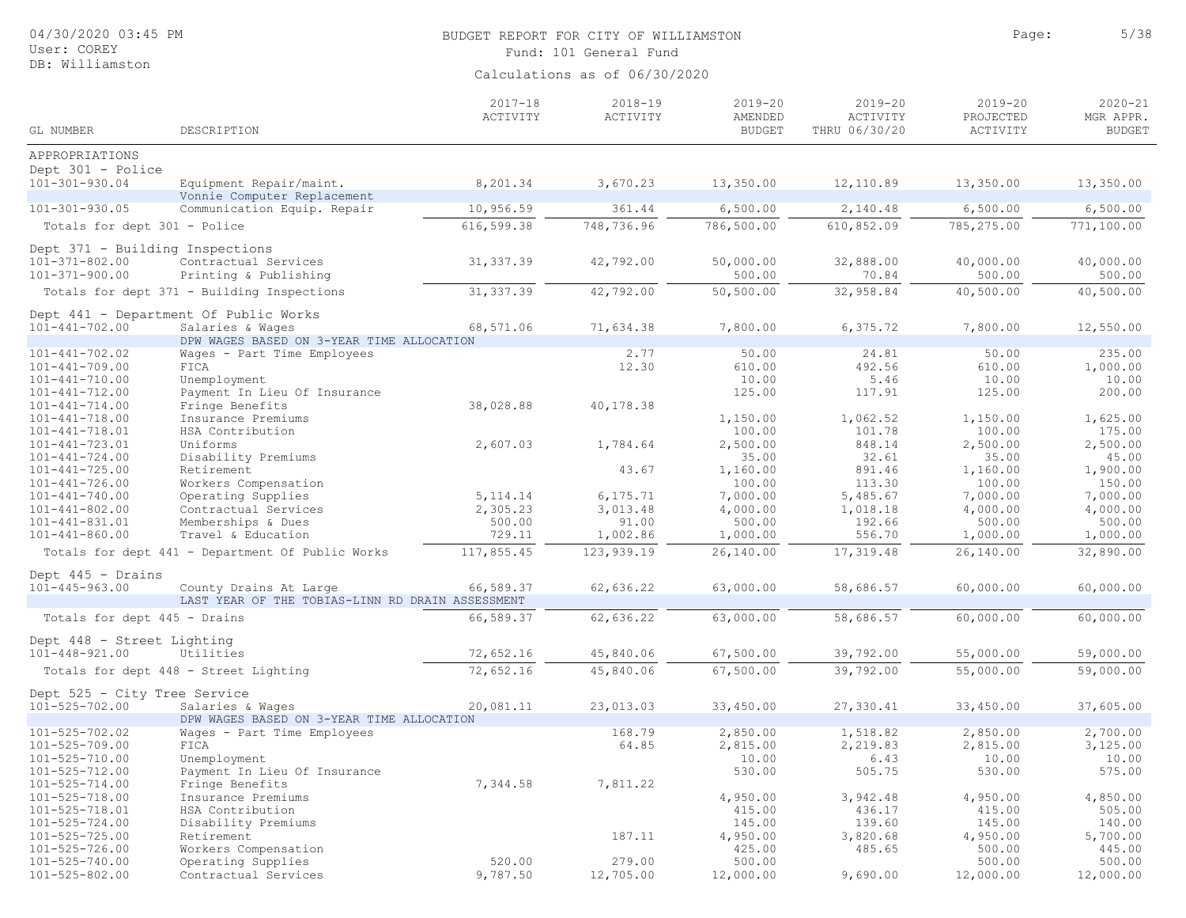| 04/30/2020 03:45 PM<br>User: COREY                                              |                                                                            | BUDGET REPORT FOR CITY OF WILLIAMSTON<br>Fund: 101 General Fund | Page:                         | 5/38                                    |                                          |                                      |                                           |
|---------------------------------------------------------------------------------|----------------------------------------------------------------------------|-----------------------------------------------------------------|-------------------------------|-----------------------------------------|------------------------------------------|--------------------------------------|-------------------------------------------|
| DB: Williamston                                                                 |                                                                            |                                                                 | Calculations as of 06/30/2020 |                                         |                                          |                                      |                                           |
| GL NUMBER                                                                       | DESCRIPTION                                                                | $2017 - 18$<br>ACTIVITY                                         | $2018 - 19$<br>ACTIVITY       | $2019 - 20$<br>AMENDED<br><b>BUDGET</b> | $2019 - 20$<br>ACTIVITY<br>THRU 06/30/20 | $2019 - 20$<br>PROJECTED<br>ACTIVITY | $2020 - 21$<br>MGR APPR.<br><b>BUDGET</b> |
| APPROPRIATIONS                                                                  |                                                                            |                                                                 |                               |                                         |                                          |                                      |                                           |
| Dept 301 - Police<br>$101 - 301 - 930.04$                                       | Equipment Repair/maint.                                                    | 8,201.34                                                        | 3,670.23                      | 13,350.00                               | 12,110.89                                | 13,350.00                            | 13,350.00                                 |
|                                                                                 | Vonnie Computer Replacement                                                |                                                                 |                               |                                         |                                          |                                      |                                           |
| $101 - 301 - 930.05$                                                            | Communication Equip. Repair                                                | 10,956.59                                                       | 361.44                        | 6,500.00                                | 2,140.48                                 | 6,500.00                             | 6,500.00                                  |
| Totals for dept 301 - Police                                                    |                                                                            | 616,599.38                                                      | 748,736.96                    | 786,500.00                              | 610,852.09                               | 785, 275.00                          | 771,100.00                                |
| Dept 371 - Building Inspections<br>$101 - 371 - 802.00$<br>$101 - 371 - 900.00$ | Contractual Services<br>Printing & Publishing                              | 31, 337.39                                                      | 42,792.00                     | 50,000.00<br>500.00                     | 32,888.00<br>70.84                       | 40,000.00<br>500.00                  | 40,000.00<br>500.00                       |
|                                                                                 | Totals for dept 371 - Building Inspections                                 | 31, 337.39                                                      | 42,792.00                     | 50,500.00                               | 32,958.84                                | 40,500.00                            | 40,500.00                                 |
|                                                                                 | Dept 441 - Department Of Public Works                                      |                                                                 |                               |                                         |                                          |                                      |                                           |
| $101 - 441 - 702.00$                                                            | Salaries & Wages                                                           | 68,571.06                                                       | 71,634.38                     | 7,800.00                                | 6,375.72                                 | 7,800.00                             | 12,550.00                                 |
|                                                                                 | DPW WAGES BASED ON 3-YEAR TIME ALLOCATION                                  |                                                                 |                               |                                         |                                          |                                      |                                           |
| $101 - 441 - 702.02$                                                            | Wages - Part Time Employees                                                |                                                                 | 2.77                          | 50.00                                   | 24.81                                    | 50.00                                | 235.00                                    |
| $101 - 441 - 709.00$                                                            | FICA                                                                       |                                                                 | 12.30                         | 610.00                                  | 492.56                                   | 610.00                               | 1,000.00                                  |
| $101 - 441 - 710.00$                                                            | Unemployment                                                               |                                                                 |                               | 10.00                                   | 5.46                                     | 10.00                                | 10.00                                     |
| $101 - 441 - 712.00$                                                            | Payment In Lieu Of Insurance                                               | 38,028.88                                                       |                               | 125.00                                  | 117.91                                   | 125.00                               | 200.00                                    |
| $101 - 441 - 714.00$<br>$101 - 441 - 718.00$                                    | Fringe Benefits<br>Insurance Premiums                                      |                                                                 | 40,178.38                     | 1,150.00                                | 1,062.52                                 | 1,150.00                             | 1,625.00                                  |
| $101 - 441 - 718.01$                                                            | HSA Contribution                                                           |                                                                 |                               | 100.00                                  | 101.78                                   | 100.00                               | 175.00                                    |
| $101 - 441 - 723.01$                                                            | Uniforms                                                                   | 2,607.03                                                        | 1,784.64                      | 2,500.00                                | 848.14                                   | 2,500.00                             | 2,500.00                                  |
| $101 - 441 - 724.00$                                                            | Disability Premiums                                                        |                                                                 |                               | 35.00                                   | 32.61                                    | 35.00                                | 45.00                                     |
| $101 - 441 - 725.00$                                                            | Retirement                                                                 |                                                                 | 43.67                         | 1,160.00                                | 891.46                                   | 1,160.00                             | 1,900.00                                  |
| $101 - 441 - 726.00$                                                            | Workers Compensation                                                       |                                                                 |                               | 100.00                                  | 113.30                                   | 100.00                               | 150.00                                    |
| $101 - 441 - 740.00$                                                            | Operating Supplies                                                         | 5, 114.14                                                       | 6,175.71                      | 7,000.00                                | 5,485.67                                 | 7,000.00                             | 7,000.00                                  |
| $101 - 441 - 802.00$                                                            | Contractual Services                                                       | 2,305.23                                                        | 3,013.48                      | 4,000.00                                | 1,018.18                                 | 4,000.00                             | 4,000.00                                  |
| 101-441-831.01                                                                  | Memberships & Dues                                                         | 500.00                                                          | 91.00                         | 500.00                                  | 192.66                                   | 500.00                               | 500.00                                    |
| $101 - 441 - 860.00$                                                            | Travel & Education                                                         | 729.11                                                          | 1,002.86                      | 1,000.00                                | 556.70                                   | 1,000.00                             | 1,000.00                                  |
|                                                                                 | Totals for dept 441 - Department Of Public Works                           | 117,855.45                                                      | 123,939.19                    | 26,140.00                               | 17,319.48                                | 26,140.00                            | 32,890.00                                 |
|                                                                                 |                                                                            |                                                                 |                               |                                         |                                          |                                      |                                           |
| Dept 445 - Drains                                                               |                                                                            |                                                                 |                               |                                         |                                          |                                      |                                           |
| $101 - 445 - 963.00$                                                            | County Drains At Large<br>LAST YEAR OF THE TOBIAS-LINN RD DRAIN ASSESSMENT | 66,589.37                                                       | 62,636.22                     | 63,000.00                               | 58,686.57                                | 60,000.00                            | 60,000.00                                 |
| Totals for dept 445 - Drains                                                    |                                                                            | 66,589.37                                                       | 62,636.22                     | 63,000.00                               | 58,686.57                                | 60,000.00                            | 60,000.00                                 |
|                                                                                 |                                                                            |                                                                 |                               |                                         |                                          |                                      |                                           |
| Dept 448 - Street Lighting<br>$101 - 448 - 921.00$                              | Utilities                                                                  | 72,652.16                                                       | 45,840.06                     | 67,500.00                               | 39,792.00                                | 55,000.00                            | 59,000.00                                 |
|                                                                                 | Totals for dept 448 - Street Lighting                                      | 72,652.16                                                       | 45,840.06                     | 67,500.00                               | 39,792.00                                | 55,000.00                            | 59,000.00                                 |
|                                                                                 |                                                                            |                                                                 |                               |                                         |                                          |                                      |                                           |
| Dept 525 - City Tree Service<br>$101 - 525 - 702.00$                            | Salaries & Wages                                                           | 20,081.11                                                       | 23,013.03                     | 33,450.00                               | 27,330.41                                | 33,450.00                            | 37,605.00                                 |
|                                                                                 | DPW WAGES BASED ON 3-YEAR TIME ALLOCATION                                  |                                                                 |                               |                                         |                                          |                                      |                                           |
| $101 - 525 - 702.02$                                                            | Wages - Part Time Employees                                                |                                                                 | 168.79                        | 2,850.00                                | 1,518.82                                 | 2,850.00                             | 2,700.00                                  |
| $101 - 525 - 709.00$                                                            | FICA                                                                       |                                                                 | 64.85                         | 2,815.00                                | 2,219.83                                 | 2,815.00                             | 3,125.00                                  |
| $101 - 525 - 710.00$                                                            | Unemployment                                                               |                                                                 |                               | 10.00                                   | 6.43                                     | 10.00                                | 10.00                                     |
| 101-525-712.00                                                                  | Payment In Lieu Of Insurance                                               |                                                                 |                               | 530.00                                  | 505.75                                   | 530.00                               | 575.00                                    |
| $101 - 525 - 714.00$                                                            | Fringe Benefits                                                            | 7,344.58                                                        | 7,811.22                      |                                         |                                          |                                      |                                           |
| $101 - 525 - 718.00$                                                            | Insurance Premiums                                                         |                                                                 |                               | 4,950.00                                | 3,942.48                                 | 4,950.00                             | 4,850.00                                  |
| $101 - 525 - 718.01$                                                            | HSA Contribution                                                           |                                                                 |                               | 415.00                                  | 436.17                                   | 415.00                               | 505.00                                    |
| $101 - 525 - 724.00$                                                            | Disability Premiums                                                        |                                                                 |                               | 145.00                                  | 139.60                                   | 145.00                               | 140.00                                    |
| $101 - 525 - 725.00$                                                            | Retirement                                                                 |                                                                 | 187.11                        | 4,950.00                                | 3,820.68                                 | 4,950.00                             | 5,700.00                                  |
| $101 - 525 - 726.00$                                                            | Workers Compensation                                                       |                                                                 |                               | 425.00                                  | 485.65                                   | 500.00                               | 445.00                                    |
| $101 - 525 - 740.00$                                                            | Operating Supplies                                                         | 520.00                                                          | 279.00                        | 500.00                                  |                                          | 500.00                               | 500.00                                    |
| $101 - 525 - 802.00$                                                            | Contractual Services                                                       | 9,787.50                                                        | 12,705.00                     | 12,000.00                               | 9,690.00                                 | 12,000.00                            | 12,000.00                                 |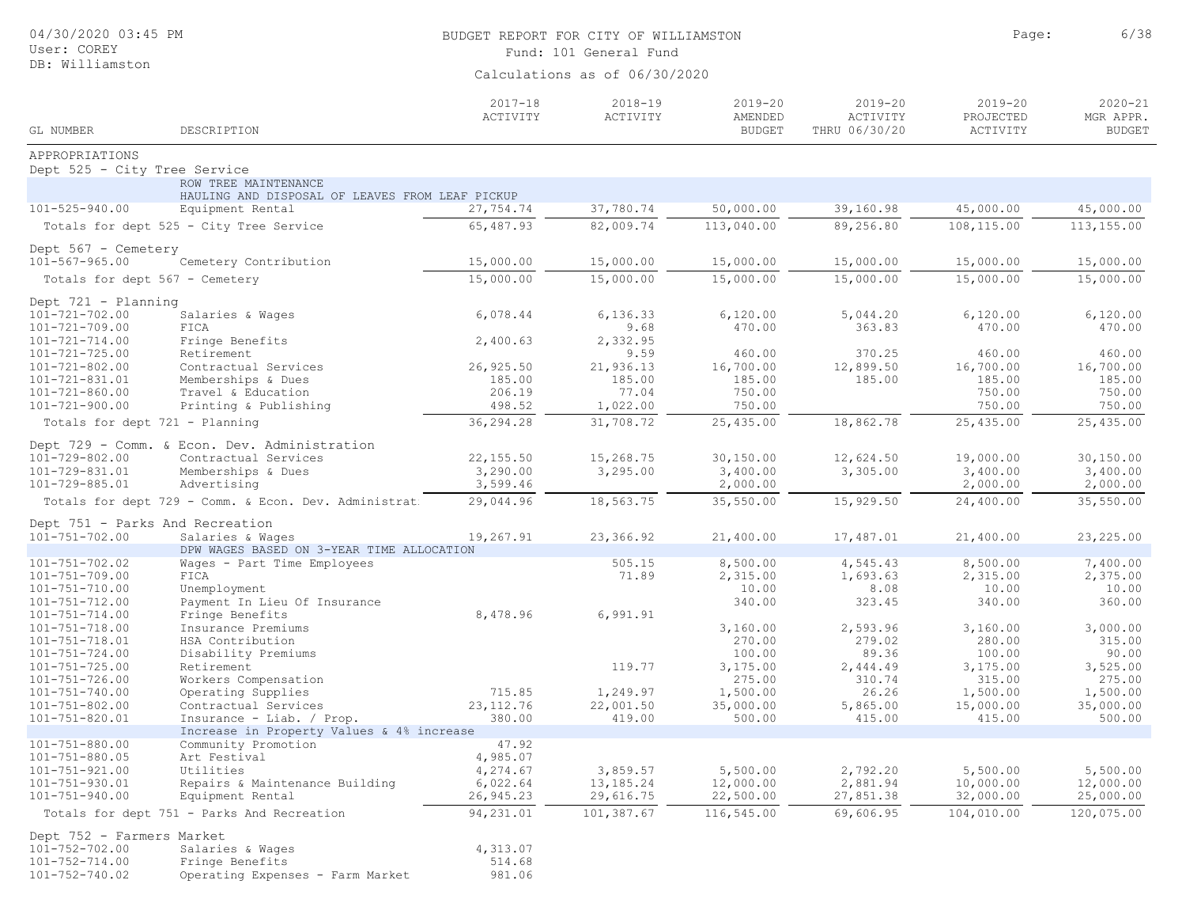| 04/30/2020 03:45 PM<br>User: COREY<br>DB: Williamston |                                                                         | BUDGET REPORT FOR CITY OF WILLIAMSTON<br>Fund: 101 General Fund<br>Calculations as of 06/30/2020 | Page:                   | 6/38                                    |                                          |                                      |                                           |
|-------------------------------------------------------|-------------------------------------------------------------------------|--------------------------------------------------------------------------------------------------|-------------------------|-----------------------------------------|------------------------------------------|--------------------------------------|-------------------------------------------|
| GL NUMBER                                             | DESCRIPTION                                                             | $2017 - 18$<br>ACTIVITY                                                                          | $2018 - 19$<br>ACTIVITY | $2019 - 20$<br>AMENDED<br><b>BUDGET</b> | $2019 - 20$<br>ACTIVITY<br>THRU 06/30/20 | $2019 - 20$<br>PROJECTED<br>ACTIVITY | $2020 - 21$<br>MGR APPR.<br><b>BUDGET</b> |
| APPROPRIATIONS                                        |                                                                         |                                                                                                  |                         |                                         |                                          |                                      |                                           |
| Dept 525 - City Tree Service                          |                                                                         |                                                                                                  |                         |                                         |                                          |                                      |                                           |
|                                                       | ROW TREE MAINTENANCE<br>HAULING AND DISPOSAL OF LEAVES FROM LEAF PICKUP |                                                                                                  |                         |                                         |                                          |                                      |                                           |
| $101 - 525 - 940.00$                                  | Equipment Rental                                                        | 27,754.74                                                                                        | 37,780.74               | 50,000.00                               | 39,160.98                                | 45,000.00                            | 45,000.00                                 |
|                                                       | Totals for dept 525 - City Tree Service                                 | 65,487.93                                                                                        | 82,009.74               | 113,040.00                              | 89,256.80                                | 108,115.00                           | 113, 155.00                               |
| Dept $567 -$ Cemetery                                 |                                                                         |                                                                                                  |                         |                                         |                                          |                                      |                                           |
| $101 - 567 - 965.00$                                  | Cemetery Contribution                                                   | 15,000.00                                                                                        | 15,000.00               | 15,000.00                               | 15,000.00                                | 15,000.00                            | 15,000.00                                 |
| Totals for dept 567 - Cemetery                        |                                                                         | 15,000.00                                                                                        | 15,000.00               | 15,000.00                               | 15,000.00                                | 15,000.00                            | 15,000.00                                 |
|                                                       |                                                                         |                                                                                                  |                         |                                         |                                          |                                      |                                           |
| Dept 721 - Planning<br>$101 - 721 - 702.00$           | Salaries & Wages                                                        | 6,078.44                                                                                         | 6, 136.33               | 6,120.00                                | 5,044.20                                 | 6,120.00                             | 6,120.00                                  |
| $101 - 721 - 709.00$                                  | FICA                                                                    |                                                                                                  | 9.68                    | 470.00                                  | 363.83                                   | 470.00                               | 470.00                                    |
| $101 - 721 - 714.00$                                  | Fringe Benefits                                                         | 2,400.63                                                                                         | 2,332.95                |                                         |                                          |                                      |                                           |
| $101 - 721 - 725.00$                                  | Retirement<br>Contractual Services                                      | 26,925.50                                                                                        | 9.59<br>21,936.13       | 460.00<br>16,700.00                     | 370.25                                   | 460.00                               | 460.00                                    |
| $101 - 721 - 802.00$<br>101-721-831.01                | Memberships & Dues                                                      | 185.00                                                                                           | 185.00                  | 185.00                                  | 12,899.50<br>185.00                      | 16,700.00<br>185.00                  | 16,700.00<br>185.00                       |
| $101 - 721 - 860.00$                                  | Travel & Education                                                      | 206.19                                                                                           | 77.04                   | 750.00                                  |                                          | 750.00                               | 750.00                                    |
| $101 - 721 - 900.00$                                  | Printing & Publishing                                                   | 498.52                                                                                           | 1,022.00                | 750.00                                  |                                          | 750.00                               | 750.00                                    |
| Totals for dept 721 - Planning                        |                                                                         | 36,294.28                                                                                        | 31,708.72               | 25,435.00                               | 18,862.78                                | 25,435.00                            | 25,435.00                                 |
|                                                       | Dept 729 - Comm. & Econ. Dev. Administration                            |                                                                                                  |                         |                                         |                                          |                                      |                                           |
| $101 - 729 - 802.00$                                  | Contractual Services                                                    | 22,155.50                                                                                        | 15,268.75               | 30,150.00                               | 12,624.50                                | 19,000.00                            | 30,150.00                                 |
| 101-729-831.01                                        | Memberships & Dues                                                      | 3,290.00                                                                                         | 3,295.00                | 3,400.00                                | 3,305.00                                 | 3,400.00                             | 3,400.00                                  |
| 101-729-885.01                                        | Advertising                                                             | 3,599.46                                                                                         |                         | 2,000.00                                |                                          | 2,000.00                             | 2,000.00                                  |
|                                                       | Totals for dept 729 - Comm. & Econ. Dev. Administrat                    | 29,044.96                                                                                        | 18,563.75               | 35, 550.00                              | 15,929.50                                | 24,400.00                            | 35,550.00                                 |
| Dept 751 - Parks And Recreation                       |                                                                         |                                                                                                  |                         |                                         |                                          |                                      |                                           |
| $101 - 751 - 702.00$                                  | Salaries & Wages<br>DPW WAGES BASED ON 3-YEAR TIME ALLOCATION           | 19,267.91                                                                                        | 23,366.92               | 21,400.00                               | 17,487.01                                | 21,400.00                            | 23, 225.00                                |
| $101 - 751 - 702.02$                                  | Wages - Part Time Employees                                             |                                                                                                  | 505.15                  | 8,500.00                                | 4,545.43                                 | 8,500.00                             | 7,400.00                                  |
| $101 - 751 - 709.00$                                  | FICA                                                                    |                                                                                                  | 71.89                   | 2,315.00                                | 1,693.63                                 | 2,315.00                             | 2,375.00                                  |
| $101 - 751 - 710.00$                                  | Unemployment                                                            |                                                                                                  |                         | 10.00                                   | 8.08                                     | 10.00                                | 10.00                                     |
| $101 - 751 - 712.00$                                  | Payment In Lieu Of Insurance                                            |                                                                                                  |                         | 340.00                                  | 323.45                                   | 340.00                               | 360.00                                    |
| $101 - 751 - 714.00$<br>$101 - 751 - 718.00$          | Fringe Benefits<br>Insurance Premiums                                   | 8,478.96                                                                                         | 6,991.91                | 3,160.00                                | 2,593.96                                 | 3,160.00                             | 3,000.00                                  |
| $101 - 751 - 718.01$                                  | HSA Contribution                                                        |                                                                                                  |                         | 270.00                                  | 279.02                                   | 280.00                               | 315.00                                    |
| 101-751-724.00                                        | Disability Premiums                                                     |                                                                                                  |                         | 100.00                                  | 89.36                                    | 100.00                               | 90.00                                     |
| $101 - 751 - 725.00$                                  | Retirement                                                              |                                                                                                  | 119.77                  | 3,175.00                                | 2,444.49                                 | 3,175.00                             | 3,525.00                                  |
| $101 - 751 - 726.00$                                  | Workers Compensation                                                    | 715.85                                                                                           |                         | 275.00                                  | 310.74                                   | 315.00                               | 275.00                                    |
| 101-751-740.00<br>$101 - 751 - 802.00$                | Operating Supplies<br>Contractual Services                              | 23, 112.76                                                                                       | 1,249.97<br>22,001.50   | 1,500.00<br>35,000.00                   | 26.26<br>5,865.00                        | 1,500.00<br>15,000.00                | 1,500.00<br>35,000.00                     |
| $101 - 751 - 820.01$                                  | Insurance - Liab. / Prop.                                               | 380.00                                                                                           | 419.00                  | 500.00                                  | 415.00                                   | 415.00                               | 500.00                                    |
|                                                       | Increase in Property Values & 4% increase                               |                                                                                                  |                         |                                         |                                          |                                      |                                           |
| $101 - 751 - 880.00$                                  | Community Promotion                                                     | 47.92                                                                                            |                         |                                         |                                          |                                      |                                           |
| $101 - 751 - 880.05$<br>101-751-921.00                | Art Festival<br>Utilities                                               | 4,985.07<br>4,274.67                                                                             | 3,859.57                | 5,500.00                                | 2,792.20                                 | 5,500.00                             | 5,500.00                                  |
| $101 - 751 - 930.01$                                  | Repairs & Maintenance Building                                          | 6,022.64                                                                                         | 13,185.24               | 12,000.00                               | 2,881.94                                 | 10,000.00                            | 12,000.00                                 |
| $101 - 751 - 940.00$                                  | Equipment Rental                                                        | 26,945.23                                                                                        | 29,616.75               | 22,500.00                               | 27,851.38                                | 32,000.00                            | 25,000.00                                 |
|                                                       | Totals for dept 751 - Parks And Recreation                              | 94,231.01                                                                                        | 101,387.67              | 116,545.00                              | 69,606.95                                | 104,010.00                           | 120,075.00                                |
| Dept 752 - Farmers Market                             |                                                                         |                                                                                                  |                         |                                         |                                          |                                      |                                           |
| $101 - 752 - 702.00$                                  | Salaries & Wages                                                        | 4,313.07                                                                                         |                         |                                         |                                          |                                      |                                           |
| $101 - 752 - 714.00$                                  | Fringe Benefits                                                         | 514.68                                                                                           |                         |                                         |                                          |                                      |                                           |
| $101 - 752 - 740.02$                                  | Operating Expenses - Farm Market                                        | 981.06                                                                                           |                         |                                         |                                          |                                      |                                           |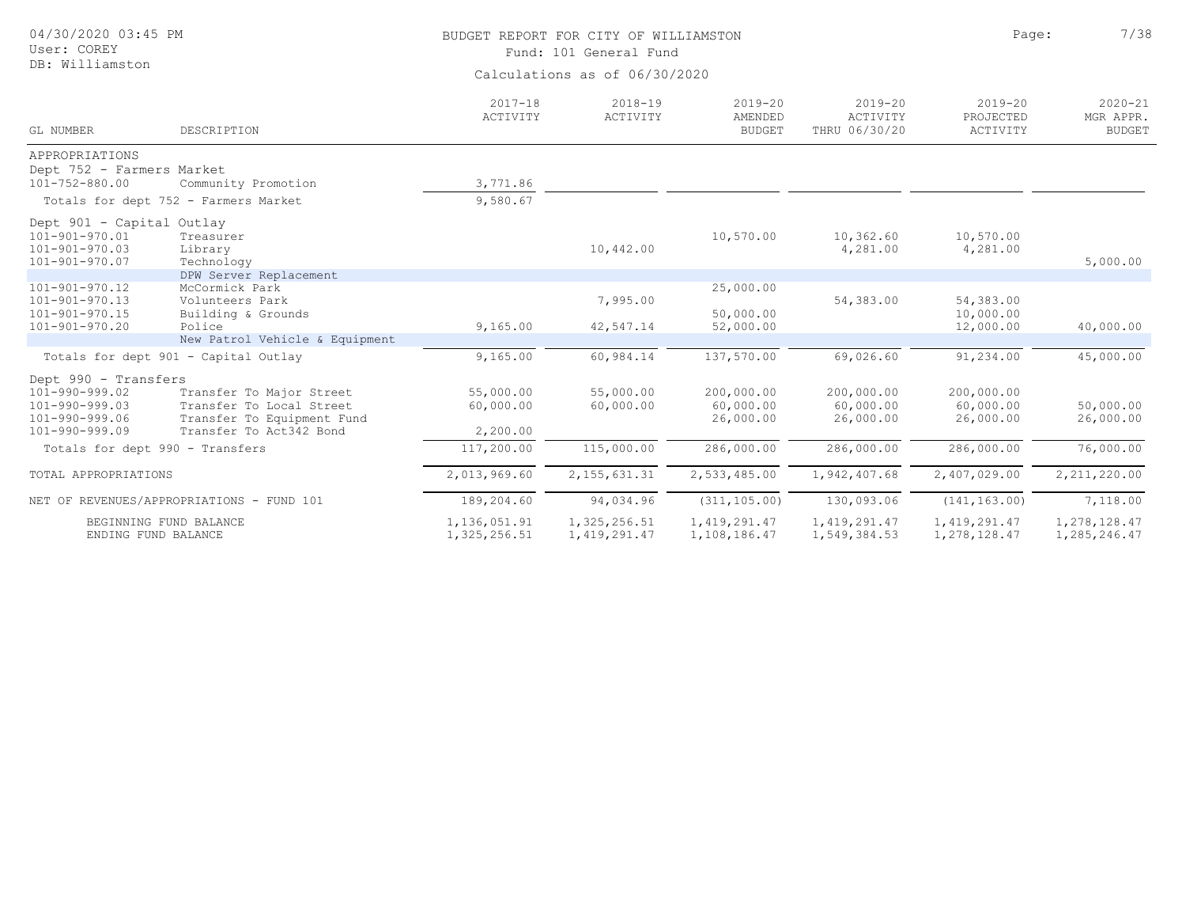| 04/30/2020 03:45 PM<br>User: COREY                                                                 |                                                                                                               |                                    | BUDGET REPORT FOR CITY OF WILLIAMSTON<br>Fund: 101 General Fund | Page:                                   | 7/38                                     |                                      |                                           |
|----------------------------------------------------------------------------------------------------|---------------------------------------------------------------------------------------------------------------|------------------------------------|-----------------------------------------------------------------|-----------------------------------------|------------------------------------------|--------------------------------------|-------------------------------------------|
| DB: Williamston                                                                                    |                                                                                                               |                                    | Calculations as of 06/30/2020                                   |                                         |                                          |                                      |                                           |
| GL NUMBER                                                                                          | DESCRIPTION                                                                                                   | $2017 - 18$<br>ACTIVITY            | $2018 - 19$<br>ACTIVITY                                         | $2019 - 20$<br>AMENDED<br><b>BUDGET</b> | $2019 - 20$<br>ACTIVITY<br>THRU 06/30/20 | $2019 - 20$<br>PROJECTED<br>ACTIVITY | $2020 - 21$<br>MGR APPR.<br><b>BUDGET</b> |
| APPROPRIATIONS                                                                                     |                                                                                                               |                                    |                                                                 |                                         |                                          |                                      |                                           |
| Dept 752 - Farmers Market<br>$101 - 752 - 880.00$                                                  | Community Promotion                                                                                           | 3,771.86                           |                                                                 |                                         |                                          |                                      |                                           |
|                                                                                                    | Totals for dept 752 - Farmers Market                                                                          | 9,580.67                           |                                                                 |                                         |                                          |                                      |                                           |
|                                                                                                    |                                                                                                               |                                    |                                                                 |                                         |                                          |                                      |                                           |
| Dept 901 - Capital Outlay<br>101-901-970.01<br>$101 - 901 - 970.03$<br>$101 - 901 - 970.07$        | Treasurer<br>Library<br>Technology                                                                            |                                    | 10,442.00                                                       | 10,570.00                               | 10,362.60<br>4,281.00                    | 10,570.00<br>4,281.00                | 5,000.00                                  |
|                                                                                                    | DPW Server Replacement                                                                                        |                                    |                                                                 |                                         |                                          |                                      |                                           |
| $101 - 901 - 970.12$<br>$101 - 901 - 970.13$<br>101-901-970.15                                     | McCormick Park<br>Volunteers Park<br>Building & Grounds                                                       |                                    | 7,995.00                                                        | 25,000.00<br>50,000.00                  | 54,383.00                                | 54,383.00<br>10,000.00               |                                           |
| 101-901-970.20                                                                                     | Police<br>New Patrol Vehicle & Equipment                                                                      | 9,165.00                           | 42,547.14                                                       | 52,000.00                               |                                          | 12,000.00                            | 40,000.00                                 |
|                                                                                                    | Totals for dept 901 - Capital Outlay                                                                          | 9,165.00                           | 60,984.14                                                       | 137,570.00                              | 69,026.60                                | 91,234.00                            | 45,000.00                                 |
| Dept 990 - Transfers<br>101-990-999.02<br>$101 - 990 - 999.03$<br>101-990-999.06<br>101-990-999.09 | Transfer To Major Street<br>Transfer To Local Street<br>Transfer To Equipment Fund<br>Transfer To Act342 Bond | 55,000.00<br>60,000.00<br>2,200.00 | 55,000.00<br>60,000.00                                          | 200,000.00<br>60,000.00<br>26,000.00    | 200,000.00<br>60,000.00<br>26,000.00     | 200,000.00<br>60,000.00<br>26,000.00 | 50,000.00<br>26,000.00                    |
| Totals for dept 990 - Transfers                                                                    |                                                                                                               | 117,200.00                         | 115,000.00                                                      | 286,000.00                              | 286,000.00                               | 286,000.00                           | 76,000.00                                 |
| TOTAL APPROPRIATIONS                                                                               |                                                                                                               | 2,013,969.60                       | 2, 155, 631.31                                                  | 2,533,485.00                            | 1,942,407.68                             | 2,407,029.00                         | 2, 211, 220.00                            |
|                                                                                                    | NET OF REVENUES/APPROPRIATIONS - FUND 101                                                                     | 189,204.60                         | 94,034.96                                                       | (311, 105.00)                           | 130,093.06                               | (141, 163.00)                        | 7,118.00                                  |
| ENDING FUND BALANCE                                                                                | BEGINNING FUND BALANCE                                                                                        | 1,136,051.91<br>1,325,256.51       | 1,325,256.51<br>1, 419, 291.47                                  | 1, 419, 291.47<br>1,108,186.47          | 1, 419, 291.47<br>1,549,384.53           | 1, 419, 291.47<br>1,278,128.47       | 1,278,128.47<br>1,285,246.47              |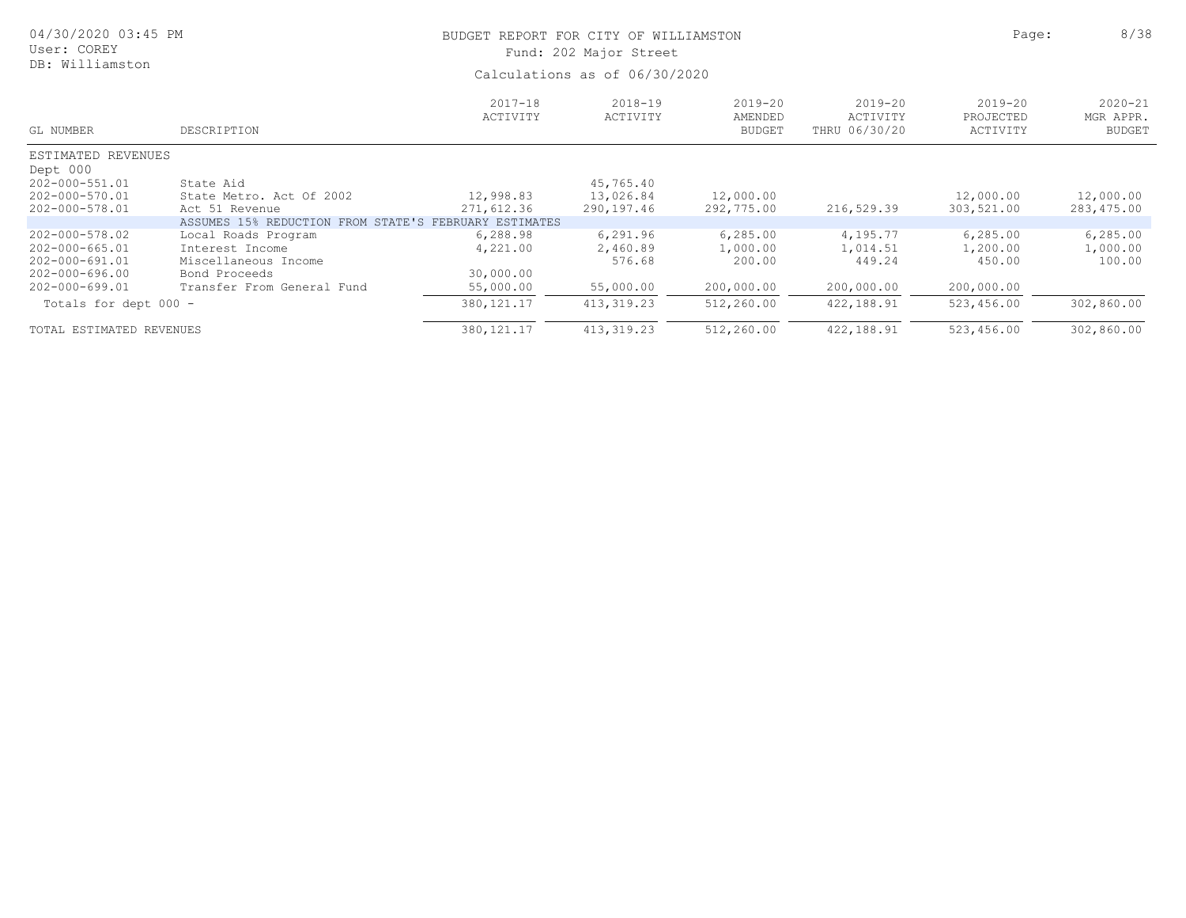| 04/30/2020 03:45 PM<br>User: COREY                                   |                                                                                 | BUDGET REPORT FOR CITY OF WILLIAMSTON<br>Fund: 202 Major Street |                                      |                                     |                                          |                                      |                                           |  |  |
|----------------------------------------------------------------------|---------------------------------------------------------------------------------|-----------------------------------------------------------------|--------------------------------------|-------------------------------------|------------------------------------------|--------------------------------------|-------------------------------------------|--|--|
| DB: Williamston                                                      |                                                                                 | Calculations as of 06/30/2020                                   |                                      |                                     |                                          |                                      |                                           |  |  |
| GL NUMBER                                                            | DESCRIPTION                                                                     | $2017 - 18$<br>ACTIVITY                                         | $2018 - 19$<br>ACTIVITY              | 2019-20<br>AMENDED<br><b>BUDGET</b> | $2019 - 20$<br>ACTIVITY<br>THRU 06/30/20 | $2019 - 20$<br>PROJECTED<br>ACTIVITY | $2020 - 21$<br>MGR APPR.<br><b>BUDGET</b> |  |  |
| ESTIMATED REVENUES<br>Dept 000                                       |                                                                                 |                                                                 |                                      |                                     |                                          |                                      |                                           |  |  |
| 202-000-551.01<br>202-000-570.01<br>202-000-578.01                   | State Aid<br>State Metro. Act Of 2002<br>Act 51 Revenue                         | 12,998.83<br>271,612.36                                         | 45,765.40<br>13,026.84<br>290,197.46 | 12,000.00<br>292,775.00             | 216,529.39                               | 12,000.00<br>303,521.00              | 12,000.00<br>283,475.00                   |  |  |
|                                                                      | ASSUMES 15% REDUCTION FROM STATE'S FEBRUARY ESTIMATES                           |                                                                 |                                      |                                     |                                          |                                      |                                           |  |  |
| 202-000-578.02<br>202-000-665.01<br>202-000-691.01<br>202-000-696.00 | Local Roads Program<br>Interest Income<br>Miscellaneous Income<br>Bond Proceeds | 6,288.98<br>4,221.00<br>30,000.00                               | 6,291.96<br>2,460.89<br>576.68       | 6,285.00<br>1,000.00<br>200.00      | 4,195.77<br>1,014.51<br>449.24           | 6, 285.00<br>1,200.00<br>450.00      | 6,285.00<br>1,000.00<br>100.00            |  |  |
| 202-000-699.01                                                       | Transfer From General Fund                                                      | 55,000.00                                                       | 55,000.00                            | 200,000.00                          | 200,000.00                               | 200,000.00                           |                                           |  |  |
| Totals for dept 000 -                                                |                                                                                 | 380, 121.17                                                     | 413, 319.23                          | 512,260.00                          | 422,188.91                               | 523,456.00                           | 302,860.00                                |  |  |
| TOTAL ESTIMATED REVENUES                                             |                                                                                 | 380, 121.17                                                     | 413, 319.23                          | 512,260.00                          | 422,188.91                               | 523,456.00                           | 302,860.00                                |  |  |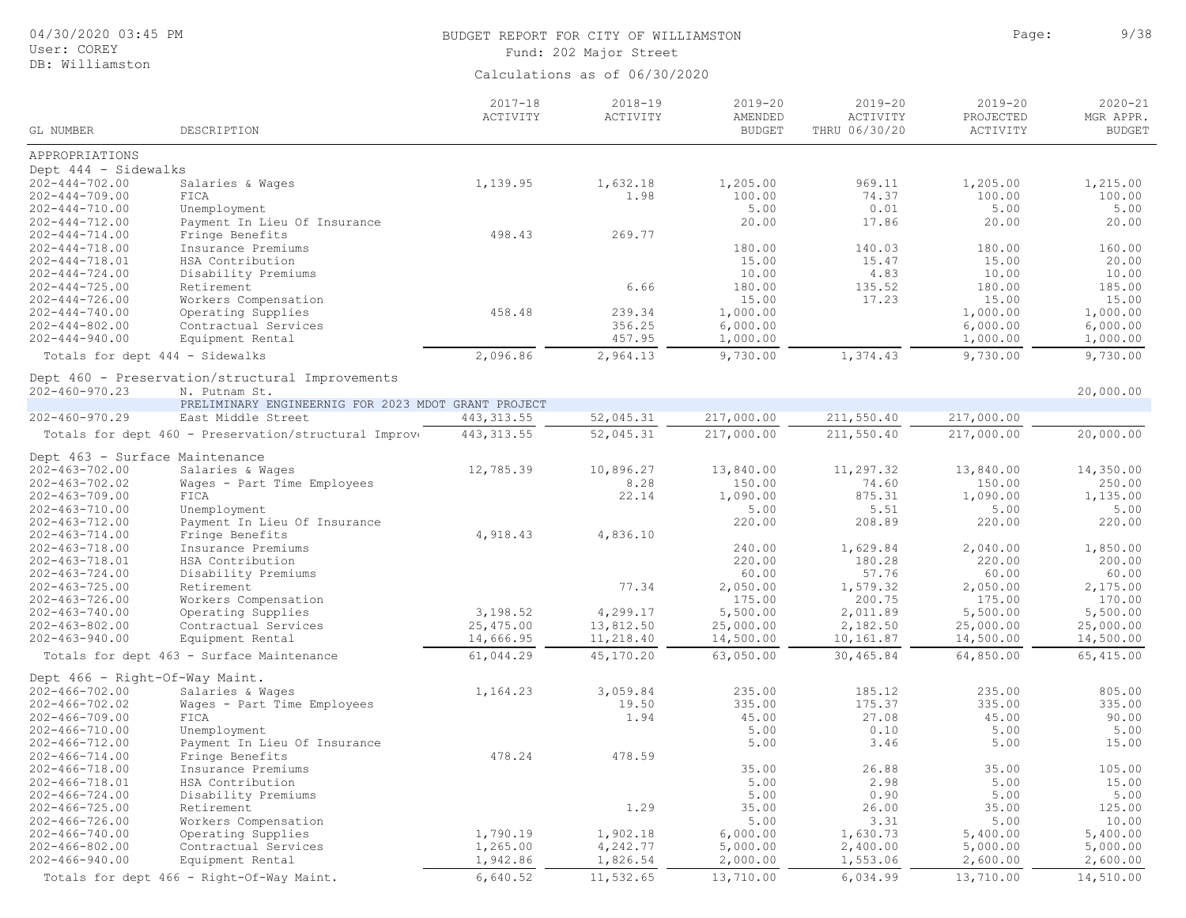| 04/30/2020 03:45 PM |  |
|---------------------|--|
|                     |  |

#### User: COREY DB: Williamston

# BUDGET REPORT FOR CITY OF WILLIAMSTON **Page:** 9/38 Fund: 202 Major Street

| GL NUMBER                                    | DESCRIPTION                                                      | $2017 - 18$<br>ACTIVITY | $2018 - 19$<br>ACTIVITY | $2019 - 20$<br>AMENDED<br><b>BUDGET</b> | $2019 - 20$<br>ACTIVITY<br>THRU 06/30/20 | $2019 - 20$<br>PROJECTED<br>ACTIVITY | $2020 - 21$<br>MGR APPR.<br><b>BUDGET</b> |
|----------------------------------------------|------------------------------------------------------------------|-------------------------|-------------------------|-----------------------------------------|------------------------------------------|--------------------------------------|-------------------------------------------|
|                                              |                                                                  |                         |                         |                                         |                                          |                                      |                                           |
| APPROPRIATIONS                               |                                                                  |                         |                         |                                         |                                          |                                      |                                           |
| Dept 444 - Sidewalks                         |                                                                  |                         |                         |                                         |                                          |                                      |                                           |
| $202 - 444 - 702.00$                         | Salaries & Wages                                                 | 1,139.95                | 1,632.18                | 1,205.00                                | 969.11                                   | 1,205.00                             | 1,215.00                                  |
| $202 - 444 - 709.00$                         | FICA                                                             |                         | 1.98                    | 100.00                                  | 74.37                                    | 100.00                               | 100.00                                    |
| $202 - 444 - 710.00$                         | Unemployment                                                     |                         |                         | 5.00                                    | 0.01                                     | 5.00                                 | 5.00                                      |
| $202 - 444 - 712.00$                         | Payment In Lieu Of Insurance                                     |                         |                         | 20.00                                   | 17.86                                    | 20.00                                | 20.00                                     |
| $202 - 444 - 714.00$                         | Fringe Benefits                                                  | 498.43                  | 269.77                  |                                         |                                          |                                      |                                           |
| $202 - 444 - 718.00$                         | Insurance Premiums                                               |                         |                         | 180.00                                  | 140.03                                   | 180.00                               | 160.00                                    |
| $202 - 444 - 718.01$                         | HSA Contribution                                                 |                         |                         | 15.00                                   | 15.47                                    | 15.00                                | 20.00                                     |
| $202 - 444 - 724.00$                         | Disability Premiums                                              |                         |                         | 10.00                                   | 4.83                                     | 10.00                                | 10.00                                     |
| $202 - 444 - 725.00$<br>$202 - 444 - 726.00$ | Retirement                                                       |                         | 6.66                    | 180.00                                  | 135.52                                   | 180.00                               | 185.00                                    |
| $202 - 444 - 740.00$                         | Workers Compensation                                             | 458.48                  | 239.34                  | 15.00<br>1,000.00                       | 17.23                                    | 15.00<br>1,000.00                    | 15.00<br>1,000.00                         |
| $202 - 444 - 802.00$                         | Operating Supplies<br>Contractual Services                       |                         | 356.25                  | 6,000.00                                |                                          | 6,000.00                             | 6,000.00                                  |
| $202 - 444 - 940.00$                         | Equipment Rental                                                 |                         | 457.95                  | 1,000.00                                |                                          | 1,000.00                             | 1,000.00                                  |
|                                              |                                                                  | 2,096.86                | 2,964.13                | 9,730.00                                | 1,374.43                                 | 9,730.00                             | 9,730.00                                  |
| Totals for dept 444 - Sidewalks              |                                                                  |                         |                         |                                         |                                          |                                      |                                           |
| $202 - 460 - 970.23$                         | Dept 460 - Preservation/structural Improvements<br>N. Putnam St. |                         |                         |                                         |                                          |                                      | 20,000.00                                 |
|                                              | PRELIMINARY ENGINEERNIG FOR 2023 MDOT GRANT PROJECT              |                         |                         |                                         |                                          |                                      |                                           |
| $202 - 460 - 970.29$                         | East Middle Street                                               | 443, 313.55             | 52,045.31               | 217,000.00                              | 211,550.40                               | 217,000.00                           |                                           |
|                                              | Totals for dept 460 - Preservation/structural Improve            | 443, 313.55             | 52,045.31               | 217,000.00                              | 211,550.40                               | 217,000.00                           | 20,000.00                                 |
| Dept 463 - Surface Maintenance               |                                                                  |                         |                         |                                         |                                          |                                      |                                           |
| $202 - 463 - 702.00$                         | Salaries & Wages                                                 | 12,785.39               | 10,896.27               | 13,840.00                               | 11,297.32                                | 13,840.00                            | 14,350.00                                 |
| $202 - 463 - 702.02$                         | Wages - Part Time Employees                                      |                         | 8.28                    | 150.00                                  | 74.60                                    | 150.00                               | 250.00                                    |
| $202 - 463 - 709.00$                         | FICA                                                             |                         | 22.14                   | 1,090.00                                | 875.31                                   | 1,090.00                             | 1,135.00                                  |
| $202 - 463 - 710.00$                         | Unemployment                                                     |                         |                         | 5.00                                    | 5.51                                     | 5.00                                 | 5.00                                      |
| $202 - 463 - 712.00$                         | Payment In Lieu Of Insurance                                     |                         |                         | 220.00                                  | 208.89                                   | 220.00                               | 220.00                                    |
| $202 - 463 - 714.00$                         | Fringe Benefits                                                  | 4,918.43                | 4,836.10                |                                         |                                          |                                      |                                           |
| $202 - 463 - 718.00$                         | Insurance Premiums                                               |                         |                         | 240.00                                  | 1,629.84                                 | 2,040.00                             | 1,850.00                                  |
| 202-463-718.01                               | HSA Contribution                                                 |                         |                         | 220.00                                  | 180.28                                   | 220.00                               | 200.00                                    |
| $202 - 463 - 724.00$                         | Disability Premiums                                              |                         |                         | 60.00                                   | 57.76                                    | 60.00                                | 60.00                                     |
| $202 - 463 - 725.00$                         | Retirement                                                       |                         | 77.34                   | 2,050.00                                | 1,579.32                                 | 2,050.00                             | 2,175.00                                  |
| $202 - 463 - 726.00$                         | Workers Compensation                                             |                         |                         | 175.00                                  | 200.75                                   | 175.00                               | 170.00                                    |
| $202 - 463 - 740.00$                         | Operating Supplies                                               | 3,198.52                | 4,299.17                | 5,500.00                                | 2,011.89                                 | 5,500.00                             | 5,500.00                                  |
| $202 - 463 - 802.00$                         | Contractual Services                                             | 25,475.00               | 13,812.50               | 25,000.00                               | 2,182.50                                 | 25,000.00                            | 25,000.00                                 |
| $202 - 463 - 940.00$                         | Equipment Rental                                                 | 14,666.95               | 11,218.40               | 14,500.00                               | 10,161.87                                | 14,500.00                            | 14,500.00                                 |
|                                              | Totals for dept 463 - Surface Maintenance                        | 61,044.29               | 45,170.20               | 63,050.00                               | 30,465.84                                | 64,850.00                            | 65, 415.00                                |
| Dept 466 - Right-Of-Way Maint.               |                                                                  |                         |                         |                                         |                                          |                                      |                                           |
| $202 - 466 - 702.00$                         | Salaries & Wages                                                 | 1,164.23                | 3,059.84                | 235.00                                  | 185.12                                   | 235.00                               | 805.00                                    |
| $202 - 466 - 702.02$                         | Wages - Part Time Employees                                      |                         | 19.50                   | 335.00                                  | 175.37                                   | 335.00                               | 335.00                                    |
| $202 - 466 - 709.00$                         | FICA                                                             |                         | 1.94                    | 45.00                                   | 27.08                                    | 45.00                                | 90.00                                     |
| $202 - 466 - 710.00$                         | Unemployment                                                     |                         |                         | 5.00                                    | 0.10                                     | 5.00                                 | 5.00                                      |
| $202 - 466 - 712.00$                         | Payment In Lieu Of Insurance                                     |                         |                         | 5.00                                    | 3.46                                     | 5.00                                 | 15.00                                     |
| $202 - 466 - 714.00$<br>$202 - 466 - 718.00$ | Fringe Benefits<br>Insurance Premiums                            | 478.24                  | 478.59                  | 35.00                                   | 26.88                                    | 35.00                                | 105.00                                    |
| 202-466-718.01                               | HSA Contribution                                                 |                         |                         | 5.00                                    | 2.98                                     | 5.00                                 | 15.00                                     |
| $202 - 466 - 724.00$                         | Disability Premiums                                              |                         |                         | 5.00                                    | 0.90                                     | 5.00                                 | 5.00                                      |
| $202 - 466 - 725.00$                         | Retirement                                                       |                         | 1.29                    | 35.00                                   | 26.00                                    | 35.00                                | 125.00                                    |
| $202 - 466 - 726.00$                         | Workers Compensation                                             |                         |                         | 5.00                                    | 3.31                                     | 5.00                                 | 10.00                                     |
| $202 - 466 - 740.00$                         | Operating Supplies                                               | 1,790.19                | 1,902.18                | 6,000.00                                | 1,630.73                                 | 5,400.00                             | 5,400.00                                  |
| $202 - 466 - 802.00$                         | Contractual Services                                             | 1,265.00                | 4,242.77                | 5,000.00                                | 2,400.00                                 | 5,000.00                             | 5,000.00                                  |
| $202 - 466 - 940.00$                         | Equipment Rental                                                 | 1,942.86                | 1,826.54                | 2,000.00                                | 1,553.06                                 | 2,600.00                             | 2,600.00                                  |
|                                              | Totals for dept 466 - Right-Of-Way Maint.                        | 6,640.52                | 11,532.65               | 13,710.00                               | 6,034.99                                 | 13,710.00                            | 14,510.00                                 |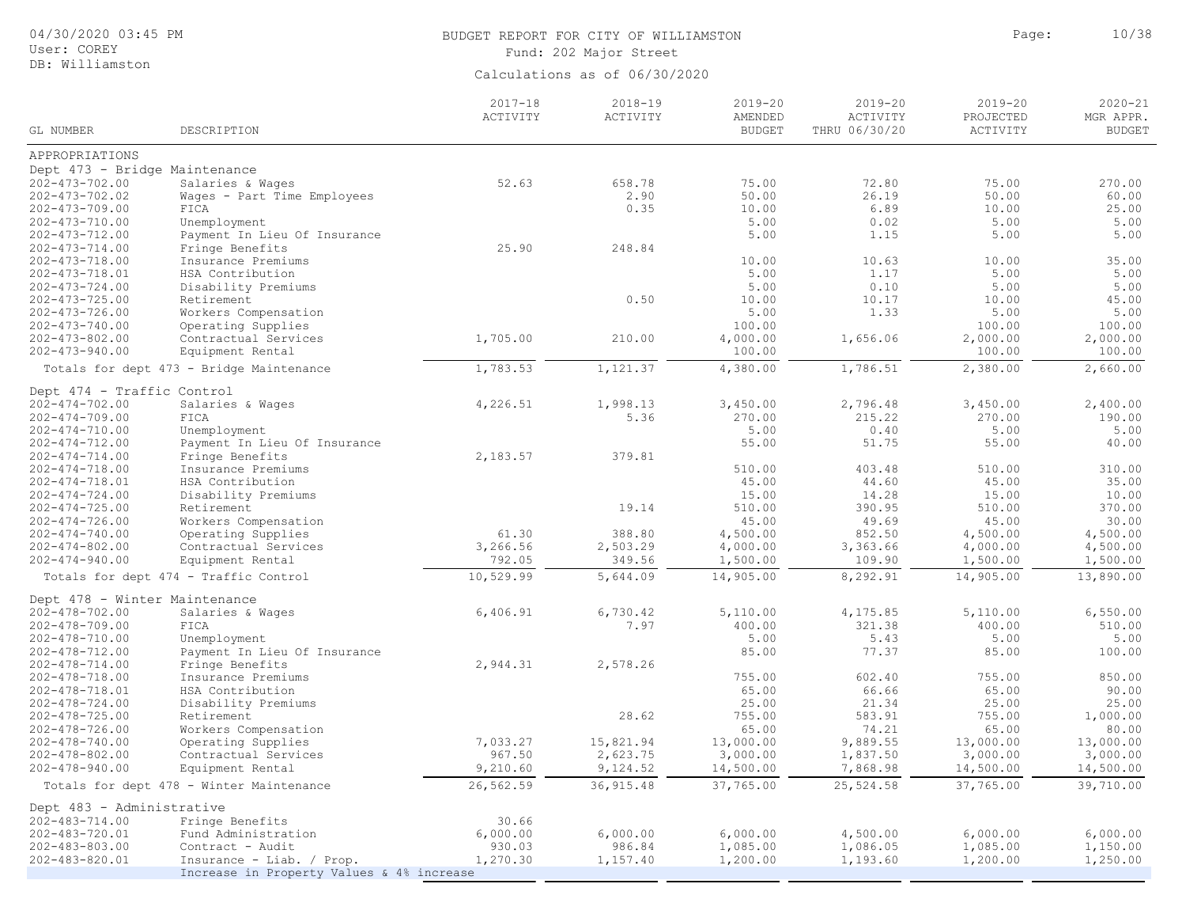# 04/30/2020 03:45 PM

## User: COREY DB: Williamston

# BUDGET REPORT FOR CITY OF WILLIAMSTON **Page:** 10/38 Fund: 202 Major Street

| GL NUMBER                                    | DESCRIPTION                               | $2017 - 18$<br>ACTIVITY | $2018 - 19$<br>ACTIVITY | $2019 - 20$<br>AMENDED<br><b>BUDGET</b> | $2019 - 20$<br>ACTIVITY<br>THRU 06/30/20 | $2019 - 20$<br>PROJECTED<br>ACTIVITY | $2020 - 21$<br>MGR APPR.<br><b>BUDGET</b> |
|----------------------------------------------|-------------------------------------------|-------------------------|-------------------------|-----------------------------------------|------------------------------------------|--------------------------------------|-------------------------------------------|
|                                              |                                           |                         |                         |                                         |                                          |                                      |                                           |
| APPROPRIATIONS                               |                                           |                         |                         |                                         |                                          |                                      |                                           |
| Dept 473 - Bridge Maintenance                |                                           |                         |                         |                                         |                                          |                                      |                                           |
| $202 - 473 - 702.00$                         | Salaries & Wages                          | 52.63                   | 658.78                  | 75.00                                   | 72.80                                    | 75.00                                | 270.00                                    |
| $202 - 473 - 702.02$                         | Wages - Part Time Employees               |                         | 2.90                    | 50.00                                   | 26.19                                    | 50.00                                | 60.00                                     |
| $202 - 473 - 709.00$                         | FICA                                      |                         | 0.35                    | 10.00                                   | 6.89                                     | 10.00                                | 25.00                                     |
| $202 - 473 - 710.00$                         | Unemployment                              |                         |                         | 5.00                                    | 0.02                                     | 5.00                                 | 5.00                                      |
| $202 - 473 - 712.00$                         | Payment In Lieu Of Insurance              |                         |                         | 5.00                                    | 1.15                                     | 5.00                                 | 5.00                                      |
| $202 - 473 - 714.00$                         | Fringe Benefits                           | 25.90                   | 248.84                  |                                         |                                          |                                      |                                           |
| $202 - 473 - 718.00$                         | Insurance Premiums                        |                         |                         | 10.00                                   | 10.63                                    | 10.00                                | 35.00                                     |
| 202-473-718.01                               | HSA Contribution                          |                         |                         | 5.00<br>5.00                            | 1.17<br>0.10                             | 5.00<br>5.00                         | 5.00<br>5.00                              |
| $202 - 473 - 724.00$                         | Disability Premiums                       |                         | 0.50                    | 10.00                                   | 10.17                                    | 10.00                                | 45.00                                     |
| $202 - 473 - 725.00$<br>$202 - 473 - 726.00$ | Retirement<br>Workers Compensation        |                         |                         | 5.00                                    | 1.33                                     | 5.00                                 | 5.00                                      |
| $202 - 473 - 740.00$                         | Operating Supplies                        |                         |                         | 100.00                                  |                                          | 100.00                               | 100.00                                    |
| $202 - 473 - 802.00$                         | Contractual Services                      | 1,705.00                | 210.00                  | 4,000.00                                | 1,656.06                                 | 2,000.00                             | 2,000.00                                  |
| $202 - 473 - 940.00$                         | Equipment Rental                          |                         |                         | 100.00                                  |                                          | 100.00                               | 100.00                                    |
|                                              | Totals for dept 473 - Bridge Maintenance  | 1,783.53                | 1,121.37                | 4,380.00                                | 1,786.51                                 | 2,380.00                             | 2,660.00                                  |
|                                              |                                           |                         |                         |                                         |                                          |                                      |                                           |
| Dept 474 - Traffic Control                   |                                           |                         |                         |                                         |                                          |                                      |                                           |
| $202 - 474 - 702.00$                         | Salaries & Wages                          | 4,226.51                | 1,998.13                | 3,450.00                                | 2,796.48                                 | 3,450.00                             | 2,400.00                                  |
| $202 - 474 - 709.00$                         | FICA                                      |                         | 5.36                    | 270.00                                  | 215.22                                   | 270.00                               | 190.00                                    |
| $202 - 474 - 710.00$                         | Unemployment                              |                         |                         | 5.00                                    | 0.40                                     | 5.00                                 | 5.00                                      |
| $202 - 474 - 712.00$                         | Payment In Lieu Of Insurance              |                         |                         | 55.00                                   | 51.75                                    | 55.00                                | 40.00                                     |
| $202 - 474 - 714.00$                         | Fringe Benefits                           | 2,183.57                | 379.81                  |                                         |                                          |                                      |                                           |
| $202 - 474 - 718.00$                         | Insurance Premiums                        |                         |                         | 510.00                                  | 403.48                                   | 510.00                               | 310.00                                    |
| $202 - 474 - 718.01$                         | HSA Contribution                          |                         |                         | 45.00                                   | 44.60                                    | 45.00                                | 35.00                                     |
| $202 - 474 - 724.00$                         | Disability Premiums                       |                         |                         | 15.00                                   | 14.28                                    | 15.00                                | 10.00                                     |
| $202 - 474 - 725.00$                         | Retirement                                |                         | 19.14                   | 510.00                                  | 390.95                                   | 510.00                               | 370.00                                    |
| $202 - 474 - 726.00$                         | Workers Compensation                      |                         |                         | 45.00                                   | 49.69                                    | 45.00                                | 30.00                                     |
| $202 - 474 - 740.00$                         | Operating Supplies                        | 61.30                   | 388.80                  | 4,500.00                                | 852.50                                   | 4,500.00                             | 4,500.00                                  |
| $202 - 474 - 802.00$                         | Contractual Services                      | 3,266.56                | 2,503.29                | 4,000.00                                | 3,363.66                                 | 4,000.00                             | 4,500.00                                  |
| $202 - 474 - 940.00$                         | Equipment Rental                          | 792.05                  | 349.56                  | 1,500.00                                | 109.90                                   | 1,500.00                             | 1,500.00                                  |
|                                              | Totals for dept 474 - Traffic Control     | 10,529.99               | 5,644.09                | 14,905.00                               | 8,292.91                                 | 14,905.00                            | 13,890.00                                 |
| Dept 478 - Winter Maintenance                |                                           |                         |                         |                                         |                                          |                                      |                                           |
| $202 - 478 - 702.00$                         | Salaries & Wages                          | 6,406.91                | 6,730.42                | 5,110.00                                | 4,175.85                                 | 5,110.00                             | 6,550.00                                  |
| $202 - 478 - 709.00$                         | FICA                                      |                         | 7.97                    | 400.00                                  | 321.38                                   | 400.00                               | 510.00                                    |
| $202 - 478 - 710.00$                         | Unemployment                              |                         |                         | 5.00                                    | 5.43                                     | 5.00                                 | 5.00                                      |
| $202 - 478 - 712.00$                         | Payment In Lieu Of Insurance              |                         |                         | 85.00                                   | 77.37                                    | 85.00                                | 100.00                                    |
| $202 - 478 - 714.00$                         | Fringe Benefits                           | 2,944.31                | 2,578.26                |                                         |                                          |                                      |                                           |
| $202 - 478 - 718.00$                         | Insurance Premiums                        |                         |                         | 755.00                                  | 602.40                                   | 755.00                               | 850.00                                    |
| 202-478-718.01                               | HSA Contribution                          |                         |                         | 65.00                                   | 66.66                                    | 65.00                                | 90.00                                     |
| $202 - 478 - 724.00$                         | Disability Premiums                       |                         |                         | 25.00                                   | 21.34                                    | 25.00                                | 25.00                                     |
| $202 - 478 - 725.00$                         | Retirement                                |                         | 28.62                   | 755.00                                  | 583.91                                   | 755.00                               | 1,000.00                                  |
| $202 - 478 - 726.00$                         | Workers Compensation                      |                         |                         | 65.00                                   | 74.21                                    | 65.00                                | 80.00                                     |
| $202 - 478 - 740.00$                         | Operating Supplies                        | 7,033.27                | 15,821.94               | 13,000.00                               | 9,889.55                                 | 13,000.00                            | 13,000.00                                 |
| $202 - 478 - 802.00$                         | Contractual Services                      | 967.50                  | 2,623.75                | 3,000.00                                | 1,837.50                                 | 3,000.00                             | 3,000.00                                  |
| $202 - 478 - 940.00$                         | Equipment Rental                          | 9,210.60                | 9,124.52                | 14,500.00                               | 7,868.98                                 | 14,500.00                            | 14,500.00                                 |
|                                              | Totals for dept 478 - Winter Maintenance  | 26,562.59               | 36, 915.48              | 37,765.00                               | 25,524.58                                | 37,765.00                            | 39,710.00                                 |
| Dept 483 - Administrative                    |                                           |                         |                         |                                         |                                          |                                      |                                           |
| $202 - 483 - 714.00$                         | Fringe Benefits                           | 30.66                   |                         |                                         |                                          |                                      |                                           |
| 202-483-720.01                               | Fund Administration                       | 6,000.00                | 6,000.00                | 6,000.00                                | 4,500.00                                 | 6,000.00                             | 6,000.00                                  |
| $202 - 483 - 803.00$                         | Contract - Audit                          | 930.03                  | 986.84                  | 1,085.00                                | 1,086.05                                 | 1,085.00                             | 1,150.00                                  |
| 202-483-820.01                               | Insurance - Liab. / Prop.                 | 1,270.30                | 1,157.40                | 1,200.00                                | 1,193.60                                 | 1,200.00                             | 1,250.00                                  |
|                                              | Increase in Property Values & 4% increase |                         |                         |                                         |                                          |                                      |                                           |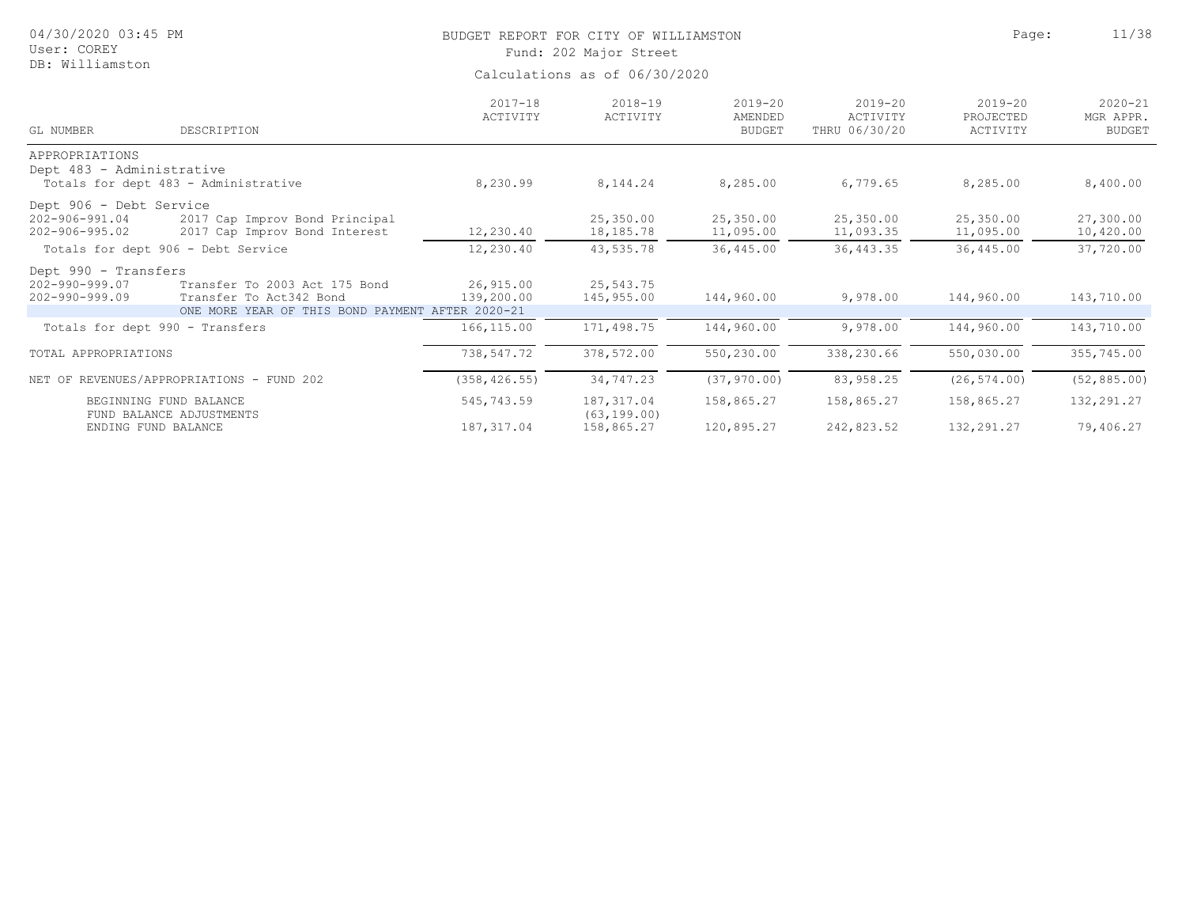| 04/30/2020 03:45 PM<br>User: COREY                                      |                                                                                                              |                               | BUDGET REPORT FOR CITY OF WILLIAMSTON<br>Fund: 202 Major Street | Page:                                   | 11/38                                    |                                      |                                           |  |  |  |
|-------------------------------------------------------------------------|--------------------------------------------------------------------------------------------------------------|-------------------------------|-----------------------------------------------------------------|-----------------------------------------|------------------------------------------|--------------------------------------|-------------------------------------------|--|--|--|
| DB: Williamston                                                         |                                                                                                              | Calculations as of 06/30/2020 |                                                                 |                                         |                                          |                                      |                                           |  |  |  |
| GL NUMBER                                                               | DESCRIPTION                                                                                                  | $2017 - 18$<br>ACTIVITY       | $2018 - 19$<br>ACTIVITY                                         | $2019 - 20$<br>AMENDED<br><b>BUDGET</b> | $2019 - 20$<br>ACTIVITY<br>THRU 06/30/20 | $2019 - 20$<br>PROJECTED<br>ACTIVITY | $2020 - 21$<br>MGR APPR.<br><b>BUDGET</b> |  |  |  |
| APPROPRIATIONS<br>Dept 483 - Administrative                             | Totals for dept 483 - Administrative                                                                         | 8,230.99                      | 8,144.24                                                        | 8,285.00                                | 6,779.65                                 | 8,285.00                             | 8,400.00                                  |  |  |  |
| Dept 906 - Debt Service<br>$202 - 906 - 991.04$<br>$202 - 906 - 995.02$ | 2017 Cap Improv Bond Principal<br>2017 Cap Improv Bond Interest                                              | 12,230.40                     | 25,350.00<br>18,185.78                                          | 25,350.00<br>11,095.00                  | 25,350.00<br>11,093.35                   | 25,350.00<br>11,095.00               | 27,300.00<br>10,420.00                    |  |  |  |
|                                                                         | Totals for dept 906 - Debt Service                                                                           | 12,230.40                     | 43,535.78                                                       | 36,445.00                               | 36, 443.35                               | 36,445.00                            | 37,720.00                                 |  |  |  |
| Dept 990 - Transfers<br>$202 - 990 - 999.07$<br>202-990-999.09          | Transfer To 2003 Act 175 Bond<br>Transfer To Act342 Bond<br>ONE MORE YEAR OF THIS BOND PAYMENT AFTER 2020-21 | 26,915.00<br>139,200.00       | 25,543.75<br>145,955.00                                         | 144,960.00                              | 9,978.00                                 | 144,960.00                           | 143,710.00                                |  |  |  |
|                                                                         | Totals for dept 990 - Transfers                                                                              | 166, 115.00                   | 171,498.75                                                      | 144,960.00                              | 9,978.00                                 | 144,960.00                           | 143,710.00                                |  |  |  |
| TOTAL APPROPRIATIONS                                                    |                                                                                                              | 738,547.72                    | 378,572.00                                                      | 550,230.00                              | 338,230.66                               | 550,030.00                           | 355,745.00                                |  |  |  |
|                                                                         | NET OF REVENUES/APPROPRIATIONS - FUND 202                                                                    | (358, 426.55)                 | 34,747.23                                                       | (37, 970.00)                            | 83,958.25                                | (26, 574.00)                         | (52, 885.00)                              |  |  |  |
|                                                                         | BEGINNING FUND BALANCE<br>FUND BALANCE ADJUSTMENTS                                                           | 545,743.59                    | 187, 317.04<br>(63, 199, 00)                                    | 158,865.27                              | 158,865.27                               | 158,865.27                           | 132, 291.27                               |  |  |  |
|                                                                         | ENDING FUND BALANCE                                                                                          | 187, 317.04                   | 158,865.27                                                      | 120,895.27                              | 242,823.52                               | 132,291.27                           | 79,406.27                                 |  |  |  |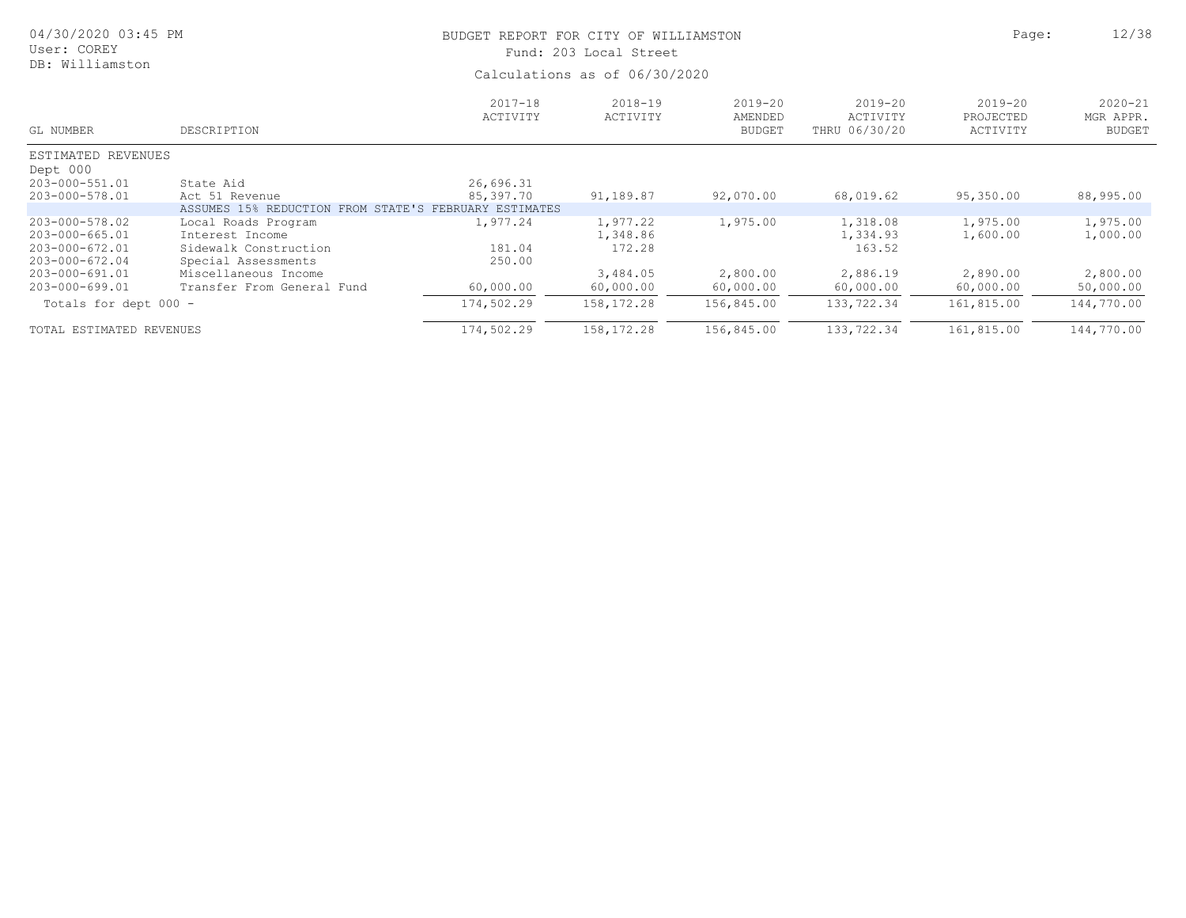| 04/30/2020 03:45 PM<br>User: COREY |                                                       | BUDGET REPORT FOR CITY OF WILLIAMSTON<br>Fund: 203 Local Street |                         |                                         |                                          |                                  |                                           |  |  |
|------------------------------------|-------------------------------------------------------|-----------------------------------------------------------------|-------------------------|-----------------------------------------|------------------------------------------|----------------------------------|-------------------------------------------|--|--|
| DB: Williamston                    |                                                       | Calculations as of 06/30/2020                                   |                         |                                         |                                          |                                  |                                           |  |  |
| GL NUMBER                          | DESCRIPTION                                           | $2017 - 18$<br>ACTIVITY                                         | $2018 - 19$<br>ACTIVITY | $2019 - 20$<br>AMENDED<br><b>BUDGET</b> | $2019 - 20$<br>ACTIVITY<br>THRU 06/30/20 | 2019-20<br>PROJECTED<br>ACTIVITY | $2020 - 21$<br>MGR APPR.<br><b>BUDGET</b> |  |  |
| ESTIMATED REVENUES                 |                                                       |                                                                 |                         |                                         |                                          |                                  |                                           |  |  |
| Dept 000                           |                                                       |                                                                 |                         |                                         |                                          |                                  |                                           |  |  |
| 203-000-551.01                     | State Aid                                             | 26,696.31                                                       |                         |                                         |                                          |                                  |                                           |  |  |
| 203-000-578.01                     | Act 51 Revenue                                        | 85,397.70                                                       | 91,189.87               | 92,070.00                               | 68,019.62                                | 95,350.00                        | 88,995.00                                 |  |  |
|                                    | ASSUMES 15% REDUCTION FROM STATE'S FEBRUARY ESTIMATES |                                                                 |                         |                                         |                                          |                                  |                                           |  |  |
| 203-000-578.02                     | Local Roads Program                                   | 1,977.24                                                        | 1,977.22                | 1,975.00                                | 1,318.08                                 | 1,975.00                         | 1,975.00                                  |  |  |
| 203-000-665.01                     | Interest Income                                       |                                                                 | 1,348.86                |                                         | 1,334.93                                 | 1,600.00                         | 1,000.00                                  |  |  |
| 203-000-672.01                     | Sidewalk Construction                                 | 181.04                                                          | 172.28                  |                                         | 163.52                                   |                                  |                                           |  |  |
| 203-000-672.04                     | Special Assessments                                   | 250.00                                                          |                         |                                         |                                          |                                  |                                           |  |  |
| 203-000-691.01                     | Miscellaneous Income                                  |                                                                 | 3,484.05                | 2,800.00                                | 2,886.19                                 | 2,890.00                         | 2,800.00                                  |  |  |
| 203-000-699.01                     | Transfer From General Fund                            | 60,000.00                                                       | 60,000.00               | 60,000.00                               | 60,000.00                                | 60,000.00                        | 50,000.00                                 |  |  |
| Totals for dept 000 -              |                                                       | 174,502.29                                                      | 158, 172. 28            | 156,845.00                              | 133,722.34                               | 161,815.00                       | 144,770.00                                |  |  |
| TOTAL ESTIMATED REVENUES           |                                                       | 174,502.29                                                      | 158,172.28              | 156,845.00                              | 133,722.34                               | 161,815.00                       | 144,770.00                                |  |  |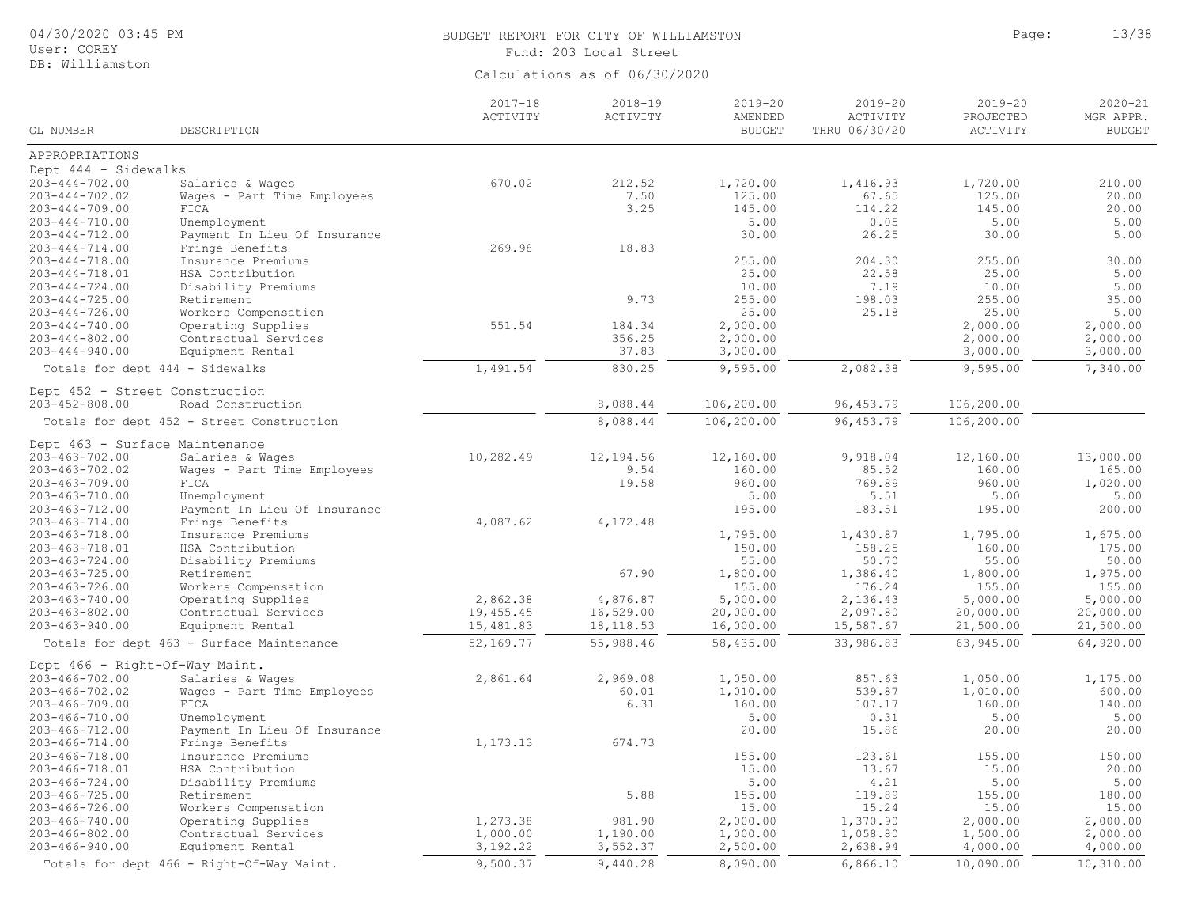### User: COREY DB: Williamston

## BUDGET REPORT FOR CITY OF WILLIAMSTON **Page:** 13/38 Fund: 203 Local Street

|                                                        |                                                 | $2017 - 18$<br>ACTIVITY | $2018 - 19$<br>ACTIVITY | $2019 - 20$<br>AMENDED | $2019 - 20$<br>ACTIVITY | $2019 - 20$<br>PROJECTED | $2020 - 21$<br>MGR APPR. |
|--------------------------------------------------------|-------------------------------------------------|-------------------------|-------------------------|------------------------|-------------------------|--------------------------|--------------------------|
| GL NUMBER                                              | DESCRIPTION                                     |                         |                         | <b>BUDGET</b>          | THRU 06/30/20           | ACTIVITY                 | <b>BUDGET</b>            |
| APPROPRIATIONS                                         |                                                 |                         |                         |                        |                         |                          |                          |
| Dept 444 - Sidewalks                                   |                                                 |                         |                         |                        |                         |                          |                          |
| $203 - 444 - 702.00$                                   | Salaries & Wages                                | 670.02                  | 212.52                  | 1,720.00               | 1,416.93                | 1,720.00                 | 210.00                   |
| $203 - 444 - 702.02$                                   | Wages - Part Time Employees                     |                         | 7.50                    | 125.00                 | 67.65                   | 125.00                   | 20.00                    |
| $203 - 444 - 709.00$                                   | FICA                                            |                         | 3.25                    | 145.00                 | 114.22                  | 145.00                   | 20.00                    |
| $203 - 444 - 710.00$                                   | Unemployment                                    |                         |                         | 5.00                   | 0.05                    | 5.00                     | 5.00                     |
| $203 - 444 - 712.00$                                   | Payment In Lieu Of Insurance                    |                         |                         | 30.00                  | 26.25                   | 30.00                    | 5.00                     |
| $203 - 444 - 714.00$                                   | Fringe Benefits                                 | 269.98                  | 18.83                   |                        |                         |                          |                          |
| $203 - 444 - 718.00$                                   | Insurance Premiums                              |                         |                         | 255.00                 | 204.30                  | 255.00                   | 30.00                    |
| $203 - 444 - 718.01$                                   | HSA Contribution                                |                         |                         | 25.00                  | 22.58                   | 25.00                    | 5.00                     |
| $203 - 444 - 724.00$                                   | Disability Premiums                             |                         | 9.73                    | 10.00                  | 7.19                    | 10.00                    | 5.00                     |
| $203 - 444 - 725.00$                                   | Retirement                                      |                         |                         | 255.00                 | 198.03                  | 255.00                   | 35.00                    |
| $203 - 444 - 726.00$<br>$203 - 444 - 740.00$           | Workers Compensation<br>Operating Supplies      | 551.54                  | 184.34                  | 25.00<br>2,000.00      | 25.18                   | 25.00<br>2,000.00        | 5.00<br>2,000.00         |
| $203 - 444 - 802.00$                                   | Contractual Services                            |                         | 356.25                  | 2,000.00               |                         | 2,000.00                 | 2,000.00                 |
| $203 - 444 - 940.00$                                   | Equipment Rental                                |                         | 37.83                   | 3,000.00               |                         | 3,000.00                 | 3,000.00                 |
|                                                        |                                                 | 1,491.54                | 830.25                  | 9,595.00               | 2,082.38                | 9,595.00                 | 7,340.00                 |
| Totals for dept 444 - Sidewalks                        |                                                 |                         |                         |                        |                         |                          |                          |
| Dept 452 - Street Construction<br>$203 - 452 - 808.00$ | Road Construction                               |                         | 8,088.44                | 106,200.00             | 96, 453.79              | 106,200.00               |                          |
|                                                        |                                                 |                         | 8,088.44                | 106,200.00             |                         | 106,200.00               |                          |
|                                                        | Totals for dept 452 - Street Construction       |                         |                         |                        | 96, 453.79              |                          |                          |
| Dept 463 - Surface Maintenance                         |                                                 |                         |                         |                        |                         |                          |                          |
| $203 - 463 - 702.00$                                   | Salaries & Wages                                | 10,282.49               | 12,194.56               | 12,160.00              | 9,918.04                | 12,160.00                | 13,000.00                |
| $203 - 463 - 702.02$                                   | Wages - Part Time Employees                     |                         | 9.54                    | 160.00<br>960.00       | 85.52<br>769.89         | 160.00<br>960.00         | 165.00                   |
| $203 - 463 - 709.00$                                   | FICA<br>Unemployment                            |                         | 19.58                   | 5.00                   | 5.51                    | 5.00                     | 1,020.00<br>5.00         |
| 203-463-710.00                                         |                                                 |                         |                         | 195.00                 | 183.51                  | 195.00                   | 200.00                   |
| $203 - 463 - 712.00$<br>$203 - 463 - 714.00$           | Payment In Lieu Of Insurance<br>Fringe Benefits | 4,087.62                | 4,172.48                |                        |                         |                          |                          |
| $203 - 463 - 718.00$                                   | Insurance Premiums                              |                         |                         | 1,795.00               | 1,430.87                | 1,795.00                 | 1,675.00                 |
| 203-463-718.01                                         | HSA Contribution                                |                         |                         | 150.00                 | 158.25                  | 160.00                   | 175.00                   |
| $203 - 463 - 724.00$                                   | Disability Premiums                             |                         |                         | 55.00                  | 50.70                   | 55.00                    | 50.00                    |
| $203 - 463 - 725.00$                                   | Retirement                                      |                         | 67.90                   | 1,800.00               | 1,386.40                | 1,800.00                 | 1,975.00                 |
| $203 - 463 - 726.00$                                   | Workers Compensation                            |                         |                         | 155.00                 | 176.24                  | 155.00                   | 155.00                   |
| $203 - 463 - 740.00$                                   | Operating Supplies                              | 2,862.38                | 4,876.87                | 5,000.00               | 2,136.43                | 5,000.00                 | 5,000.00                 |
| $203 - 463 - 802.00$                                   | Contractual Services                            | 19,455.45               | 16,529.00               | 20,000.00              | 2,097.80                | 20,000.00                | 20,000.00                |
| $203 - 463 - 940.00$                                   | Equipment Rental                                | 15,481.83               | 18, 118.53              | 16,000.00              | 15,587.67               | 21,500.00                | 21,500.00                |
|                                                        | Totals for dept 463 - Surface Maintenance       | 52,169.77               | 55,988.46               | 58,435.00              | 33,986.83               | 63,945.00                | 64,920.00                |
| Dept 466 - Right-Of-Way Maint.                         |                                                 |                         |                         |                        |                         |                          |                          |
| $203 - 466 - 702.00$                                   | Salaries & Wages                                | 2,861.64                | 2,969.08                | 1,050.00               | 857.63                  | 1,050.00                 | 1,175.00                 |
| $203 - 466 - 702.02$                                   | Wages - Part Time Employees                     |                         | 60.01                   | 1,010.00               | 539.87                  | 1,010.00                 | 600.00                   |
| $203 - 466 - 709.00$                                   | FICA                                            |                         | 6.31                    | 160.00                 | 107.17                  | 160.00                   | 140.00                   |
| $203 - 466 - 710.00$                                   | Unemployment                                    |                         |                         | 5.00                   | 0.31                    | 5.00                     | 5.00                     |
| $203 - 466 - 712.00$                                   | Payment In Lieu Of Insurance                    |                         |                         | 20.00                  | 15.86                   | 20.00                    | 20.00                    |
| $203 - 466 - 714.00$                                   | Fringe Benefits                                 | 1,173.13                | 674.73                  |                        |                         |                          |                          |
| $203 - 466 - 718.00$                                   | Insurance Premiums                              |                         |                         | 155.00                 | 123.61                  | 155.00                   | 150.00                   |
| 203-466-718.01                                         | HSA Contribution                                |                         |                         | 15.00                  | 13.67                   | 15.00                    | 20.00                    |
| $203 - 466 - 724.00$                                   | Disability Premiums                             |                         |                         | 5.00                   | 4.21                    | 5.00                     | 5.00                     |
| $203 - 466 - 725.00$                                   | Retirement                                      |                         | 5.88                    | 155.00                 | 119.89                  | 155.00                   | 180.00                   |
| $203 - 466 - 726.00$                                   | Workers Compensation                            |                         |                         | 15.00                  | 15.24                   | 15.00                    | 15.00                    |
| $203 - 466 - 740.00$                                   | Operating Supplies                              | 1,273.38                | 981.90                  | 2,000.00               | 1,370.90                | 2,000.00                 | 2,000.00                 |
| $203 - 466 - 802.00$                                   | Contractual Services                            | 1,000.00                | 1,190.00                | 1,000.00               | 1,058.80                | 1,500.00                 | 2,000.00                 |
| $203 - 466 - 940.00$                                   | Equipment Rental                                | 3,192.22                | 3,552.37                | 2,500.00               | 2,638.94                | 4,000.00                 | 4,000.00                 |
|                                                        | Totals for dept 466 - Right-Of-Way Maint.       | 9,500.37                | 9,440.28                | 8,090.00               | 6,866.10                | 10,090.00                | 10,310.00                |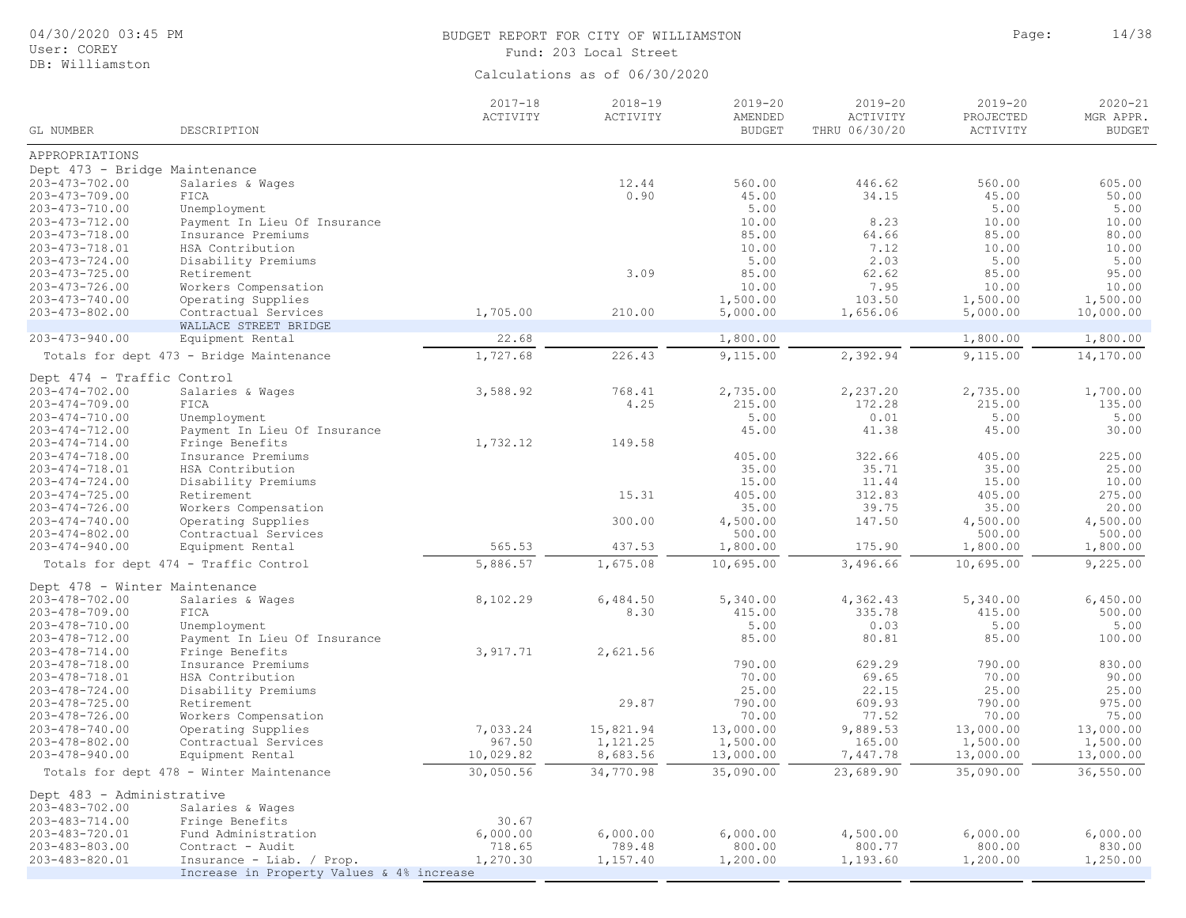| 04/30/2020 03:45 PM<br>User: COREY                    |                                           | BUDGET REPORT FOR CITY OF WILLIAMSTON<br>Fund: 203 Local Street | Page:                         | 14/38                                   |                                          |                                      |                                           |
|-------------------------------------------------------|-------------------------------------------|-----------------------------------------------------------------|-------------------------------|-----------------------------------------|------------------------------------------|--------------------------------------|-------------------------------------------|
| DB: Williamston                                       |                                           |                                                                 | Calculations as of 06/30/2020 |                                         |                                          |                                      |                                           |
| GL NUMBER                                             | DESCRIPTION                               | $2017 - 18$<br>ACTIVITY                                         | $2018 - 19$<br>ACTIVITY       | $2019 - 20$<br>AMENDED<br><b>BUDGET</b> | $2019 - 20$<br>ACTIVITY<br>THRU 06/30/20 | $2019 - 20$<br>PROJECTED<br>ACTIVITY | $2020 - 21$<br>MGR APPR.<br><b>BUDGET</b> |
| APPROPRIATIONS                                        |                                           |                                                                 |                               |                                         |                                          |                                      |                                           |
| Dept 473 - Bridge Maintenance                         |                                           |                                                                 |                               |                                         |                                          |                                      |                                           |
| $203 - 473 - 702.00$                                  | Salaries & Wages                          |                                                                 | 12.44                         | 560.00                                  | 446.62                                   | 560.00                               | 605.00                                    |
| $203 - 473 - 709.00$                                  | FICA                                      |                                                                 | 0.90                          | 45.00                                   | 34.15                                    | 45.00                                | 50.00                                     |
| 203-473-710.00                                        | Unemployment                              |                                                                 |                               | 5.00                                    |                                          | 5.00                                 | 5.00                                      |
| 203-473-712.00                                        | Payment In Lieu Of Insurance              |                                                                 |                               | 10.00                                   | 8.23                                     | 10.00                                | 10.00                                     |
| $203 - 473 - 718.00$                                  | Insurance Premiums                        |                                                                 |                               | 85.00                                   | 64.66                                    | 85.00                                | 80.00                                     |
| 203-473-718.01<br>$203 - 473 - 724.00$                | HSA Contribution<br>Disability Premiums   |                                                                 |                               | 10.00<br>5.00                           | 7.12<br>2.03                             | 10.00<br>5.00                        | 10.00<br>5.00                             |
| $203 - 473 - 725.00$                                  | Retirement                                |                                                                 | 3.09                          | 85.00                                   | 62.62                                    | 85.00                                | 95.00                                     |
| $203 - 473 - 726.00$                                  | Workers Compensation                      |                                                                 |                               | 10.00                                   | 7.95                                     | 10.00                                | 10.00                                     |
| $203 - 473 - 740.00$                                  | Operating Supplies                        |                                                                 |                               | 1,500.00                                | 103.50                                   | 1,500.00                             | 1,500.00                                  |
| $203 - 473 - 802.00$                                  | Contractual Services                      | 1,705.00                                                        | 210.00                        | 5,000.00                                | 1,656.06                                 | 5,000.00                             | 10,000.00                                 |
|                                                       | WALLACE STREET BRIDGE                     |                                                                 |                               |                                         |                                          |                                      |                                           |
| $203 - 473 - 940.00$                                  | Equipment Rental                          | 22.68                                                           |                               | 1,800.00                                |                                          | 1,800.00                             | 1,800.00                                  |
|                                                       | Totals for dept 473 - Bridge Maintenance  | 1,727.68                                                        | 226.43                        | 9,115.00                                | 2,392.94                                 | 9,115.00                             | 14,170.00                                 |
| Dept 474 - Traffic Control                            |                                           |                                                                 |                               |                                         |                                          |                                      |                                           |
| $203 - 474 - 702.00$                                  | Salaries & Wages                          | 3,588.92                                                        | 768.41                        | 2,735.00                                | 2,237.20                                 | 2,735.00                             | 1,700.00                                  |
| $203 - 474 - 709.00$                                  | FICA                                      |                                                                 | 4.25                          | 215.00                                  | 172.28                                   | 215.00                               | 135.00                                    |
| $203 - 474 - 710.00$                                  | Unemployment                              |                                                                 |                               | 5.00                                    | 0.01                                     | 5.00                                 | 5.00                                      |
| $203 - 474 - 712.00$                                  | Payment In Lieu Of Insurance              |                                                                 |                               | 45.00                                   | 41.38                                    | 45.00                                | 30.00                                     |
| $203 - 474 - 714.00$                                  | Fringe Benefits                           | 1,732.12                                                        | 149.58                        |                                         |                                          |                                      |                                           |
| $203 - 474 - 718.00$                                  | Insurance Premiums                        |                                                                 |                               | 405.00                                  | 322.66                                   | 405.00                               | 225.00                                    |
| 203-474-718.01                                        | HSA Contribution                          |                                                                 |                               | 35.00                                   | 35.71                                    | 35.00                                | 25.00                                     |
| $203 - 474 - 724.00$                                  | Disability Premiums                       |                                                                 |                               | 15.00                                   | 11.44                                    | 15.00                                | 10.00                                     |
| $203 - 474 - 725.00$                                  | Retirement                                |                                                                 | 15.31                         | 405.00                                  | 312.83                                   | 405.00                               | 275.00                                    |
| $203 - 474 - 726.00$                                  | Workers Compensation                      |                                                                 |                               | 35.00                                   | 39.75                                    | 35.00                                | 20.00                                     |
| $203 - 474 - 740.00$                                  | Operating Supplies                        |                                                                 | 300.00                        | 4,500.00                                | 147.50                                   | 4,500.00                             | 4,500.00                                  |
| $203 - 474 - 802.00$<br>$203 - 474 - 940.00$          | Contractual Services<br>Equipment Rental  | 565.53                                                          | 437.53                        | 500.00<br>1,800.00                      | 175.90                                   | 500.00<br>1,800.00                   | 500.00<br>1,800.00                        |
|                                                       | Totals for dept 474 - Traffic Control     | 5,886.57                                                        | 1,675.08                      | 10,695.00                               | 3,496.66                                 | 10,695.00                            | 9,225.00                                  |
|                                                       |                                           |                                                                 |                               |                                         |                                          |                                      |                                           |
| Dept 478 - Winter Maintenance<br>$203 - 478 - 702.00$ |                                           |                                                                 |                               |                                         |                                          |                                      |                                           |
| $203 - 478 - 709.00$                                  | Salaries & Wages<br>FICA                  | 8,102.29                                                        | 6,484.50<br>8.30              | 5,340.00<br>415.00                      | 4,362.43<br>335.78                       | 5,340.00<br>415.00                   | 6,450.00<br>500.00                        |
| 203-478-710.00                                        | Unemployment                              |                                                                 |                               | 5.00                                    | 0.03                                     | 5.00                                 | 5.00                                      |
| 203-478-712.00                                        | Payment In Lieu Of Insurance              |                                                                 |                               | 85.00                                   | 80.81                                    | 85.00                                | 100.00                                    |
| $203 - 478 - 714.00$                                  | Fringe Benefits                           | 3,917.71                                                        | 2,621.56                      |                                         |                                          |                                      |                                           |
| $203 - 478 - 718.00$                                  | Insurance Premiums                        |                                                                 |                               | 790.00                                  | 629.29                                   | 790.00                               | 830.00                                    |
| 203-478-718.01                                        | HSA Contribution                          |                                                                 |                               | 70.00                                   | 69.65                                    | 70.00                                | 90.00                                     |
| 203-478-724.00                                        | Disability Premiums                       |                                                                 |                               | 25.00                                   | 22.15                                    | 25.00                                | 25.00                                     |
| $203 - 478 - 725.00$                                  | Retirement                                |                                                                 | 29.87                         | 790.00                                  | 609.93                                   | 790.00                               | 975.00                                    |
| 203-478-726.00                                        | Workers Compensation                      |                                                                 |                               | 70.00                                   | 77.52                                    | 70.00                                | 75.00                                     |
| $203 - 478 - 740.00$                                  | Operating Supplies                        | 7,033.24                                                        | 15,821.94                     | 13,000.00                               | 9,889.53                                 | 13,000.00                            | 13,000.00                                 |
| 203-478-802.00                                        | Contractual Services                      | 967.50                                                          | 1,121.25                      | 1,500.00                                | 165.00                                   | 1,500.00                             | 1,500.00                                  |
| 203-478-940.00                                        | Equipment Rental                          | 10,029.82                                                       | 8,683.56                      | 13,000.00                               | 7,447.78                                 | 13,000.00                            | 13,000.00                                 |
|                                                       | Totals for dept 478 - Winter Maintenance  | 30,050.56                                                       | 34,770.98                     | 35,090.00                               | 23,689.90                                | 35,090.00                            | 36,550.00                                 |
| Dept 483 - Administrative                             |                                           |                                                                 |                               |                                         |                                          |                                      |                                           |
| $203 - 483 - 702.00$                                  | Salaries & Wages                          |                                                                 |                               |                                         |                                          |                                      |                                           |
| $203 - 483 - 714.00$<br>203-483-720.01                | Fringe Benefits<br>Fund Administration    | 30.67<br>6,000.00                                               | 6,000.00                      | 6,000.00                                | 4,500.00                                 | 6,000.00                             | 6,000.00                                  |
| $203 - 483 - 803.00$                                  | Contract - Audit                          | 718.65                                                          | 789.48                        | 800.00                                  | 800.77                                   | 800.00                               | 830.00                                    |
| 203-483-820.01                                        | Insurance - Liab. / Prop.                 | 1,270.30                                                        | 1,157.40                      | 1,200.00                                | 1,193.60                                 | 1,200.00                             | 1,250.00                                  |
|                                                       | Increase in Property Values & 4% increase |                                                                 |                               |                                         |                                          |                                      |                                           |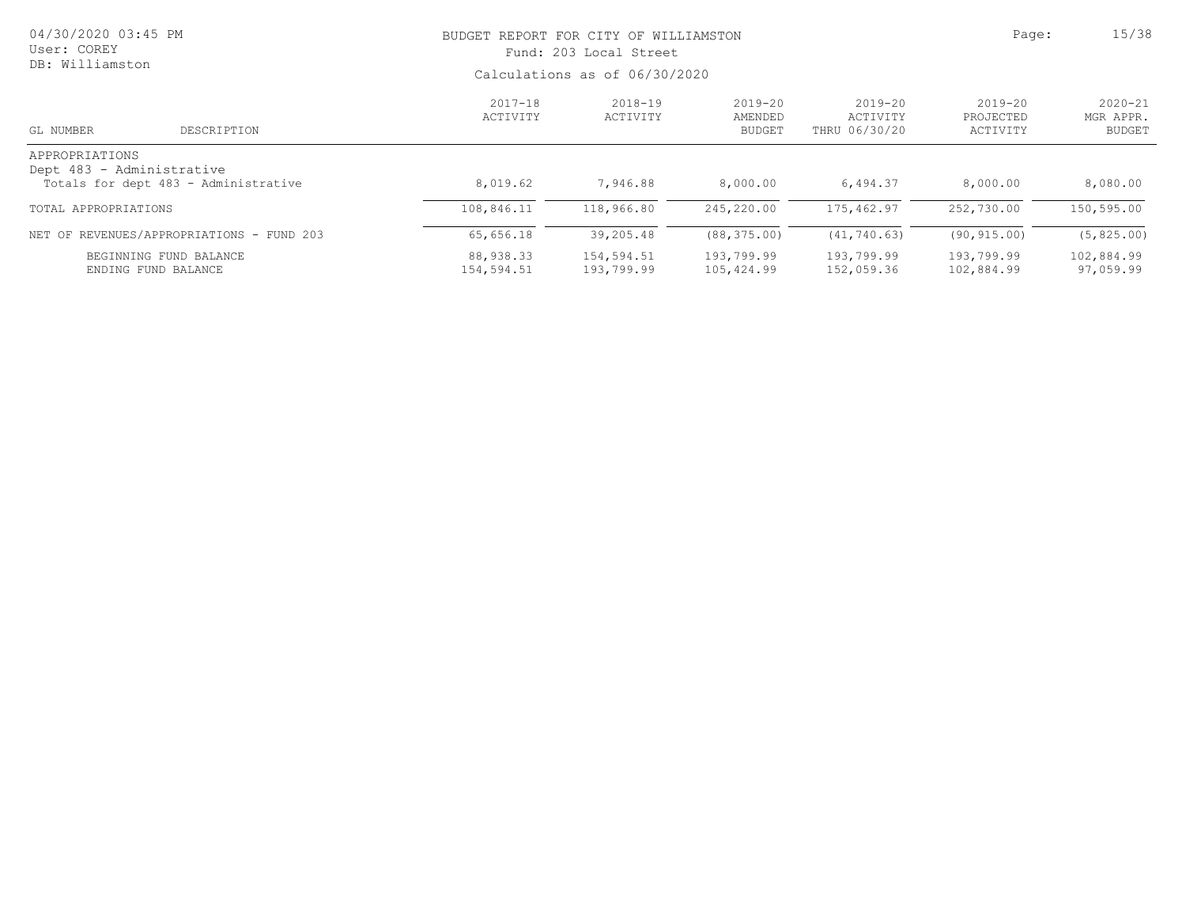| 04/30/2020 03:45 PM<br>User: COREY<br>DB: Williamston |                                           | BUDGET REPORT FOR CITY OF WILLIAMSTON<br>Fund: 203 Local Street | Page:                         | 15/38                                   |                                          |                                      |                                           |  |
|-------------------------------------------------------|-------------------------------------------|-----------------------------------------------------------------|-------------------------------|-----------------------------------------|------------------------------------------|--------------------------------------|-------------------------------------------|--|
|                                                       |                                           |                                                                 | Calculations as of 06/30/2020 |                                         |                                          |                                      |                                           |  |
| GL NUMBER                                             | DESCRIPTION                               | $2017 - 18$<br>ACTIVITY                                         | $2018 - 19$<br>ACTIVITY       | $2019 - 20$<br>AMENDED<br><b>BUDGET</b> | $2019 - 20$<br>ACTIVITY<br>THRU 06/30/20 | $2019 - 20$<br>PROJECTED<br>ACTIVITY | $2020 - 21$<br>MGR APPR.<br><b>BUDGET</b> |  |
| APPROPRIATIONS<br>Dept 483 - Administrative           | Totals for dept 483 - Administrative      | 8,019.62                                                        | 7,946.88                      | 8,000.00                                | 6,494.37                                 | 8,000.00                             | 8,080.00                                  |  |
| TOTAL APPROPRIATIONS                                  |                                           | 108,846.11                                                      | 118,966.80                    | 245,220.00                              | 175,462.97                               | 252,730.00                           | 150,595.00                                |  |
|                                                       | NET OF REVENUES/APPROPRIATIONS - FUND 203 | 65,656.18                                                       | 39,205.48                     | (88, 375, 00)                           | (41, 740.63)                             | (90, 915, 00)                        | (5, 825, 00)                              |  |
| BEGINNING FUND BALANCE<br>ENDING FUND BALANCE         |                                           | 88,938.33<br>154,594.51                                         | 154,594.51<br>193,799.99      | 193,799.99<br>105,424.99                | 193,799.99<br>152,059.36                 | 193,799.99<br>102,884.99             | 102,884.99<br>97,059.99                   |  |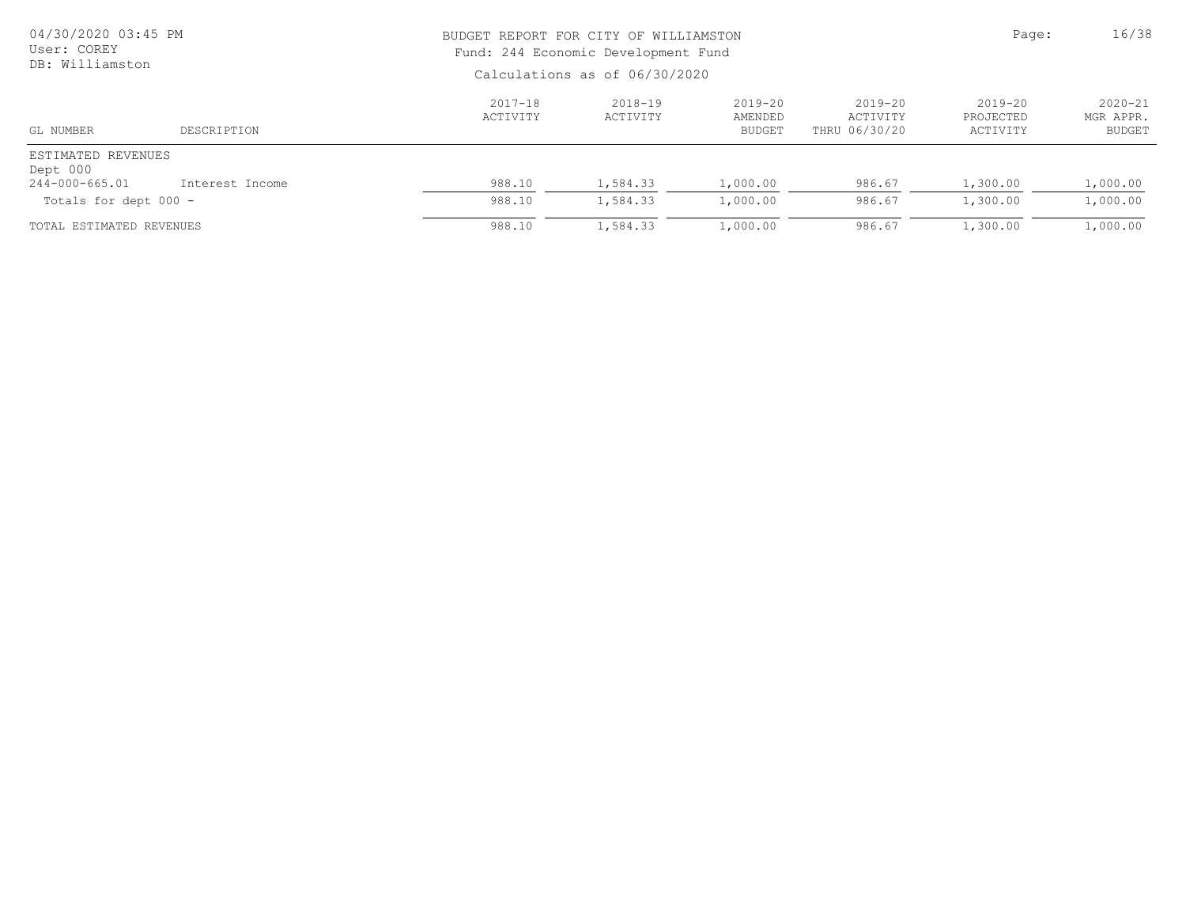| 04/30/2020 03:45 PM<br>User: COREY<br>DB: Williamston |                 |                               | BUDGET REPORT FOR CITY OF WILLIAMSTON<br>Fund: 244 Economic Development Fund |                                         |                                          |                                      |                                    |  |
|-------------------------------------------------------|-----------------|-------------------------------|------------------------------------------------------------------------------|-----------------------------------------|------------------------------------------|--------------------------------------|------------------------------------|--|
|                                                       |                 | Calculations as of 06/30/2020 |                                                                              |                                         |                                          |                                      |                                    |  |
| GL NUMBER                                             | DESCRIPTION     | $2017 - 18$<br>ACTIVITY       | $2018 - 19$<br>ACTIVITY                                                      | $2019 - 20$<br>AMENDED<br><b>BUDGET</b> | $2019 - 20$<br>ACTIVITY<br>THRU 06/30/20 | $2019 - 20$<br>PROJECTED<br>ACTIVITY | $2020 - 21$<br>MGR APPR.<br>BUDGET |  |
| ESTIMATED REVENUES<br>Dept 000                        |                 |                               |                                                                              |                                         |                                          |                                      |                                    |  |
| 244-000-665.01                                        | Interest Income | 988.10                        | 1,584.33                                                                     | 1,000.00                                | 986.67                                   | 1,300.00                             | 1,000.00                           |  |
| Totals for dept 000 -                                 |                 | 988.10                        | 1,584.33                                                                     | 1,000.00                                | 986.67                                   | 1,300.00                             | 1,000.00                           |  |
| TOTAL ESTIMATED REVENUES                              |                 | 988.10                        | 1,584.33                                                                     | 1,000.00                                | 986.67                                   | 1,300.00                             | 1,000.00                           |  |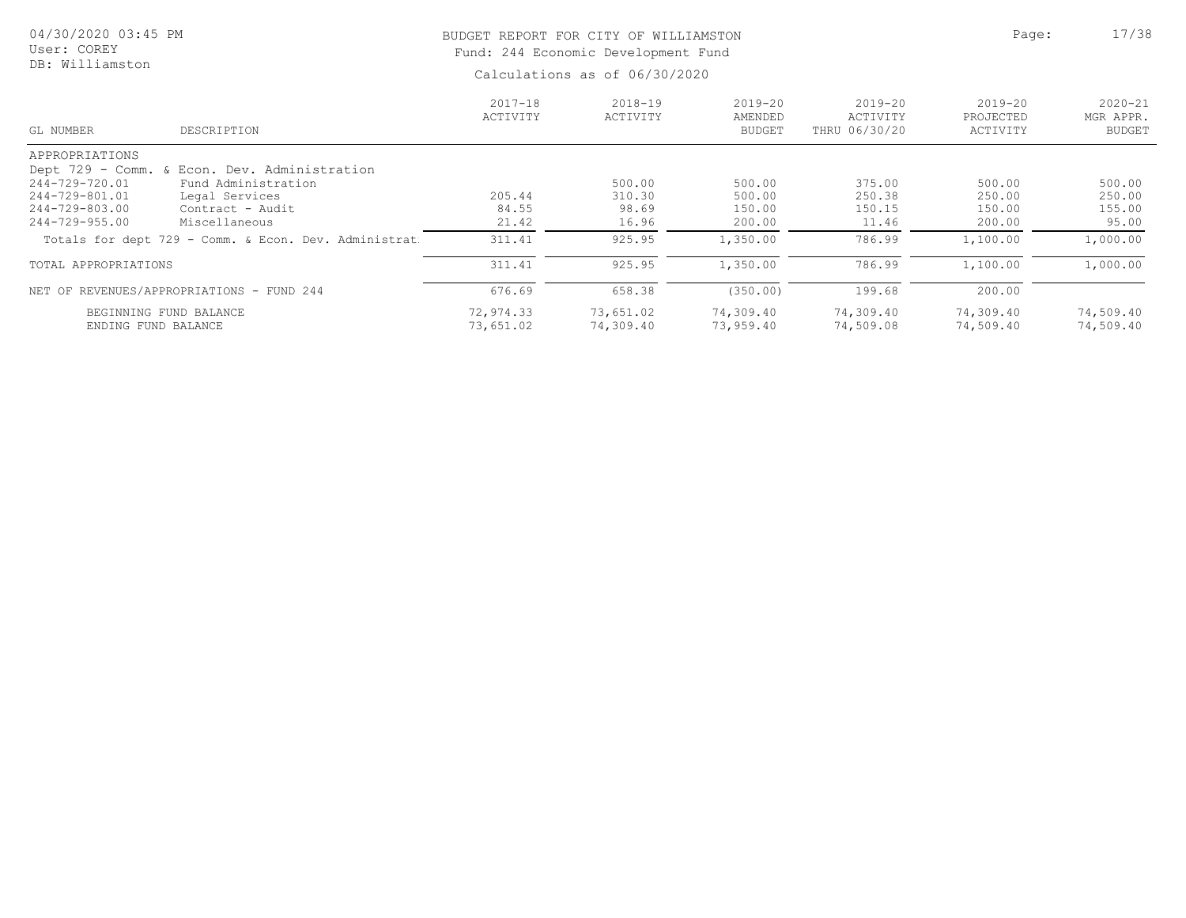# BUDGET REPORT FOR CITY OF WILLIAMSTON **Page:** 17/38 Fund: 244 Economic Development Fund

| DESCRIPTION<br>GL NUMBER                             | $2017 - 18$<br>ACTIVITY | $2018 - 19$<br>ACTIVITY | $2019 - 20$<br>AMENDED<br><b>BUDGET</b> | $2019 - 20$<br>ACTIVITY<br>THRU 06/30/20 | $2019 - 20$<br>PROJECTED<br>ACTIVITY | $2020 - 21$<br>MGR APPR.<br><b>BUDGET</b> |
|------------------------------------------------------|-------------------------|-------------------------|-----------------------------------------|------------------------------------------|--------------------------------------|-------------------------------------------|
| APPROPRIATIONS                                       |                         |                         |                                         |                                          |                                      |                                           |
| Dept 729 - Comm. & Econ. Dev. Administration         |                         |                         |                                         |                                          |                                      |                                           |
| 244-729-720.01<br>Fund Administration                |                         | 500.00                  | 500.00                                  | 375.00                                   | 500.00                               | 500.00                                    |
| 244-729-801.01<br>Legal Services                     | 205.44                  | 310.30                  | 500.00                                  | 250.38                                   | 250.00                               | 250.00                                    |
| 244-729-803.00<br>Contract - Audit                   | 84.55                   | 98.69                   | 150.00                                  | 150.15                                   | 150.00                               | 155.00                                    |
| $244 - 729 - 955.00$<br>Miscellaneous                | 21.42                   | 16.96                   | 200.00                                  | 11.46                                    | 200.00                               | 95.00                                     |
| Totals for dept 729 - Comm. & Econ. Dev. Administrat | 311.41                  | 925.95                  | 1,350.00                                | 786.99                                   | 1,100.00                             | 1,000.00                                  |
| TOTAL APPROPRIATIONS                                 | 311.41                  | 925.95                  | 1,350.00                                | 786.99                                   | 1,100.00                             | 1,000.00                                  |
| NET OF REVENUES/APPROPRIATIONS - FUND 244            | 676.69                  | 658.38                  | (350.00)                                | 199.68                                   | 200.00                               |                                           |
| BEGINNING FUND BALANCE                               | 72,974.33               | 73,651.02               | 74,309.40                               | 74,309.40                                | 74,309.40                            | 74,509.40                                 |
| ENDING FUND BALANCE                                  | 73,651.02               | 74,309.40               | 73,959.40                               | 74,509.08                                | 74,509.40                            | 74,509.40                                 |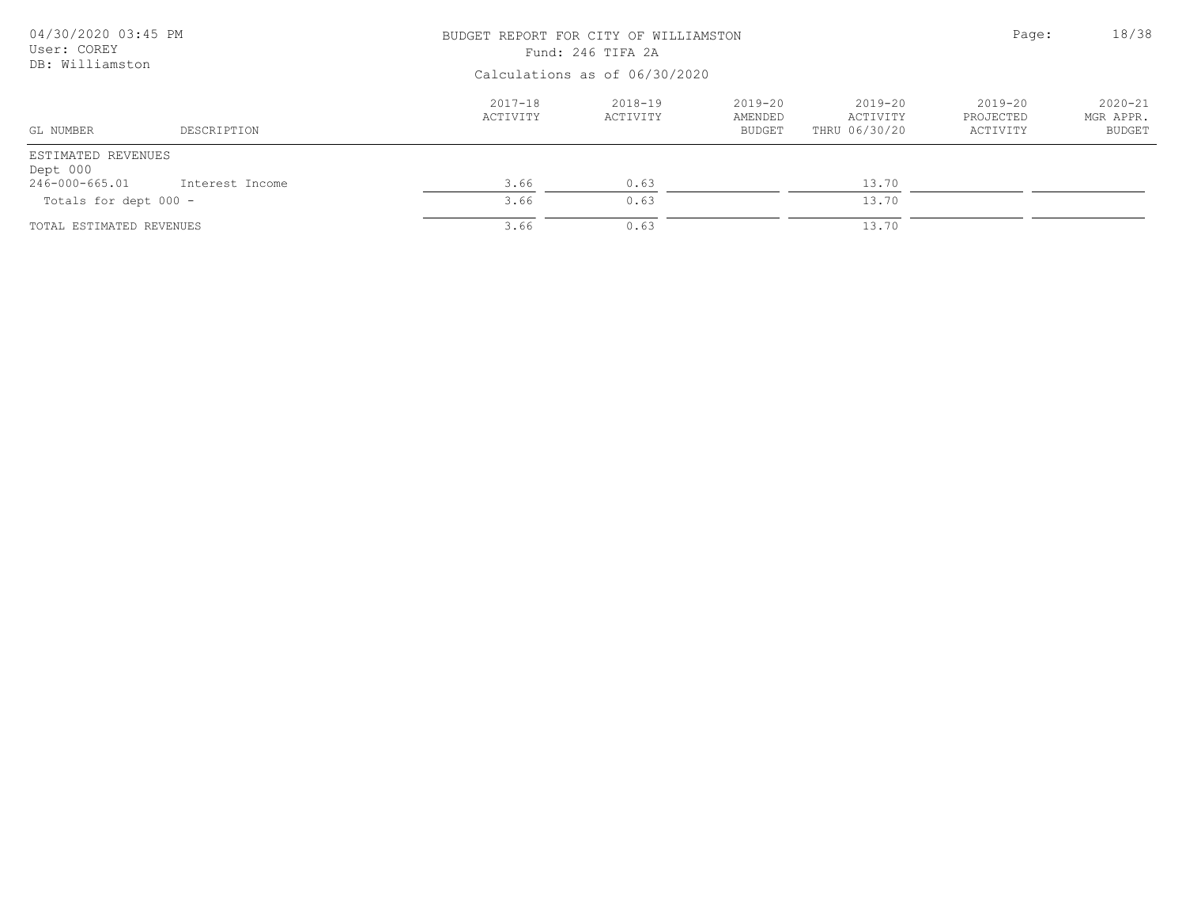| 04/30/2020 03:45 PM<br>User: COREY |                 |                                | BUDGET REPORT FOR CITY OF WILLIAMSTON<br>Fund: 246 TIFA 2A |                                     |                                          |                                  |                                    |  |
|------------------------------------|-----------------|--------------------------------|------------------------------------------------------------|-------------------------------------|------------------------------------------|----------------------------------|------------------------------------|--|
| DB: Williamston                    |                 | Calculations as of 06/30/2020  |                                                            |                                     |                                          |                                  |                                    |  |
| GL NUMBER                          | DESCRIPTION     | $2017 - 18$<br><b>ACTIVITY</b> | 2018-19<br>ACTIVITY                                        | 2019-20<br>AMENDED<br><b>BUDGET</b> | $2019 - 20$<br>ACTIVITY<br>THRU 06/30/20 | 2019-20<br>PROJECTED<br>ACTIVITY | $2020 - 21$<br>MGR APPR.<br>BUDGET |  |
| ESTIMATED REVENUES<br>Dept 000     |                 |                                |                                                            |                                     |                                          |                                  |                                    |  |
| 246-000-665.01                     | Interest Income | 3.66                           | 0.63                                                       |                                     | 13.70                                    |                                  |                                    |  |
| Totals for dept 000 -              |                 | 3.66                           | 0.63                                                       |                                     | 13.70                                    |                                  |                                    |  |
| TOTAL ESTIMATED REVENUES           |                 | 3.66                           | 0.63                                                       |                                     | 13.70                                    |                                  |                                    |  |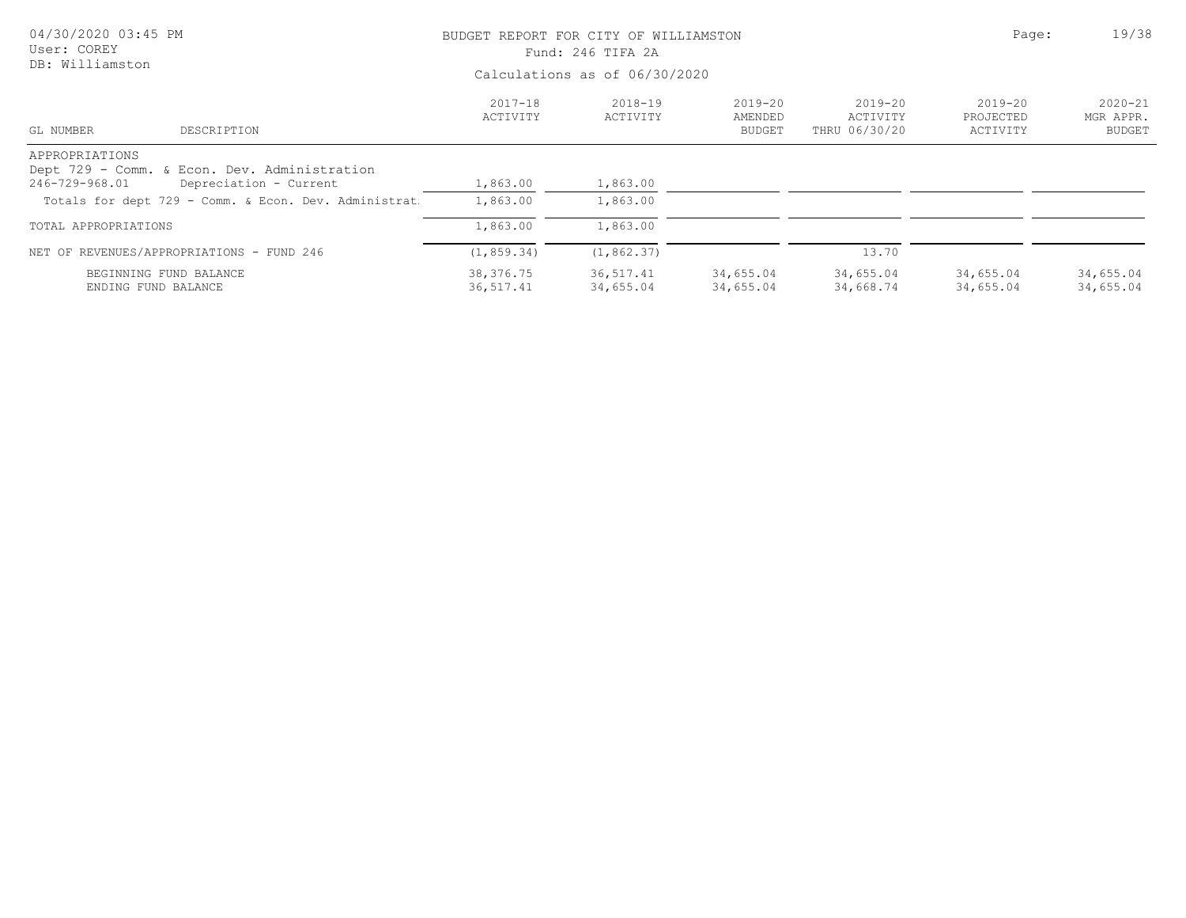| 04/30/2020 03:45 PM<br>User: COREY |                                                                                | BUDGET REPORT FOR CITY OF WILLIAMSTON<br>Fund: 246 TIFA 2A | Page:                   | 19/38                                   |                                          |                                      |                                           |
|------------------------------------|--------------------------------------------------------------------------------|------------------------------------------------------------|-------------------------|-----------------------------------------|------------------------------------------|--------------------------------------|-------------------------------------------|
| DB: Williamston                    |                                                                                |                                                            |                         |                                         |                                          |                                      |                                           |
| GL NUMBER                          | DESCRIPTION                                                                    | $2017 - 18$<br>ACTIVITY                                    | $2018 - 19$<br>ACTIVITY | $2019 - 20$<br>AMENDED<br><b>BUDGET</b> | $2019 - 20$<br>ACTIVITY<br>THRU 06/30/20 | $2019 - 20$<br>PROJECTED<br>ACTIVITY | $2020 - 21$<br>MGR APPR.<br><b>BUDGET</b> |
| APPROPRIATIONS                     | Dept 729 - Comm. & Econ. Dev. Administration                                   |                                                            |                         |                                         |                                          |                                      |                                           |
| 246-729-968.01                     | Depreciation - Current<br>Totals for dept 729 - Comm. & Econ. Dev. Administrat | 1,863.00<br>1,863.00                                       | 1,863.00<br>1,863.00    |                                         |                                          |                                      |                                           |
| TOTAL APPROPRIATIONS               |                                                                                | 1,863.00                                                   | 1,863.00                |                                         |                                          |                                      |                                           |
|                                    | NET OF REVENUES/APPROPRIATIONS - FUND 246                                      | (1, 859.34)                                                | (1, 862.37)             |                                         | 13.70                                    |                                      |                                           |
| ENDING FUND BALANCE                | BEGINNING FUND BALANCE                                                         | 38,376.75<br>36,517.41                                     | 36,517.41<br>34,655.04  | 34,655.04<br>34,655.04                  | 34,655.04<br>34,668.74                   | 34,655.04<br>34,655.04               | 34,655.04<br>34,655.04                    |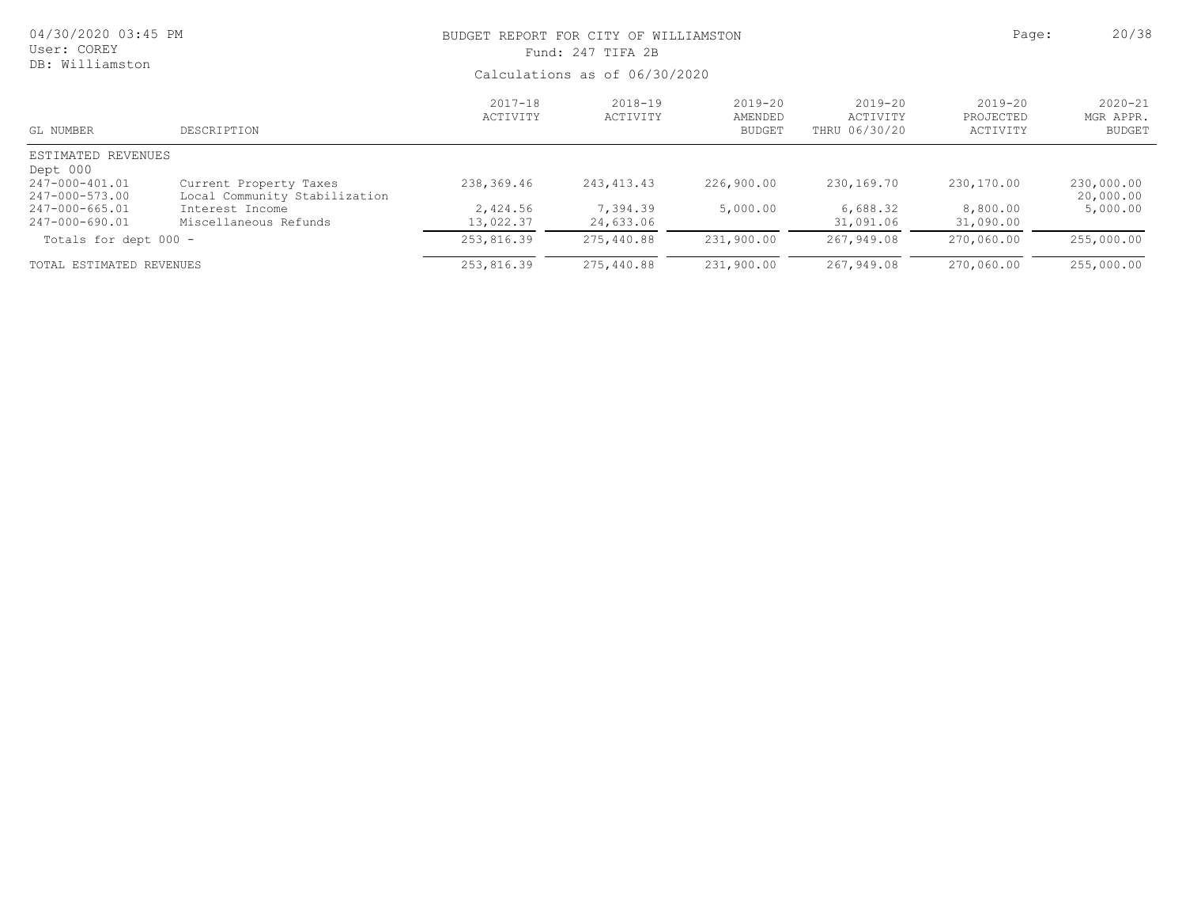| 04/30/2020 03:45 PM<br>User: COREY<br>DB: Williamston |                                                         | BUDGET REPORT FOR CITY OF WILLIAMSTON<br>Fund: 247 TIFA 2B<br>Calculations as of 06/30/2020 | Page:                   | 20/38                               |                                          |                                      |                                           |
|-------------------------------------------------------|---------------------------------------------------------|---------------------------------------------------------------------------------------------|-------------------------|-------------------------------------|------------------------------------------|--------------------------------------|-------------------------------------------|
|                                                       |                                                         |                                                                                             |                         |                                     |                                          |                                      |                                           |
| GL NUMBER                                             | DESCRIPTION                                             | $2017 - 18$<br>ACTIVITY                                                                     | $2018 - 19$<br>ACTIVITY | 2019-20<br>AMENDED<br><b>BUDGET</b> | $2019 - 20$<br>ACTIVITY<br>THRU 06/30/20 | $2019 - 20$<br>PROJECTED<br>ACTIVITY | $2020 - 21$<br>MGR APPR.<br><b>BUDGET</b> |
| ESTIMATED REVENUES                                    |                                                         |                                                                                             |                         |                                     |                                          |                                      |                                           |
| Dept 000<br>247-000-401.01<br>247-000-573.00          | Current Property Taxes<br>Local Community Stabilization | 238,369.46                                                                                  | 243, 413. 43            | 226,900.00                          | 230,169.70                               | 230,170.00                           | 230,000.00<br>20,000.00                   |
| 247-000-665.01<br>247-000-690.01                      | Interest Income<br>Miscellaneous Refunds                | 2,424.56<br>13,022.37                                                                       | 7,394.39<br>24,633.06   | 5,000.00                            | 6,688.32<br>31,091.06                    | 8,800.00<br>31,090.00                | 5,000.00                                  |
| Totals for dept 000 -                                 |                                                         | 253,816.39                                                                                  | 275,440.88              | 231,900.00                          | 267,949.08                               | 270,060.00                           | 255,000.00                                |
| TOTAL ESTIMATED REVENUES                              |                                                         | 253,816.39                                                                                  | 275,440.88              | 231,900.00                          | 267,949.08                               | 270,060.00                           | 255,000.00                                |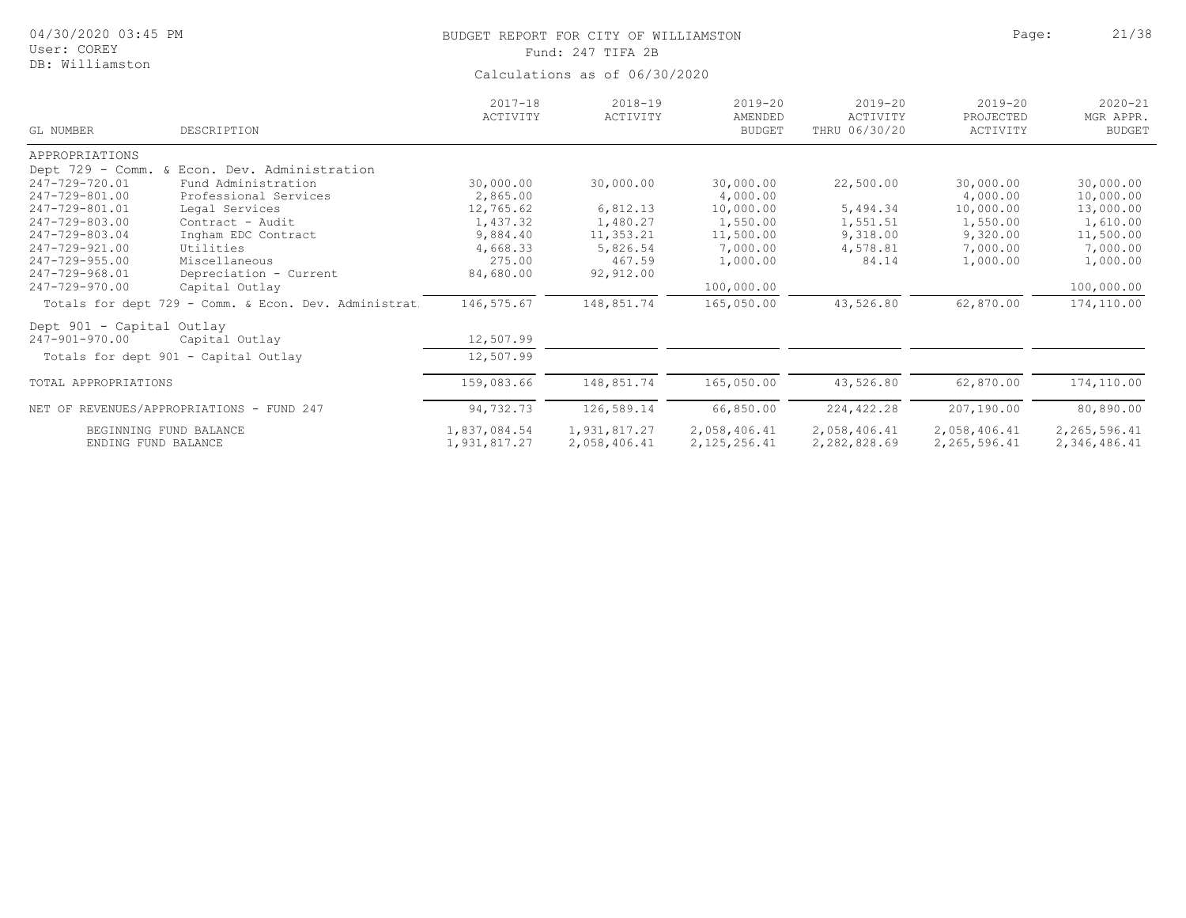| 04/30/2020 03:45 PM<br>User: COREY<br>DB: Williamston |                                                      | BUDGET REPORT FOR CITY OF WILLIAMSTON<br>Fund: 247 TIFA 2B<br>Calculations as of 06/30/2020 | Page:                   | 21/38                                   |                                          |                                      |                                           |
|-------------------------------------------------------|------------------------------------------------------|---------------------------------------------------------------------------------------------|-------------------------|-----------------------------------------|------------------------------------------|--------------------------------------|-------------------------------------------|
| GL NUMBER                                             | DESCRIPTION                                          | $2017 - 18$<br>ACTIVITY                                                                     | $2018 - 19$<br>ACTIVITY | $2019 - 20$<br>AMENDED<br><b>BUDGET</b> | $2019 - 20$<br>ACTIVITY<br>THRU 06/30/20 | $2019 - 20$<br>PROJECTED<br>ACTIVITY | $2020 - 21$<br>MGR APPR.<br><b>BUDGET</b> |
| APPROPRIATIONS                                        |                                                      |                                                                                             |                         |                                         |                                          |                                      |                                           |
|                                                       | Dept 729 - Comm. & Econ. Dev. Administration         |                                                                                             |                         |                                         |                                          |                                      |                                           |
| 247-729-720.01                                        | Fund Administration                                  | 30,000.00                                                                                   | 30,000.00               | 30,000.00                               | 22,500.00                                | 30,000.00                            | 30,000.00                                 |
| 247-729-801.00                                        | Professional Services                                | 2,865.00                                                                                    |                         | 4,000.00                                |                                          | 4,000.00                             | 10,000.00                                 |
| 247-729-801.01                                        | Legal Services                                       | 12,765.62                                                                                   | 6,812.13                | 10,000.00                               | 5,494.34                                 | 10,000.00                            | 13,000.00                                 |
| 247-729-803.00                                        | Contract - Audit                                     | 1,437.32                                                                                    | 1,480.27                | 1,550.00                                | 1,551.51                                 | 1,550.00                             | 1,610.00                                  |
| 247-729-803.04                                        | Ingham EDC Contract                                  | 9,884.40                                                                                    | 11,353.21               | 11,500.00                               | 9,318.00                                 | 9,320.00                             | 11,500.00                                 |
| 247-729-921.00                                        | Utilities                                            | 4,668.33                                                                                    | 5,826.54                | 7,000.00                                | 4,578.81                                 | 7,000.00                             | 7,000.00                                  |
| 247-729-955.00                                        | Miscellaneous                                        | 275.00                                                                                      | 467.59                  | 1,000.00                                | 84.14                                    | 1,000.00                             | 1,000.00                                  |
| 247-729-968.01                                        | Depreciation - Current                               | 84,680.00                                                                                   | 92,912.00               |                                         |                                          |                                      |                                           |
| 247-729-970.00                                        | Capital Outlay                                       |                                                                                             |                         | 100,000.00                              |                                          |                                      | 100,000.00                                |
|                                                       | Totals for dept 729 - Comm. & Econ. Dev. Administrat | 146,575.67                                                                                  | 148,851.74              | 165,050.00                              | 43,526.80                                | 62,870.00                            | 174,110.00                                |
| Dept 901 - Capital Outlay                             |                                                      |                                                                                             |                         |                                         |                                          |                                      |                                           |
| 247-901-970.00                                        | Capital Outlay                                       | 12,507.99                                                                                   |                         |                                         |                                          |                                      |                                           |
|                                                       | Totals for dept 901 - Capital Outlay                 | 12,507.99                                                                                   |                         |                                         |                                          |                                      |                                           |
| TOTAL APPROPRIATIONS                                  |                                                      | 159,083.66                                                                                  | 148,851.74              | 165,050.00                              | 43,526.80                                | 62,870.00                            | 174,110.00                                |
|                                                       | NET OF REVENUES/APPROPRIATIONS - FUND 247            | 94,732.73                                                                                   | 126,589.14              | 66,850.00                               | 224, 422.28                              | 207,190.00                           | 80,890.00                                 |

ENDING FUND BALANCE 1,931,817.27 2,058,406.41 2,125,256.41 2,282,828.69 2,265,596.41 2,346,486.41 BEGINNING FUND BALANCE 1,837,084.54 1,931,817.27 2,058,406.41 2,058,406.41 2,058,406.41 2,265,596.41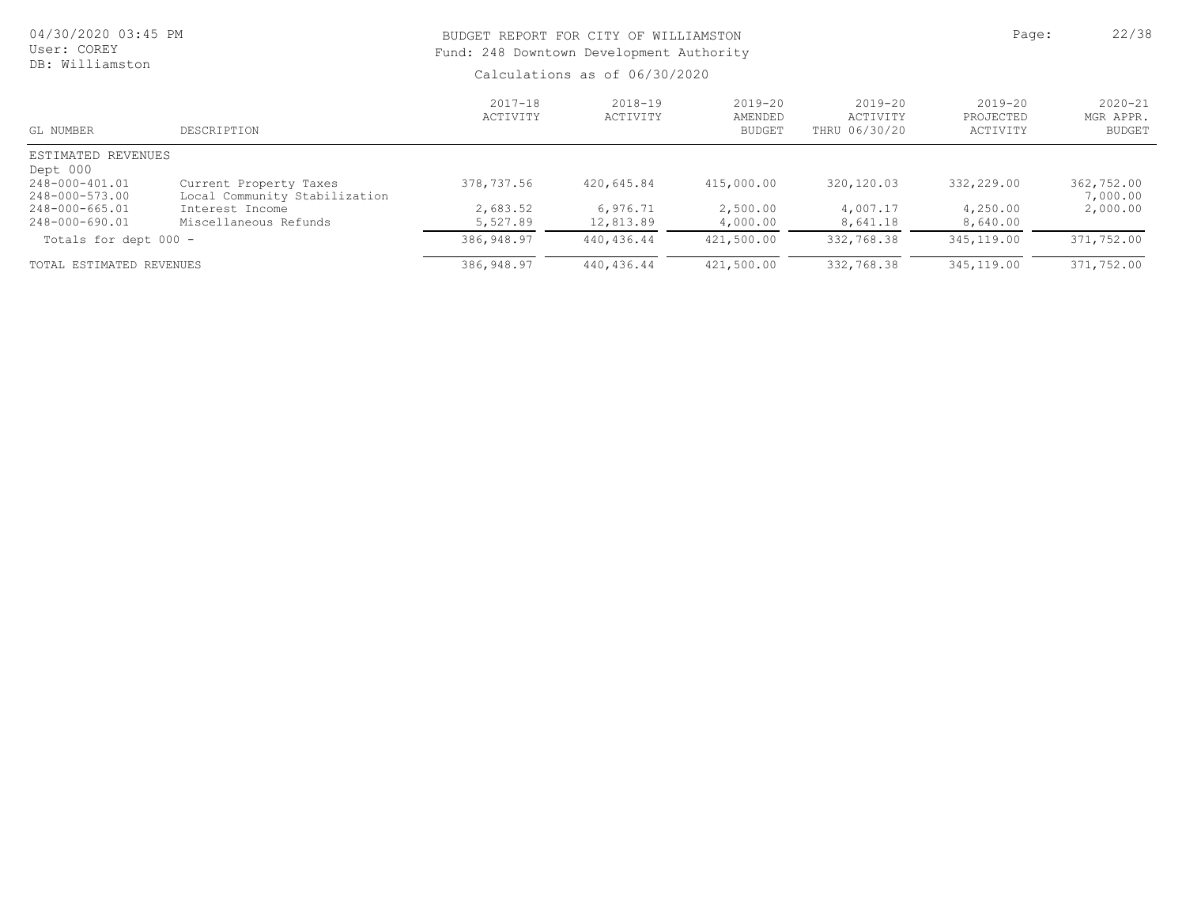| 04/30/2020 03:45 PM<br>User: COREY<br>DB: Williamston |                                                         | Fund: 248 Downtown Development Authority | BUDGET REPORT FOR CITY OF WILLIAMSTON | Page:                                   | 22/38                                    |                                      |                                           |
|-------------------------------------------------------|---------------------------------------------------------|------------------------------------------|---------------------------------------|-----------------------------------------|------------------------------------------|--------------------------------------|-------------------------------------------|
|                                                       |                                                         |                                          | Calculations as of 06/30/2020         |                                         |                                          |                                      |                                           |
| GL NUMBER                                             | DESCRIPTION                                             | $2017 - 18$<br>ACTIVITY                  | $2018 - 19$<br>ACTIVITY               | $2019 - 20$<br>AMENDED<br><b>BUDGET</b> | $2019 - 20$<br>ACTIVITY<br>THRU 06/30/20 | $2019 - 20$<br>PROJECTED<br>ACTIVITY | $2020 - 21$<br>MGR APPR.<br><b>BUDGET</b> |
| ESTIMATED REVENUES<br>Dept 000                        |                                                         |                                          |                                       |                                         |                                          |                                      |                                           |
| 248-000-401.01<br>248-000-573.00                      | Current Property Taxes<br>Local Community Stabilization | 378,737.56                               | 420,645.84                            | 415,000.00                              | 320,120.03                               | 332,229.00                           | 362,752.00<br>7,000.00                    |
| 248-000-665.01<br>248-000-690.01                      | Interest Income<br>Miscellaneous Refunds                | 2,683.52<br>5,527.89                     | 6,976.71<br>12,813.89                 | 2,500.00<br>4,000.00                    | 4,007.17<br>8,641.18                     | 4,250.00<br>8,640.00                 | 2,000.00                                  |
| Totals for dept 000 -                                 |                                                         | 386,948.97                               | 440,436.44                            | 421,500.00                              | 332,768.38                               | 345,119.00                           | 371,752.00                                |
| TOTAL ESTIMATED REVENUES                              |                                                         | 386,948.97                               | 440,436.44                            | 421,500.00                              | 332,768.38                               | 345,119.00                           | 371,752.00                                |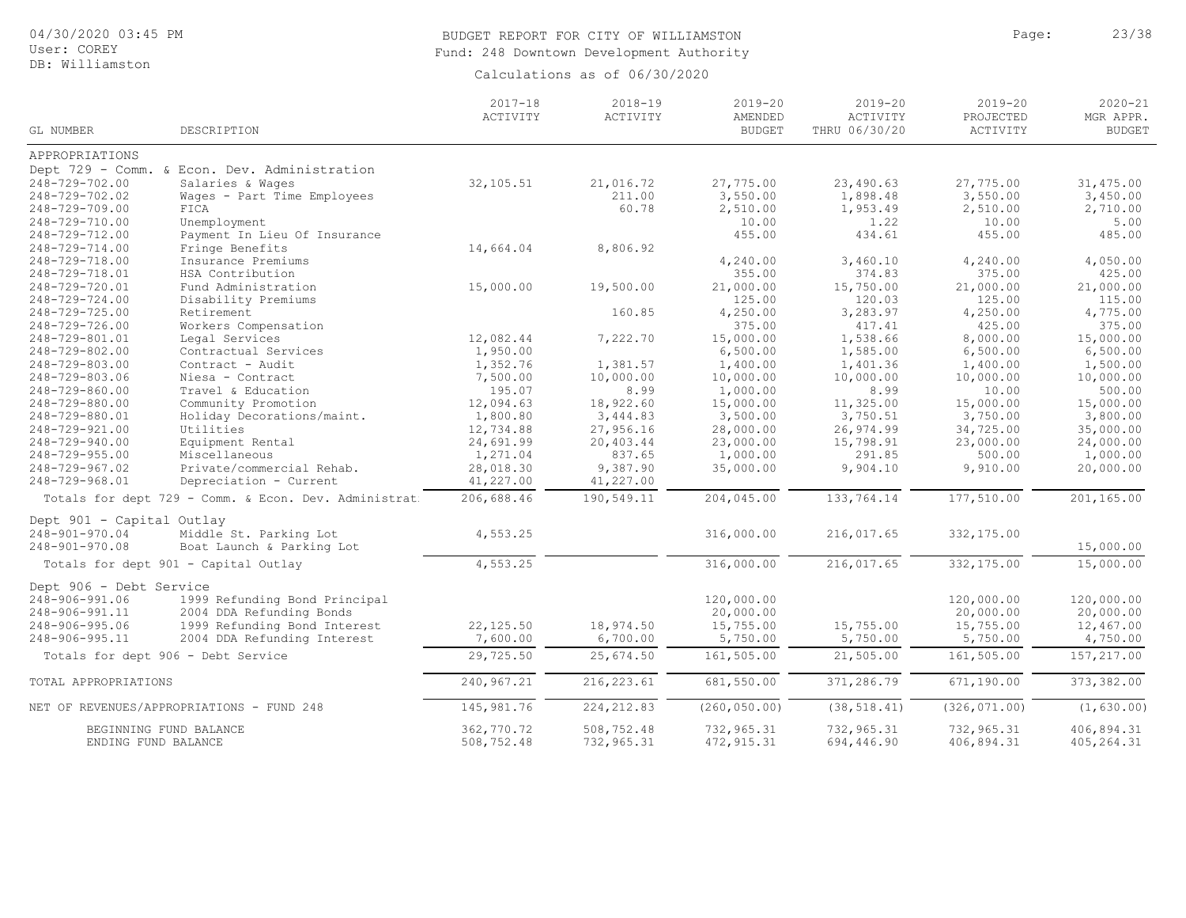# 04/30/2020 03:45 PM

User: COREY DB: Williamston

# BUDGET REPORT FOR CITY OF WILLIAMSTON Page: 23/38 Fund: 248 Downtown Development Authority

|                           |                                                      | $2017 - 18$<br>ACTIVITY | $2018 - 19$<br>ACTIVITY | $2019 - 20$<br>AMENDED | $2019 - 20$<br>ACTIVITY | $2019 - 20$<br>PROJECTED | $2020 - 21$<br>MGR APPR. |
|---------------------------|------------------------------------------------------|-------------------------|-------------------------|------------------------|-------------------------|--------------------------|--------------------------|
| GL NUMBER                 | DESCRIPTION                                          |                         |                         | <b>BUDGET</b>          | THRU 06/30/20           | ACTIVITY                 | <b>BUDGET</b>            |
| APPROPRIATIONS            |                                                      |                         |                         |                        |                         |                          |                          |
|                           | Dept 729 - Comm. & Econ. Dev. Administration         |                         |                         |                        |                         |                          |                          |
| 248-729-702.00            | Salaries & Wages                                     | 32,105.51               | 21,016.72               | 27,775.00              | 23,490.63               | 27,775.00                | 31, 475.00               |
| 248-729-702.02            | Wages - Part Time Employees                          |                         | 211.00                  | 3,550.00               | 1,898.48                | 3,550.00                 | 3,450.00                 |
| 248-729-709.00            | FICA                                                 |                         | 60.78                   | 2,510.00               | 1,953.49                | 2,510.00                 | 2,710.00                 |
| 248-729-710.00            | Unemployment                                         |                         |                         | 10.00                  | 1.22                    | 10.00                    | 5.00                     |
| 248-729-712.00            | Payment In Lieu Of Insurance                         |                         |                         | 455.00                 | 434.61                  | 455.00                   | 485.00                   |
| 248-729-714.00            | Fringe Benefits                                      | 14,664.04               | 8,806.92                |                        |                         |                          |                          |
| 248-729-718.00            | Insurance Premiums                                   |                         |                         | 4,240.00               | 3,460.10                | 4,240.00                 | 4,050.00                 |
| 248-729-718.01            | HSA Contribution                                     |                         |                         | 355.00                 | 374.83                  | 375.00                   | 425.00                   |
| 248-729-720.01            | Fund Administration                                  | 15,000.00               | 19,500.00               | 21,000.00              | 15,750.00               | 21,000.00                | 21,000.00                |
| 248-729-724.00            | Disability Premiums                                  |                         |                         | 125.00                 | 120.03                  | 125.00                   | 115.00                   |
| 248-729-725.00            | Retirement                                           |                         | 160.85                  | 4,250.00               | 3,283.97                | 4,250.00                 | 4,775.00                 |
| 248-729-726.00            | Workers Compensation                                 |                         |                         | 375.00                 | 417.41                  | 425.00                   | 375.00                   |
| 248-729-801.01            | Legal Services                                       | 12,082.44               | 7,222.70                | 15,000.00              | 1,538.66                | 8,000.00                 | 15,000.00                |
| 248-729-802.00            | Contractual Services                                 | 1,950.00                |                         | 6,500.00               | 1,585.00                | 6,500.00                 | 6,500.00                 |
| 248-729-803.00            | Contract - Audit                                     | 1,352.76                | 1,381.57                | 1,400.00               | 1,401.36                | 1,400.00                 | 1,500.00                 |
| 248-729-803.06            | Niesa - Contract                                     | 7,500.00                | 10,000.00               | 10,000.00              | 10,000.00               | 10,000.00                | 10,000.00                |
| 248-729-860.00            | Travel & Education                                   | 195.07                  | 8.99                    | 1,000.00               | 8.99                    | 10.00                    | 500.00                   |
| 248-729-880.00            | Community Promotion                                  | 12,094.63               | 18,922.60               | 15,000.00              | 11,325.00               | 15,000.00                | 15,000.00                |
| 248-729-880.01            | Holiday Decorations/maint.                           | 1,800.80                | 3,444.83                | 3,500.00               | 3,750.51                | 3,750.00                 | 3,800.00                 |
| 248-729-921.00            | Utilities                                            | 12,734.88               | 27,956.16               | 28,000.00              | 26,974.99               | 34,725.00                | 35,000.00                |
| 248-729-940.00            | Equipment Rental                                     | 24,691.99               | 20,403.44               | 23,000.00              | 15,798.91               | 23,000.00                | 24,000.00                |
| $248 - 729 - 955.00$      | Miscellaneous                                        | 1,271.04                | 837.65                  | 1,000.00               | 291.85                  | 500.00                   | 1,000.00                 |
| 248-729-967.02            | Private/commercial Rehab.                            | 28,018.30               | 9,387.90                | 35,000.00              | 9,904.10                | 9,910.00                 | 20,000.00                |
| 248-729-968.01            | Depreciation - Current                               | 41,227.00               | 41,227.00               |                        |                         |                          |                          |
|                           | Totals for dept 729 - Comm. & Econ. Dev. Administrat | 206,688.46              | 190,549.11              | 204,045.00             | 133,764.14              | 177,510.00               | 201,165.00               |
| Dept 901 - Capital Outlay |                                                      |                         |                         |                        |                         |                          |                          |
| 248-901-970.04            | Middle St. Parking Lot                               | 4,553.25                |                         | 316,000.00             | 216,017.65              | 332,175.00               |                          |
| 248-901-970.08            | Boat Launch & Parking Lot                            |                         |                         |                        |                         |                          | 15,000.00                |
|                           | Totals for dept 901 - Capital Outlay                 | 4, 553.25               |                         | 316,000.00             | 216,017.65              | 332, 175.00              | 15,000.00                |
| Dept 906 - Debt Service   |                                                      |                         |                         |                        |                         |                          |                          |
| 248-906-991.06            | 1999 Refunding Bond Principal                        |                         |                         | 120,000.00             |                         | 120,000.00               | 120,000.00               |
| 248-906-991.11            | 2004 DDA Refunding Bonds                             |                         |                         | 20,000.00              |                         | 20,000.00                | 20,000.00                |
| 248-906-995.06            | 1999 Refunding Bond Interest                         | 22,125.50               | 18,974.50               | 15,755.00              | 15,755.00               | 15,755.00                | 12,467.00                |
| 248-906-995.11            | 2004 DDA Refunding Interest                          | 7,600.00                | 6,700.00                | 5,750.00               | 5,750.00                | 5,750.00                 | 4,750.00                 |
|                           |                                                      |                         |                         |                        |                         |                          |                          |
|                           | Totals for dept 906 - Debt Service                   | 29,725.50               | 25,674.50               | 161,505.00             | 21,505.00               | 161,505.00               | 157, 217.00              |
| TOTAL APPROPRIATIONS      |                                                      | 240,967.21              | 216, 223.61             | 681,550.00             | 371,286.79              | 671,190.00               | 373, 382.00              |
|                           | NET OF REVENUES/APPROPRIATIONS - FUND 248            | 145,981.76              | 224, 212.83             | (260, 050.00)          | (38, 518.41)            | (326, 071.00)            | (1, 630.00)              |
|                           | BEGINNING FUND BALANCE                               | 362,770.72              | 508,752.48              | 732,965.31             | 732,965.31              | 732,965.31               | 406,894.31               |
| ENDING FUND BALANCE       |                                                      | 508,752.48              | 732,965.31              | 472, 915.31            | 694,446.90              | 406,894.31               | 405, 264.31              |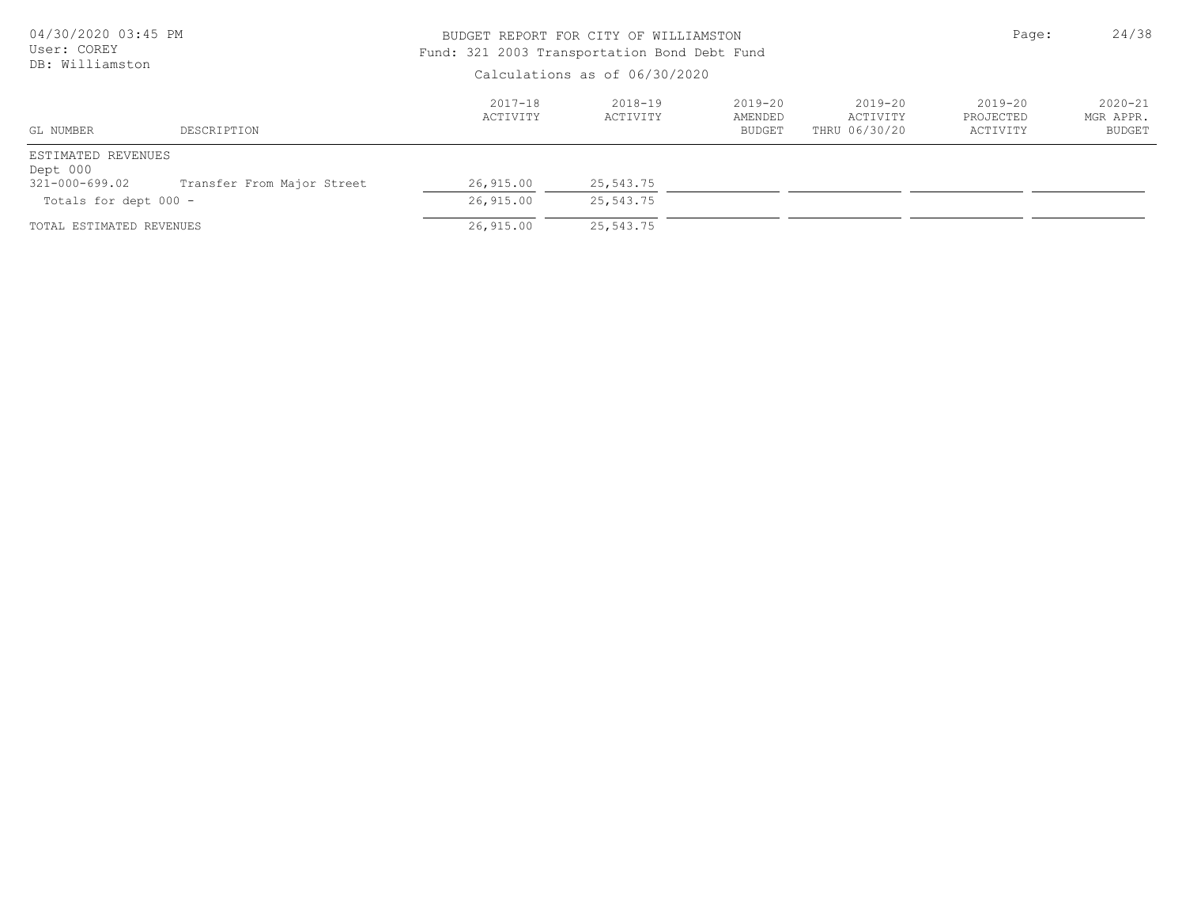| 04/30/2020 03:45 PM<br>User: COREY |                            |                         | BUDGET REPORT FOR CITY OF WILLIAMSTON<br>Fund: 321 2003 Transportation Bond Debt Fund<br>Calculations as of 06/30/2020 |                                         |                                          |                                      |                                    |  |
|------------------------------------|----------------------------|-------------------------|------------------------------------------------------------------------------------------------------------------------|-----------------------------------------|------------------------------------------|--------------------------------------|------------------------------------|--|
| DB: Williamston                    |                            |                         |                                                                                                                        |                                         |                                          |                                      |                                    |  |
| GL NUMBER                          | DESCRIPTION                | $2017 - 18$<br>ACTIVITY | $2018 - 19$<br>ACTIVITY                                                                                                | $2019 - 20$<br>AMENDED<br><b>BUDGET</b> | $2019 - 20$<br>ACTIVITY<br>THRU 06/30/20 | $2019 - 20$<br>PROJECTED<br>ACTIVITY | $2020 - 21$<br>MGR APPR.<br>BUDGET |  |
| ESTIMATED REVENUES<br>Dept 000     |                            |                         |                                                                                                                        |                                         |                                          |                                      |                                    |  |
| 321-000-699.02                     | Transfer From Major Street | 26,915.00               | 25,543.75                                                                                                              |                                         |                                          |                                      |                                    |  |
| Totals for dept 000 -              |                            | 26,915.00               | 25,543.75                                                                                                              |                                         |                                          |                                      |                                    |  |
| TOTAL ESTIMATED REVENUES           |                            | 26,915.00               | 25,543.75                                                                                                              |                                         |                                          |                                      |                                    |  |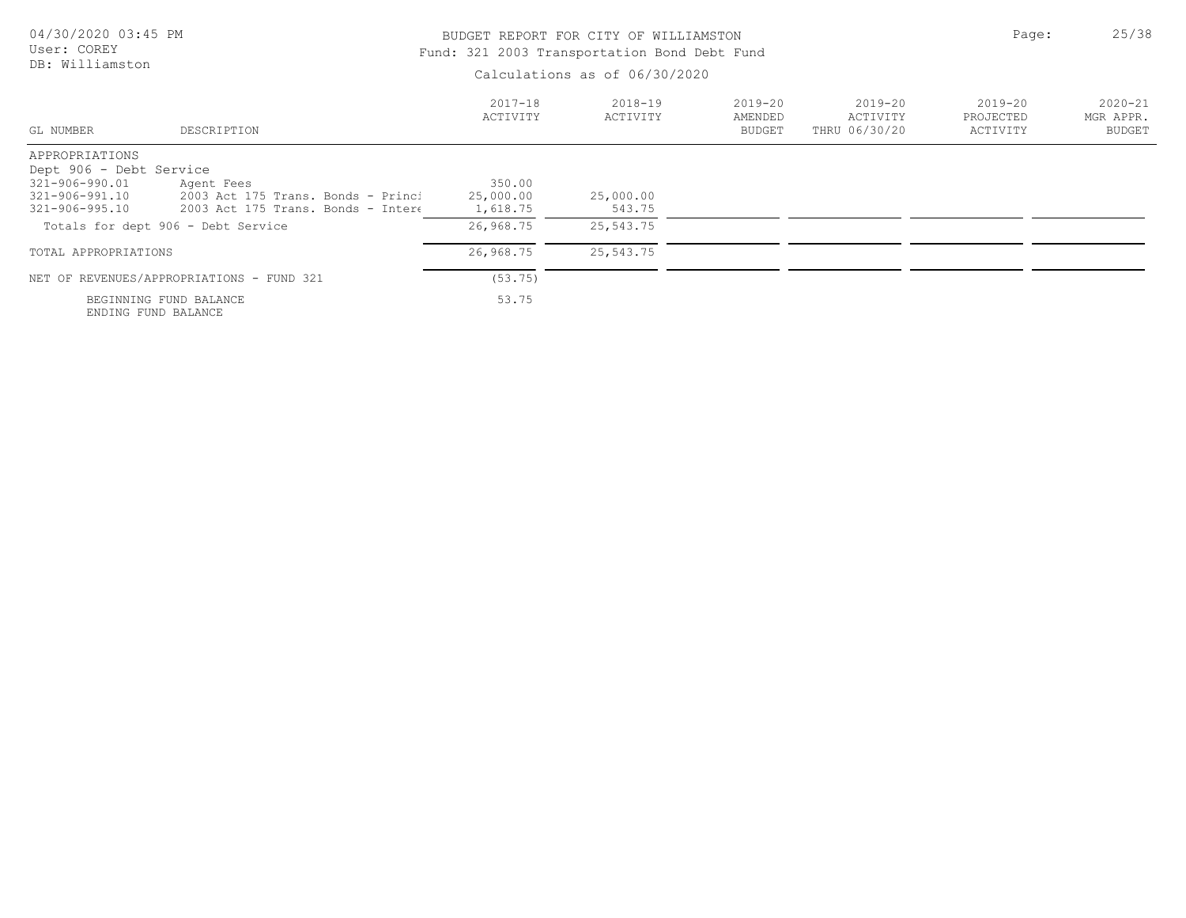DB: Williamston

# BUDGET REPORT FOR CITY OF WILLIAMSTON **Page:** 25/38 Fund: 321 2003 Transportation Bond Debt Fund

| GL NUMBER               | DESCRIPTION                                   | $2017 - 18$<br><b>ACTIVITY</b> | 2018-19<br>ACTIVITY | 2019-20<br>AMENDED<br><b>BUDGET</b> | 2019-20<br>ACTIVITY<br>THRU 06/30/20 | 2019-20<br>PROJECTED<br>ACTIVITY | $2020 - 21$<br>MGR APPR.<br><b>BUDGET</b> |
|-------------------------|-----------------------------------------------|--------------------------------|---------------------|-------------------------------------|--------------------------------------|----------------------------------|-------------------------------------------|
| APPROPRIATIONS          |                                               |                                |                     |                                     |                                      |                                  |                                           |
| Dept 906 - Debt Service |                                               |                                |                     |                                     |                                      |                                  |                                           |
| 321-906-990.01          | Agent Fees                                    | 350.00                         |                     |                                     |                                      |                                  |                                           |
| 321-906-991.10          | 2003 Act 175 Trans. Bonds - Princi            | 25,000.00                      | 25,000.00           |                                     |                                      |                                  |                                           |
| 321-906-995.10          | 2003 Act 175 Trans. Bonds - Intere            | 1,618.75                       | 543.75              |                                     |                                      |                                  |                                           |
|                         | Totals for dept 906 - Debt Service            | 26,968.75                      | 25,543.75           |                                     |                                      |                                  |                                           |
| TOTAL APPROPRIATIONS    |                                               | 26,968.75                      | 25,543.75           |                                     |                                      |                                  |                                           |
|                         | NET OF REVENUES/APPROPRIATIONS - FUND 321     | (53.75)                        |                     |                                     |                                      |                                  |                                           |
|                         | BEGINNING FUND BALANCE<br>ENDING FUND BALANCE | 53.75                          |                     |                                     |                                      |                                  |                                           |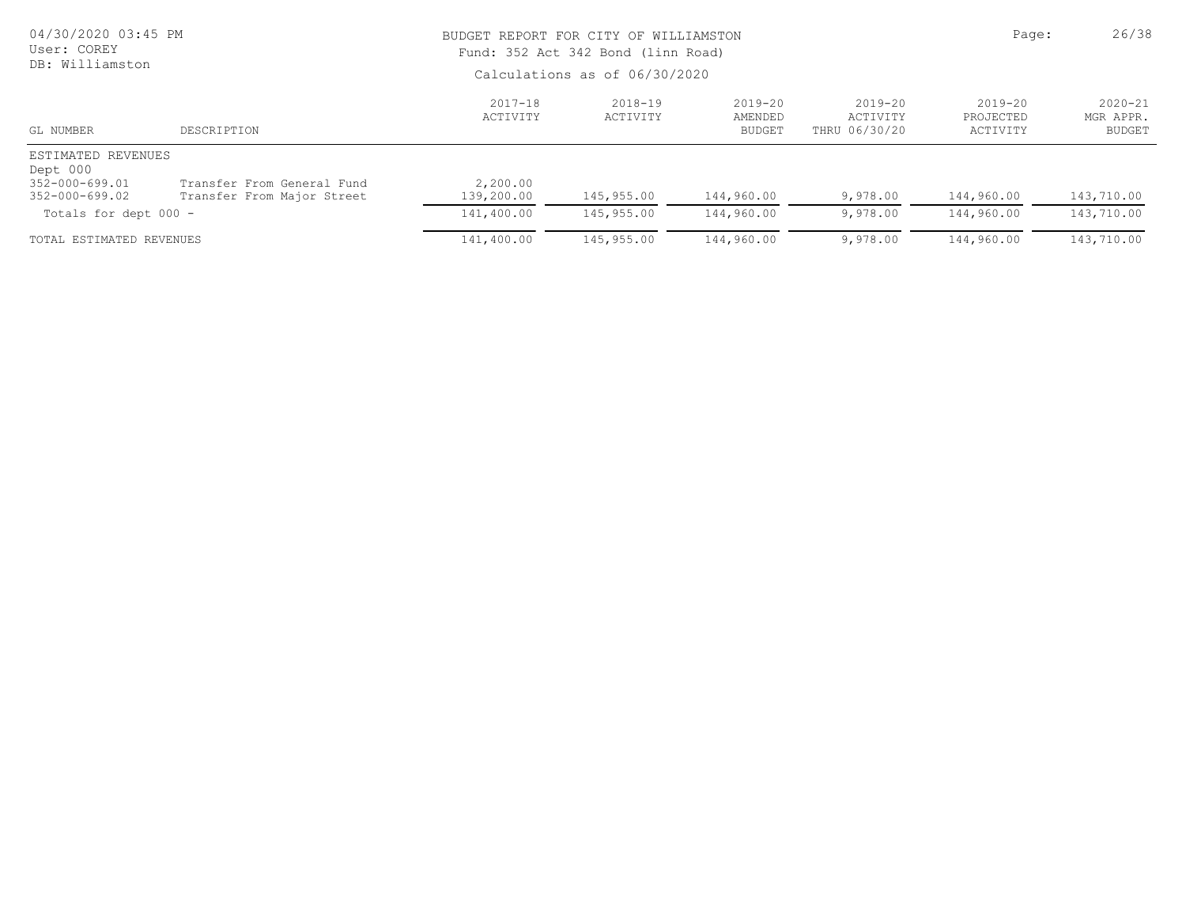| 04/30/2020 03:45 PM<br>User: COREY<br>DB: Williamston                    |                                                          |                         | BUDGET REPORT FOR CITY OF WILLIAMSTON<br>Fund: 352 Act 342 Bond (linn Road)<br>Calculations as of 06/30/2020 |                                  |                                          |                                      |                                    |  |  |
|--------------------------------------------------------------------------|----------------------------------------------------------|-------------------------|--------------------------------------------------------------------------------------------------------------|----------------------------------|------------------------------------------|--------------------------------------|------------------------------------|--|--|
| GL NUMBER                                                                | DESCRIPTION                                              | $2017 - 18$<br>ACTIVITY | $2018 - 19$<br>ACTIVITY                                                                                      | $2019 - 20$<br>AMENDED<br>BUDGET | $2019 - 20$<br>ACTIVITY<br>THRU 06/30/20 | $2019 - 20$<br>PROJECTED<br>ACTIVITY | $2020 - 21$<br>MGR APPR.<br>BUDGET |  |  |
| ESTIMATED REVENUES<br>Dept 000<br>352-000-699.01<br>$352 - 000 - 699.02$ | Transfer From General Fund<br>Transfer From Major Street | 2,200.00<br>139,200.00  | 145,955.00                                                                                                   | 144,960.00                       | 9,978.00                                 | 144,960.00                           | 143,710.00                         |  |  |
| Totals for dept 000 -                                                    |                                                          | 141,400.00              | 145,955.00                                                                                                   | 144,960.00                       | 9,978.00                                 | 144,960.00                           | 143,710.00                         |  |  |
| TOTAL ESTIMATED REVENUES                                                 |                                                          | 141,400.00              | 145,955.00                                                                                                   | 144,960.00                       | 9,978.00                                 | 144,960.00                           | 143,710.00                         |  |  |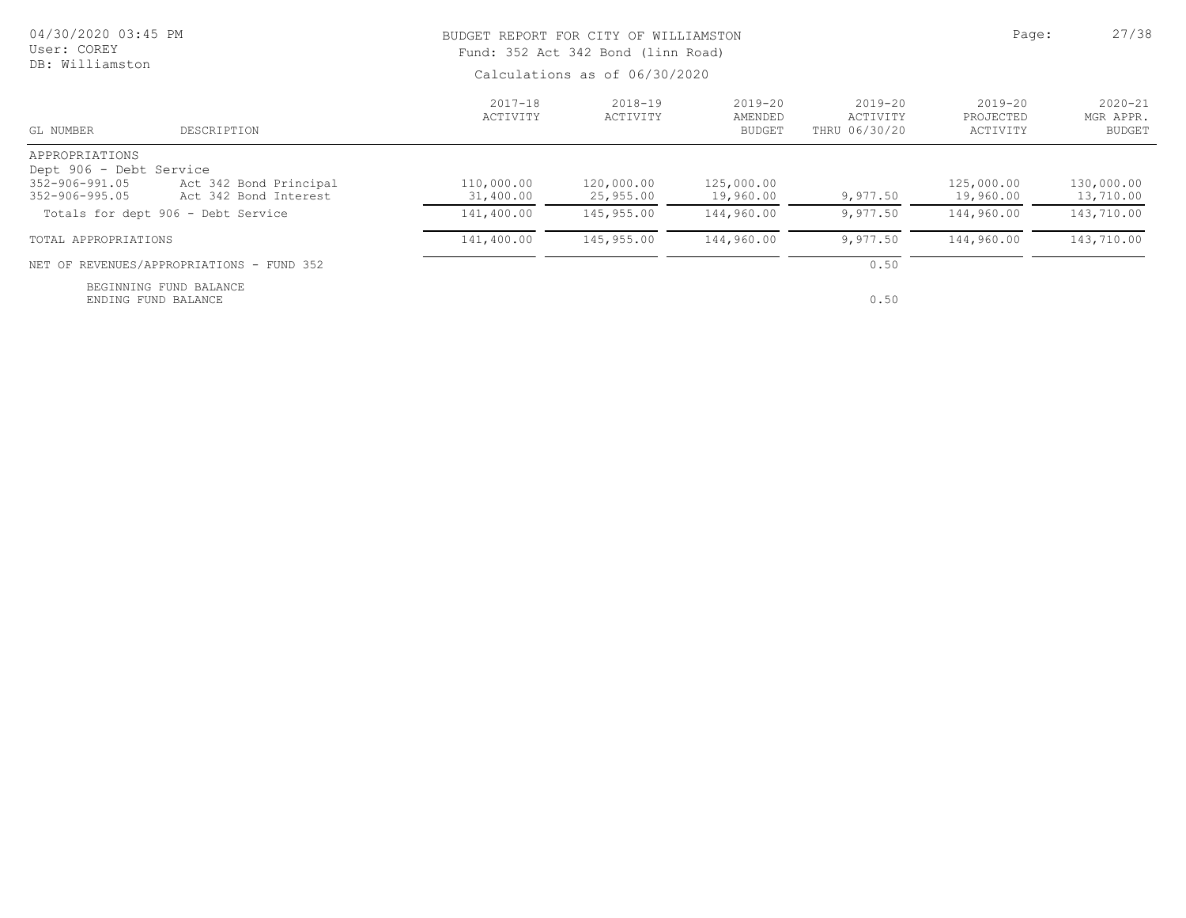| 04/30/2020 03:45 PM<br>User: COREY                                |                                                 | BUDGET REPORT FOR CITY OF WILLIAMSTON<br>Fund: 352 Act 342 Bond (linn Road) | Page:                   | 27/38                               |                                          |                                      |                                           |  |
|-------------------------------------------------------------------|-------------------------------------------------|-----------------------------------------------------------------------------|-------------------------|-------------------------------------|------------------------------------------|--------------------------------------|-------------------------------------------|--|
| DB: Williamston                                                   |                                                 | Calculations as of 06/30/2020                                               |                         |                                     |                                          |                                      |                                           |  |
| GL NUMBER                                                         | DESCRIPTION                                     | $2017 - 18$<br>ACTIVITY                                                     | $2018 - 19$<br>ACTIVITY | 2019-20<br>AMENDED<br><b>BUDGET</b> | $2019 - 20$<br>ACTIVITY<br>THRU 06/30/20 | $2019 - 20$<br>PROJECTED<br>ACTIVITY | $2020 - 21$<br>MGR APPR.<br><b>BUDGET</b> |  |
| APPROPRIATIONS                                                    |                                                 |                                                                             |                         |                                     |                                          |                                      |                                           |  |
| Dept 906 - Debt Service<br>352-906-991.05<br>$352 - 906 - 995.05$ | Act 342 Bond Principal<br>Act 342 Bond Interest | 110,000.00<br>31,400.00                                                     | 120,000.00<br>25,955.00 | 125,000.00<br>19,960.00             | 9,977.50                                 | 125,000.00<br>19,960.00              | 130,000.00<br>13,710.00                   |  |
| Totals for dept 906 - Debt Service                                |                                                 | 141,400.00                                                                  | 145,955.00              | 144,960.00                          | 9,977.50                                 | 144,960.00                           | 143,710.00                                |  |
| TOTAL APPROPRIATIONS                                              |                                                 | 141,400.00                                                                  | 145,955.00              | 144,960.00                          | 9,977.50                                 | 144,960.00                           | 143,710.00                                |  |
| NET OF REVENUES/APPROPRIATIONS - FUND 352                         |                                                 |                                                                             |                         |                                     | 0.50                                     |                                      |                                           |  |
| BEGINNING FUND BALANCE<br>ENDING FUND BALANCE                     |                                                 |                                                                             |                         |                                     | 0.50                                     |                                      |                                           |  |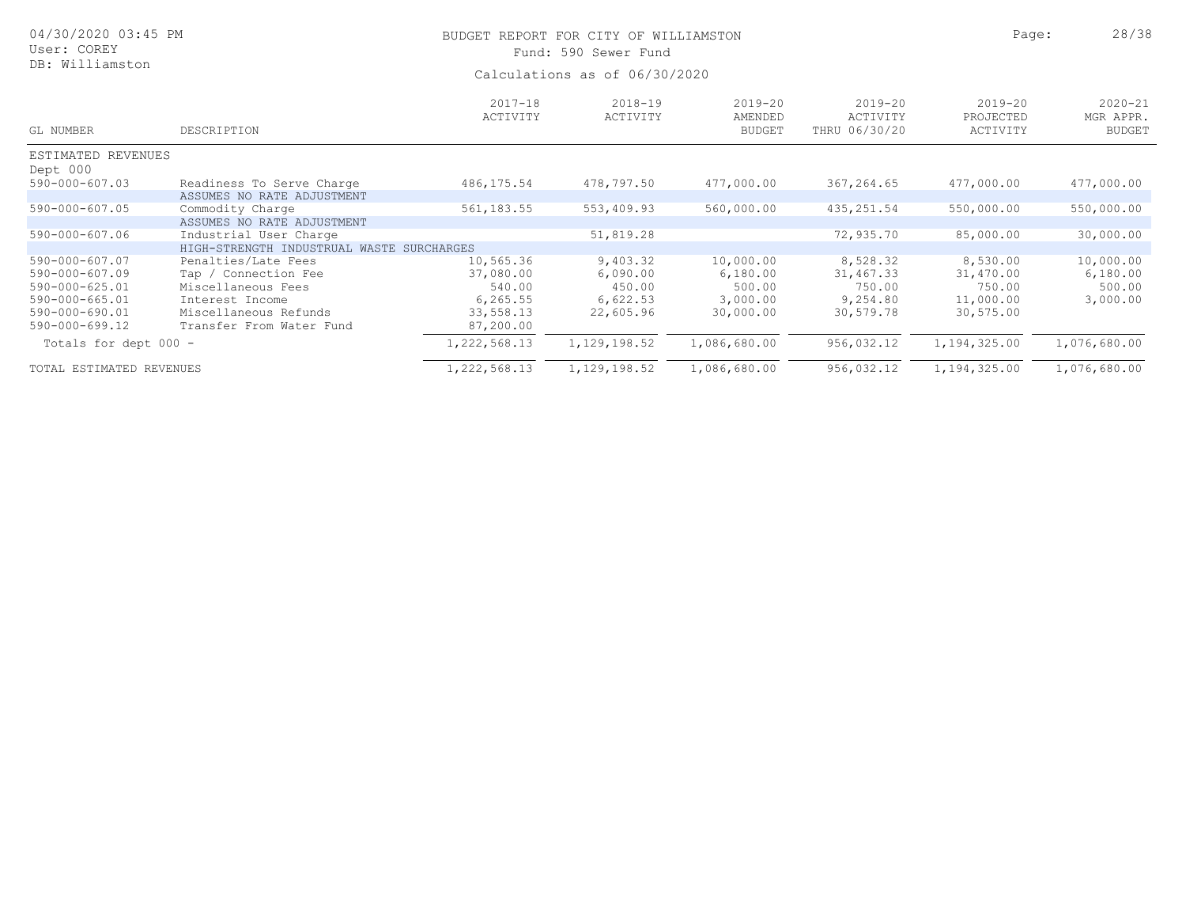| 04/30/2020 03:45 PM<br>User: COREY |                                                         | BUDGET REPORT FOR CITY OF WILLIAMSTON<br>Fund: 590 Sewer Fund | Page:                   | 28/38                                   |                                          |                                      |                                           |  |
|------------------------------------|---------------------------------------------------------|---------------------------------------------------------------|-------------------------|-----------------------------------------|------------------------------------------|--------------------------------------|-------------------------------------------|--|
| DB: Williamston                    |                                                         | Calculations as of 06/30/2020                                 |                         |                                         |                                          |                                      |                                           |  |
| GL NUMBER                          | DESCRIPTION                                             | $2017 - 18$<br>ACTIVITY                                       | $2018 - 19$<br>ACTIVITY | $2019 - 20$<br>AMENDED<br><b>BUDGET</b> | $2019 - 20$<br>ACTIVITY<br>THRU 06/30/20 | $2019 - 20$<br>PROJECTED<br>ACTIVITY | $2020 - 21$<br>MGR APPR.<br><b>BUDGET</b> |  |
| ESTIMATED REVENUES                 |                                                         |                                                               |                         |                                         |                                          |                                      |                                           |  |
| Dept 000                           |                                                         |                                                               |                         |                                         |                                          |                                      |                                           |  |
| $590 - 000 - 607.03$               | Readiness To Serve Charge<br>ASSUMES NO RATE ADJUSTMENT | 486,175.54                                                    | 478,797.50              | 477,000.00                              | 367,264.65                               | 477,000.00                           | 477,000.00                                |  |
| $590 - 000 - 607.05$               | Commodity Charge                                        | 561, 183.55                                                   | 553,409.93              | 560,000.00                              | 435, 251.54                              | 550,000.00                           | 550,000.00                                |  |
|                                    | ASSUMES NO RATE ADJUSTMENT                              |                                                               |                         |                                         |                                          |                                      |                                           |  |
| $590 - 000 - 607.06$               | Industrial User Charge                                  |                                                               | 51,819.28               |                                         | 72,935.70                                | 85,000.00                            | 30,000.00                                 |  |
|                                    | HIGH-STRENGTH INDUSTRUAL WASTE SURCHARGES               |                                                               |                         |                                         |                                          |                                      |                                           |  |
| 590-000-607.07                     | Penalties/Late Fees                                     | 10,565.36                                                     | 9,403.32                | 10,000.00                               | 8,528.32                                 | 8,530.00                             | 10,000.00                                 |  |
| 590-000-607.09                     | Tap / Connection Fee                                    | 37,080.00                                                     | 6,090.00                | 6,180.00                                | 31,467.33                                | 31,470.00                            | 6,180.00                                  |  |
| $590 - 000 - 625.01$               | Miscellaneous Fees                                      | 540.00                                                        | 450.00                  | 500.00                                  | 750.00                                   | 750.00                               | 500.00                                    |  |
| $590 - 000 - 665.01$               | Interest Income                                         | 6, 265.55                                                     | 6,622.53                | 3,000.00                                | 9,254.80                                 | 11,000.00                            | 3,000.00                                  |  |
| 590-000-690.01                     | Miscellaneous Refunds                                   | 33,558.13                                                     | 22,605.96               | 30,000.00                               | 30,579.78                                | 30, 575.00                           |                                           |  |
| 590-000-699.12                     | Transfer From Water Fund                                | 87,200.00                                                     |                         |                                         |                                          |                                      |                                           |  |
| Totals for dept 000 -              |                                                         | 1, 222, 568.13                                                | 1, 129, 198.52          | 1,086,680.00                            | 956,032.12                               | 1,194,325.00                         | 1,076,680.00                              |  |
| TOTAL ESTIMATED REVENUES           |                                                         | 1,222,568.13                                                  | 1, 129, 198.52          | 1,086,680.00                            | 956,032.12                               | 1,194,325.00                         | 1,076,680.00                              |  |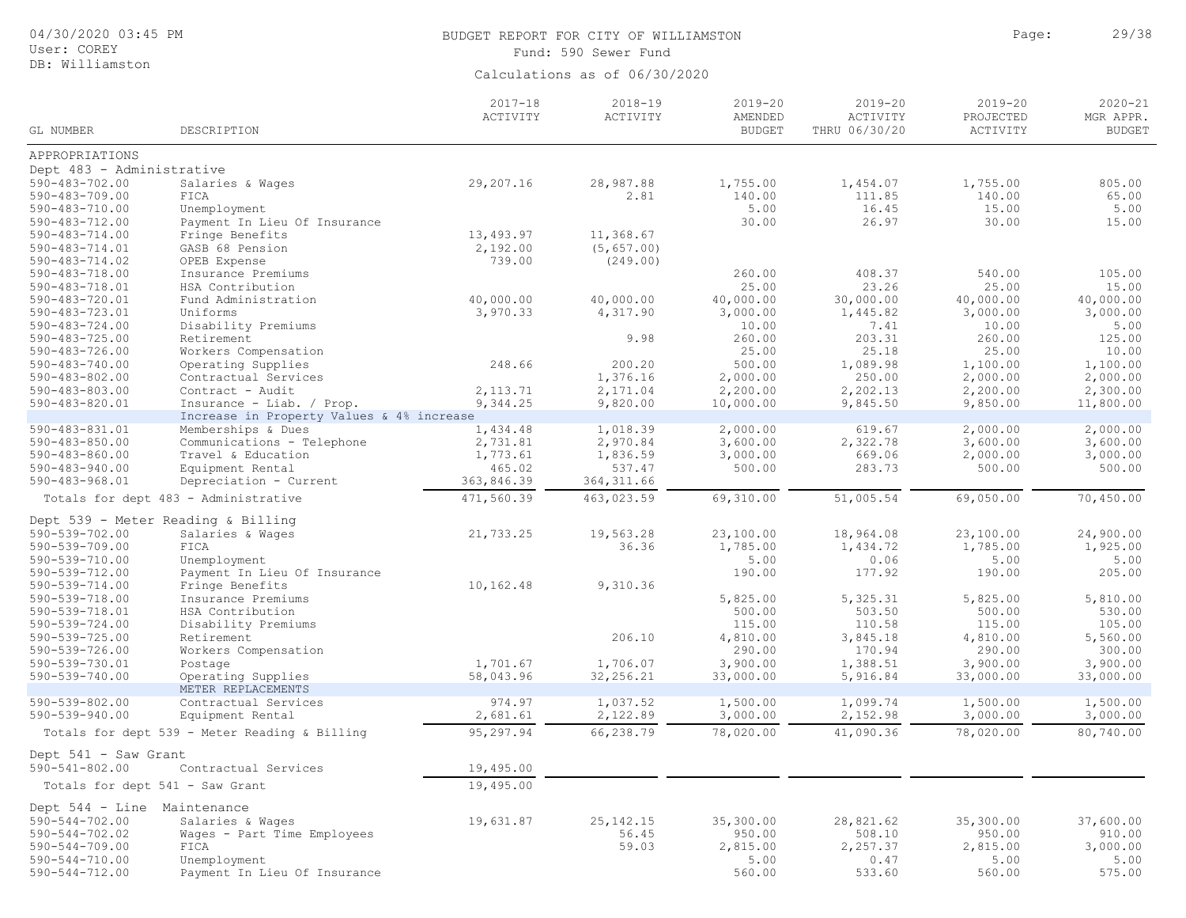| 04/30/2020 03:45 PM<br>User: COREY           |                                                                | BUDGET REPORT FOR CITY OF WILLIAMSTON<br>Fund: 590 Sewer Fund | Page:                          | 29/38                                   |                                          |                                      |                                           |
|----------------------------------------------|----------------------------------------------------------------|---------------------------------------------------------------|--------------------------------|-----------------------------------------|------------------------------------------|--------------------------------------|-------------------------------------------|
| DB: Williamston                              |                                                                |                                                               | Calculations as of 06/30/2020  |                                         |                                          |                                      |                                           |
| GL NUMBER                                    | DESCRIPTION                                                    | $2017 - 18$<br>ACTIVITY                                       | $2018 - 19$<br><b>ACTIVITY</b> | $2019 - 20$<br>AMENDED<br><b>BUDGET</b> | $2019 - 20$<br>ACTIVITY<br>THRU 06/30/20 | $2019 - 20$<br>PROJECTED<br>ACTIVITY | $2020 - 21$<br>MGR APPR.<br><b>BUDGET</b> |
| APPROPRIATIONS                               |                                                                |                                                               |                                |                                         |                                          |                                      |                                           |
| Dept 483 - Administrative                    |                                                                |                                                               |                                |                                         |                                          |                                      |                                           |
| $590 - 483 - 702.00$                         | Salaries & Wages                                               | 29,207.16                                                     | 28,987.88                      | 1,755.00                                | 1,454.07                                 | 1,755.00                             | 805.00                                    |
| $590 - 483 - 709.00$                         | FICA                                                           |                                                               | 2.81                           | 140.00                                  | 111.85                                   | 140.00                               | 65.00                                     |
| $590 - 483 - 710.00$                         | Unemployment                                                   |                                                               |                                | 5.00                                    | 16.45                                    | 15.00                                | 5.00                                      |
| $590 - 483 - 712.00$                         | Payment In Lieu Of Insurance                                   |                                                               |                                | 30.00                                   | 26.97                                    | 30.00                                | 15.00                                     |
| 590-483-714.00                               | Fringe Benefits                                                | 13,493.97                                                     | 11,368.67                      |                                         |                                          |                                      |                                           |
| 590-483-714.01                               | GASB 68 Pension                                                | 2,192.00                                                      | (5, 657.00)                    |                                         |                                          |                                      |                                           |
| $590 - 483 - 714.02$                         | OPEB Expense                                                   | 739.00                                                        | (249.00)                       |                                         |                                          |                                      |                                           |
| $590 - 483 - 718.00$                         | Insurance Premiums                                             |                                                               |                                | 260.00                                  | 408.37                                   | 540.00                               | 105.00                                    |
| $590 - 483 - 718.01$                         | HSA Contribution                                               |                                                               |                                | 25.00                                   | 23.26                                    | 25.00                                | 15.00                                     |
| 590-483-720.01                               | Fund Administration                                            | 40,000.00                                                     | 40,000.00                      | 40,000.00                               | 30,000.00                                | 40,000.00                            | 40,000.00                                 |
| 590-483-723.01                               | Uniforms                                                       | 3,970.33                                                      | 4,317.90                       | 3,000.00                                | 1,445.82                                 | 3,000.00                             | 3,000.00                                  |
| $590 - 483 - 724.00$                         | Disability Premiums                                            |                                                               |                                | 10.00                                   | 7.41                                     | 10.00                                | 5.00                                      |
| $590 - 483 - 725.00$                         | Retirement                                                     |                                                               | 9.98                           | 260.00                                  | 203.31                                   | 260.00                               | 125.00                                    |
| 590-483-726.00                               | Workers Compensation                                           |                                                               |                                | 25.00                                   | 25.18                                    | 25.00                                | 10.00                                     |
| $590 - 483 - 740.00$                         | Operating Supplies                                             | 248.66                                                        | 200.20                         | 500.00                                  | 1,089.98                                 | 1,100.00                             | 1,100.00                                  |
| $590 - 483 - 802.00$                         | Contractual Services                                           |                                                               | 1,376.16                       | 2,000.00                                | 250.00                                   | 2,000.00                             | 2,000.00                                  |
| $590 - 483 - 803.00$                         | Contract - Audit                                               | 2, 113.71                                                     | 2,171.04                       | 2,200.00                                | 2,202.13                                 | 2,200.00                             | 2,300.00                                  |
| $590 - 483 - 820.01$                         | Insurance - Liab. / Prop.                                      | 9,344.25                                                      | 9,820.00                       | 10,000.00                               | 9,845.50                                 | 9,850.00                             | 11,800.00                                 |
|                                              | Increase in Property Values & 4% increase                      |                                                               |                                |                                         |                                          |                                      |                                           |
| 590-483-831.01                               | Memberships & Dues                                             | 1,434.48                                                      | 1,018.39                       | 2,000.00                                | 619.67                                   | 2,000.00                             | 2,000.00                                  |
| $590 - 483 - 850.00$                         | Communications - Telephone                                     | 2,731.81                                                      | 2,970.84                       | 3,600.00                                | 2,322.78                                 | 3,600.00                             | 3,600.00                                  |
| $590 - 483 - 860.00$                         | Travel & Education                                             | 1,773.61                                                      | 1,836.59                       | 3,000.00                                | 669.06                                   | 2,000.00                             | 3,000.00                                  |
| $590 - 483 - 940.00$                         | Equipment Rental                                               | 465.02                                                        | 537.47                         | 500.00                                  | 283.73                                   | 500.00                               | 500.00                                    |
|                                              |                                                                |                                                               |                                |                                         |                                          |                                      |                                           |
| $590 - 483 - 968.01$                         | Depreciation - Current<br>Totals for dept 483 - Administrative | 363,846.39<br>471,560.39                                      | 364, 311.66<br>463,023.59      | $\overline{69}$ , 310.00                | 51,005.54                                | 69,050.00                            | 70,450.00                                 |
|                                              |                                                                |                                                               |                                |                                         |                                          |                                      |                                           |
|                                              | Dept 539 - Meter Reading & Billing                             |                                                               |                                |                                         |                                          |                                      |                                           |
| 590-539-702.00                               | Salaries & Wages                                               | 21,733.25                                                     | 19,563.28                      | 23,100.00                               | 18,964.08                                | 23,100.00                            | 24,900.00                                 |
| 590-539-709.00                               | FICA                                                           |                                                               | 36.36                          | 1,785.00                                | 1,434.72                                 | 1,785.00                             | 1,925.00                                  |
| 590-539-710.00                               | Unemployment                                                   |                                                               |                                | 5.00                                    | 0.06                                     | 5.00                                 | 5.00                                      |
| $590 - 539 - 712.00$                         | Payment In Lieu Of Insurance                                   |                                                               |                                | 190.00                                  | 177.92                                   | 190.00                               | 205.00                                    |
| $590 - 539 - 714.00$                         | Fringe Benefits                                                | 10,162.48                                                     | 9,310.36                       |                                         |                                          |                                      |                                           |
| $590 - 539 - 718.00$                         | Insurance Premiums                                             |                                                               |                                | 5,825.00                                | 5,325.31                                 | 5,825.00                             | 5,810.00                                  |
| 590-539-718.01                               | HSA Contribution                                               |                                                               |                                | 500.00                                  | 503.50                                   | 500.00                               | 530.00                                    |
| $590 - 539 - 724.00$                         | Disability Premiums                                            |                                                               |                                | 115.00                                  | 110.58                                   | 115.00                               | 105.00                                    |
| $590 - 539 - 725.00$                         | Retirement                                                     |                                                               | 206.10                         | 4,810.00                                | 3,845.18                                 | 4,810.00                             | 5,560.00                                  |
| 590-539-726.00                               | Workers Compensation                                           |                                                               |                                | 290.00                                  | 170.94                                   | 290.00                               | 300.00                                    |
| 590-539-730.01                               | Postage                                                        | 1,701.67                                                      | 1,706.07                       | 3,900.00                                | 1,388.51                                 | 3,900.00                             | 3,900.00                                  |
| $590 - 539 - 740.00$                         | Operating Supplies                                             | 58,043.96                                                     | 32,256.21                      | 33,000.00                               | 5,916.84                                 | 33,000.00                            | 33,000.00                                 |
| $590 - 539 - 802.00$                         | METER REPLACEMENTS                                             | 974.97                                                        | 1,037.52                       | 1,500.00                                | 1,099.74                                 | 1,500.00                             | 1,500.00                                  |
| $590 - 539 - 940.00$                         | Contractual Services<br>Equipment Rental                       | 2,681.61                                                      | 2,122.89                       | 3,000.00                                | 2,152.98                                 | 3,000.00                             | 3,000.00                                  |
|                                              | Totals for dept 539 - Meter Reading & Billing                  | 95,297.94                                                     | 66,238.79                      | 78,020.00                               | 41,090.36                                | 78,020.00                            | 80,740.00                                 |
|                                              |                                                                |                                                               |                                |                                         |                                          |                                      |                                           |
| Dept 541 - Saw Grant<br>$590 - 541 - 802.00$ | Contractual Services                                           | 19,495.00                                                     |                                |                                         |                                          |                                      |                                           |
| Totals for dept 541 - Saw Grant              |                                                                | 19,495.00                                                     |                                |                                         |                                          |                                      |                                           |
| Dept 544 - Line Maintenance                  |                                                                |                                                               |                                |                                         |                                          |                                      |                                           |
| $590 - 544 - 702.00$                         | Salaries & Wages                                               | 19,631.87                                                     | 25, 142. 15                    | 35,300.00                               | 28,821.62                                | 35,300.00                            | 37,600.00                                 |
| $590 - 544 - 702.02$                         | Wages - Part Time Employees                                    |                                                               | 56.45                          | 950.00                                  | 508.10                                   | 950.00                               | 910.00                                    |
| $590 - 544 - 709.00$                         | FICA                                                           |                                                               | 59.03                          | 2,815.00                                | 2,257.37                                 | 2,815.00                             | 3,000.00                                  |
| $590 - 544 - 710.00$                         | Unemployment                                                   |                                                               |                                | 5.00                                    | 0.47                                     | 5.00                                 | 5.00                                      |
| 590-544-712.00                               | Payment In Lieu Of Insurance                                   |                                                               |                                | 560.00                                  | 533.60                                   | 560.00                               | 575.00                                    |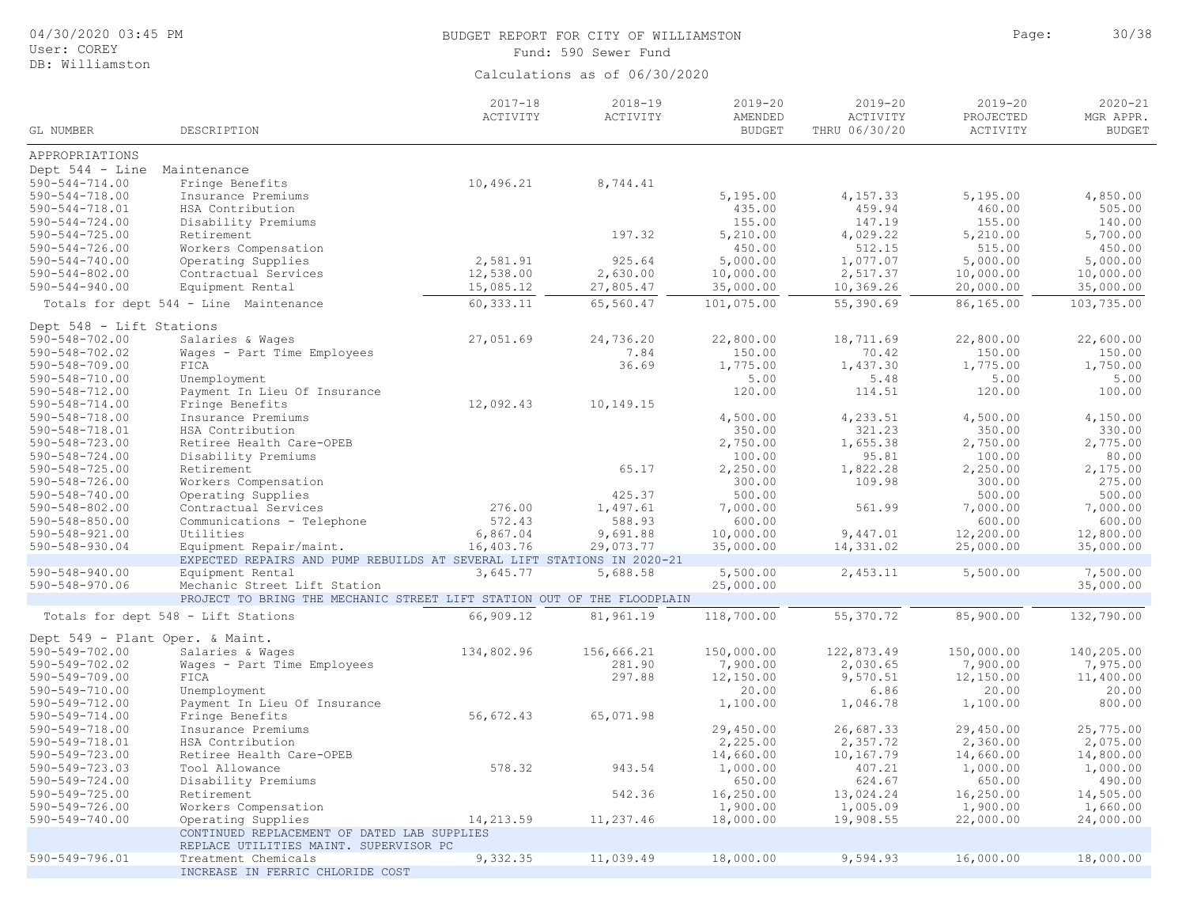| 04/30/2020 03:45 PM<br>User: COREY<br>DB: Williamston                                     |                                                                                                                             |                                    | BUDGET REPORT FOR CITY OF WILLIAMSTON<br>Fund: 590 Sewer Fund |                                                |                                              | Page:                                          | 30/38                                          |
|-------------------------------------------------------------------------------------------|-----------------------------------------------------------------------------------------------------------------------------|------------------------------------|---------------------------------------------------------------|------------------------------------------------|----------------------------------------------|------------------------------------------------|------------------------------------------------|
|                                                                                           |                                                                                                                             |                                    | Calculations as of 06/30/2020                                 |                                                |                                              |                                                |                                                |
| GL NUMBER                                                                                 | DESCRIPTION                                                                                                                 | $2017 - 18$<br>ACTIVITY            | $2018 - 19$<br>ACTIVITY                                       | $2019 - 20$<br>AMENDED<br><b>BUDGET</b>        | $2019 - 20$<br>ACTIVITY<br>THRU 06/30/20     | $2019 - 20$<br>PROJECTED<br>ACTIVITY           | $2020 - 21$<br>MGR APPR.<br><b>BUDGET</b>      |
| APPROPRIATIONS                                                                            |                                                                                                                             |                                    |                                                               |                                                |                                              |                                                |                                                |
| Dept $544 - Line$<br>$590 - 544 - 714.00$<br>$590 - 544 - 718.00$<br>$590 - 544 - 718.01$ | Maintenance<br>Fringe Benefits<br>Insurance Premiums<br>HSA Contribution                                                    | 10,496.21                          | 8,744.41                                                      | 5,195.00<br>435.00                             | 4,157.33<br>459.94                           | 5,195.00<br>460.00                             | 4,850.00<br>505.00                             |
| $590 - 544 - 724.00$<br>$590 - 544 - 725.00$<br>$590 - 544 - 726.00$                      | Disability Premiums<br>Retirement<br>Workers Compensation                                                                   |                                    | 197.32                                                        | 155.00<br>5,210.00<br>450.00                   | 147.19<br>4,029.22<br>512.15                 | 155.00<br>5,210.00<br>515.00                   | 140.00<br>5,700.00<br>450.00                   |
| $590 - 544 - 740.00$<br>$590 - 544 - 802.00$<br>$590 - 544 - 940.00$                      | Operating Supplies<br>Contractual Services<br>Equipment Rental                                                              | 2,581.91<br>12,538.00<br>15,085.12 | 925.64<br>2,630.00<br>27,805.47                               | 5,000.00<br>10,000.00<br>35,000.00             | 1,077.07<br>2,517.37<br>10,369.26            | 5,000.00<br>10,000.00<br>20,000.00             | 5,000.00<br>10,000.00<br>35,000.00             |
|                                                                                           | Totals for dept 544 - Line Maintenance                                                                                      | 60,333.11                          | 65,560.47                                                     | 101,075.00                                     | 55,390.69                                    | 86,165.00                                      | 103,735.00                                     |
| Dept 548 - Lift Stations<br>$590 - 548 - 702.00$<br>590-548-702.02                        | Salaries & Wages<br>Wages - Part Time Employees                                                                             | 27,051.69                          | 24,736.20<br>7.84                                             | 22,800.00<br>150.00                            | 18,711.69<br>70.42                           | 22,800.00<br>150.00                            | 22,600.00<br>150.00                            |
| $590 - 548 - 709.00$<br>$590 - 548 - 710.00$<br>590-548-712.00                            | FICA<br>Unemployment<br>Payment In Lieu Of Insurance                                                                        |                                    | 36.69                                                         | 1,775.00<br>5.00<br>120.00                     | 1,437.30<br>5.48<br>114.51                   | 1,775.00<br>5.00<br>120.00                     | 1,750.00<br>5.00<br>100.00                     |
| $590 - 548 - 714.00$<br>$590 - 548 - 718.00$                                              | Fringe Benefits<br>Insurance Premiums                                                                                       | 12,092.43                          | 10,149.15                                                     | 4,500.00                                       | 4,233.51                                     | 4,500.00                                       | 4,150.00                                       |
| 590-548-718.01<br>$590 - 548 - 723.00$<br>$590 - 548 - 724.00$<br>$590 - 548 - 725.00$    | HSA Contribution<br>Retiree Health Care-OPEB<br>Disability Premiums<br>Retirement                                           |                                    | 65.17                                                         | 350.00<br>2,750.00<br>100.00<br>2,250.00       | 321.23<br>1,655.38<br>95.81<br>1,822.28      | 350.00<br>2,750.00<br>100.00<br>2,250.00       | 330.00<br>2,775.00<br>80.00<br>2,175.00        |
| $590 - 548 - 726.00$<br>$590 - 548 - 740.00$                                              | Workers Compensation<br>Operating Supplies                                                                                  |                                    | 425.37<br>1,497.61                                            | 300.00<br>500.00                               | 109.98                                       | 300.00<br>500.00                               | 275.00<br>500.00<br>7,000.00                   |
| $590 - 548 - 802.00$<br>$590 - 548 - 850.00$<br>$590 - 548 - 921.00$                      | Contractual Services<br>Communications - Telephone<br>Utilities                                                             | 276.00<br>572.43<br>6,867.04       | 588.93<br>9,691.88                                            | 7,000.00<br>600.00<br>10,000.00                | 561.99<br>9,447.01                           | 7,000.00<br>600.00<br>12,200.00                | 600.00<br>12,800.00                            |
| 590-548-930.04                                                                            | Equipment Repair/maint.<br>EXPECTED REPAIRS AND PUMP REBUILDS AT SEVERAL LIFT STATIONS IN 2020-21                           | 16,403.76                          | 29,073.77                                                     | 35,000.00                                      | 14,331.02                                    | 25,000.00                                      | 35,000.00                                      |
| $590 - 548 - 940.00$<br>590-548-970.06                                                    | Equipment Rental<br>Mechanic Street Lift Station<br>PROJECT TO BRING THE MECHANIC STREET LIFT STATION OUT OF THE FLOODPLAIN | 3,645.77                           | 5,688.58                                                      | 5,500.00<br>25,000.00                          | 2,453.11                                     | 5,500.00                                       | 7,500.00<br>35,000.00                          |
|                                                                                           | Totals for dept 548 - Lift Stations                                                                                         | 66,909.12                          | 81,961.19                                                     | 118,700.00                                     | 55, 370.72                                   | 85,900.00                                      | 132,790.00                                     |
| Dept 549 - Plant Oper. & Maint.                                                           |                                                                                                                             |                                    |                                                               |                                                |                                              |                                                |                                                |
| $590 - 549 - 702.00$<br>590-549-702.02<br>$590 - 549 - 709.00$                            | Salaries & Wages<br>Wages - Part Time Employees<br>FICA                                                                     | 134,802.96                         | 156,666.21<br>281.90<br>297.88                                | 150,000.00<br>7,900.00<br>12,150.00            | 122,873.49<br>2,030.65<br>9,570.51           | 150,000.00<br>7,900.00<br>12,150.00            | 140,205.00<br>7,975.00<br>11,400.00            |
| 590-549-710.00<br>590-549-712.00<br>$590 - 549 - 714.00$                                  | Unemployment<br>Payment In Lieu Of Insurance<br>Fringe Benefits                                                             | 56,672.43                          | 65,071.98                                                     | 20.00<br>1,100.00                              | 6.86<br>1,046.78                             | 20.00<br>1,100.00                              | 20.00<br>800.00                                |
| 590-549-718.00<br>590-549-718.01<br>590-549-723.00<br>$590 - 549 - 723.03$                | Insurance Premiums<br>HSA Contribution<br>Retiree Health Care-OPEB<br>Tool Allowance                                        | 578.32                             | 943.54                                                        | 29,450.00<br>2,225.00<br>14,660.00<br>1,000.00 | 26,687.33<br>2,357.72<br>10,167.79<br>407.21 | 29,450.00<br>2,360.00<br>14,660.00<br>1,000.00 | 25,775.00<br>2,075.00<br>14,800.00<br>1,000.00 |
| $590 - 549 - 724.00$<br>$590 - 549 - 725.00$<br>$590 - 549 - 726.00$                      | Disability Premiums<br>Retirement<br>Workers Compensation                                                                   |                                    | 542.36                                                        | 650.00<br>16,250.00<br>1,900.00                | 624.67<br>13,024.24<br>1,005.09              | 650.00<br>16,250.00<br>1,900.00                | 490.00<br>14,505.00<br>1,660.00                |
| $590 - 549 - 740.00$                                                                      | Operating Supplies<br>CONTINUED REPLACEMENT OF DATED LAB SUPPLIES                                                           | 14,213.59                          | 11,237.46                                                     | 18,000.00                                      | 19,908.55                                    | 22,000.00                                      | 24,000.00                                      |
| 590-549-796.01                                                                            | REPLACE UTILITIES MAINT. SUPERVISOR PC<br>Treatment Chemicals<br>INCREASE IN FERRIC CHLORIDE COST                           | 9,332.35                           | 11,039.49                                                     | 18,000.00                                      | 9,594.93                                     | 16,000.00                                      | 18,000.00                                      |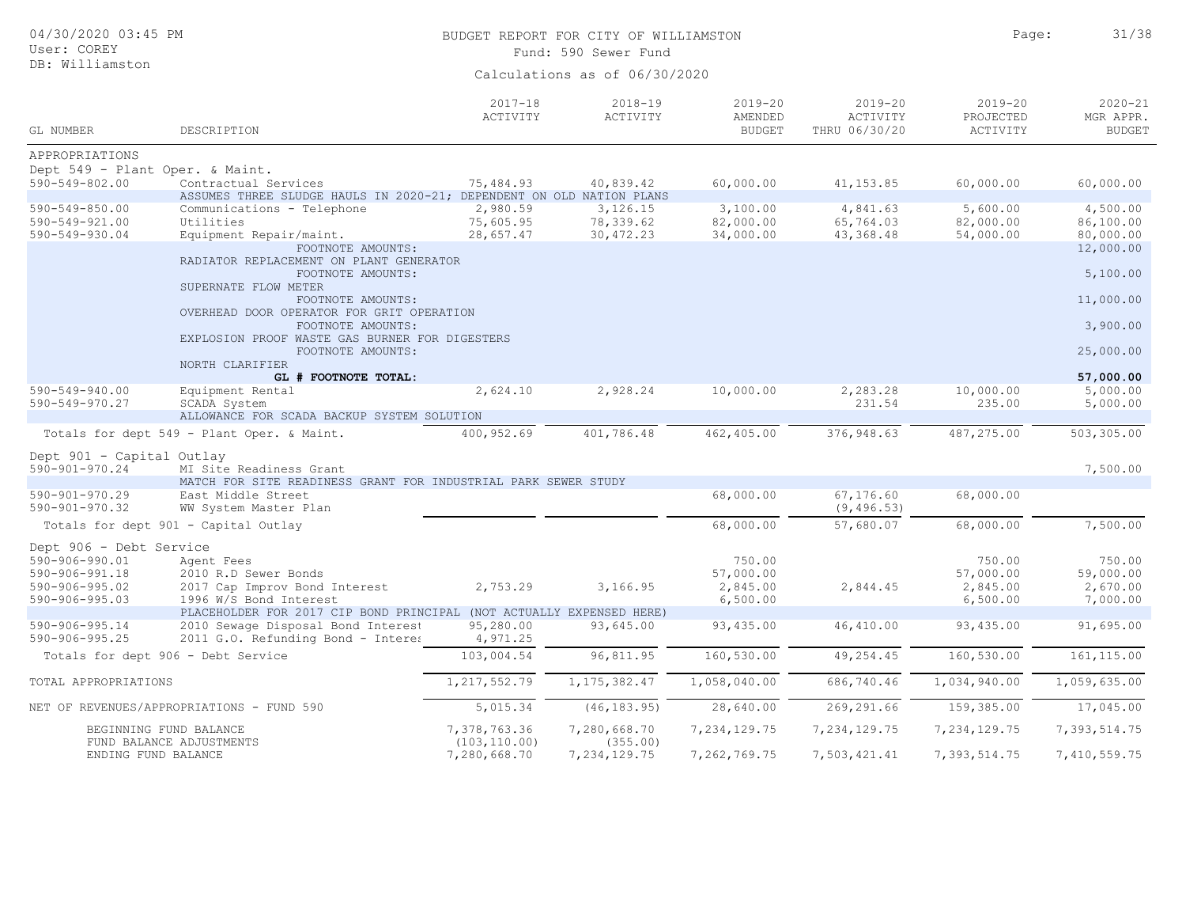| 04/30/2020 03:45 PM<br>User: COREY<br>DB: Williamston                                                       |                                                                                                                                                  |                                    | BUDGET REPORT FOR CITY OF WILLIAMSTON<br>Fund: 590 Sewer Fund |                                             |                                          | Page:                                       | 31/38                                       |
|-------------------------------------------------------------------------------------------------------------|--------------------------------------------------------------------------------------------------------------------------------------------------|------------------------------------|---------------------------------------------------------------|---------------------------------------------|------------------------------------------|---------------------------------------------|---------------------------------------------|
|                                                                                                             |                                                                                                                                                  |                                    | Calculations as of 06/30/2020                                 |                                             |                                          |                                             |                                             |
| GL NUMBER                                                                                                   | DESCRIPTION                                                                                                                                      | $2017 - 18$<br>ACTIVITY            | $2018 - 19$<br>ACTIVITY                                       | $2019 - 20$<br>AMENDED<br><b>BUDGET</b>     | $2019 - 20$<br>ACTIVITY<br>THRU 06/30/20 | $2019 - 20$<br>PROJECTED<br>ACTIVITY        | $2020 - 21$<br>MGR APPR.<br><b>BUDGET</b>   |
| APPROPRIATIONS                                                                                              |                                                                                                                                                  |                                    |                                                               |                                             |                                          |                                             |                                             |
| Dept 549 - Plant Oper. & Maint.<br>$590 - 549 - 802.00$                                                     | Contractual Services<br>ASSUMES THREE SLUDGE HAULS IN 2020-21; DEPENDENT ON OLD NATION PLANS                                                     | 75,484.93                          | 40,839.42                                                     | 60,000.00                                   | 41, 153.85                               | 60,000.00                                   | 60,000.00                                   |
| $590 - 549 - 850.00$<br>$590 - 549 - 921.00$<br>590-549-930.04                                              | Communications - Telephone<br>Utilities<br>Equipment Repair/maint.                                                                               | 2,980.59<br>75,605.95<br>28,657.47 | 3,126.15<br>78,339.62<br>30, 472.23                           | 3,100.00<br>82,000.00<br>34,000.00          | 4,841.63<br>65,764.03<br>43, 368.48      | 5,600.00<br>82,000.00<br>54,000.00          | 4,500.00<br>86,100.00<br>80,000.00          |
|                                                                                                             | FOOTNOTE AMOUNTS:<br>RADIATOR REPLACEMENT ON PLANT GENERATOR<br>FOOTNOTE AMOUNTS:<br>SUPERNATE FLOW METER                                        |                                    |                                                               |                                             |                                          |                                             | 12,000.00<br>5,100.00                       |
|                                                                                                             | FOOTNOTE AMOUNTS:<br>OVERHEAD DOOR OPERATOR FOR GRIT OPERATION<br>FOOTNOTE AMOUNTS:                                                              |                                    |                                                               |                                             |                                          |                                             | 11,000.00<br>3,900.00                       |
|                                                                                                             | EXPLOSION PROOF WASTE GAS BURNER FOR DIGESTERS<br>FOOTNOTE AMOUNTS:<br>NORTH CLARIFIER                                                           |                                    |                                                               |                                             |                                          |                                             | 25,000.00                                   |
| $590 - 549 - 940.00$<br>590-549-970.27                                                                      | GL # FOOTNOTE TOTAL:<br>Equipment Rental<br>SCADA System<br>ALLOWANCE FOR SCADA BACKUP SYSTEM SOLUTION                                           | 2,624.10                           | 2,928.24                                                      | 10,000.00                                   | 2,283.28<br>231.54                       | 10,000.00<br>235.00                         | 57,000.00<br>5,000.00<br>5,000.00           |
|                                                                                                             | Totals for dept 549 - Plant Oper. & Maint.                                                                                                       | 400,952.69                         | 401,786.48                                                    | 462,405.00                                  | 376,948.63                               | 487,275.00                                  | 503,305.00                                  |
| Dept 901 - Capital Outlay<br>590-901-970.24                                                                 | MI Site Readiness Grant<br>MATCH FOR SITE READINESS GRANT FOR INDUSTRIAL PARK SEWER STUDY                                                        |                                    |                                                               |                                             |                                          |                                             | 7,500.00                                    |
| $590 - 901 - 970.29$<br>$590 - 901 - 970.32$                                                                | East Middle Street<br>WW System Master Plan                                                                                                      |                                    |                                                               | 68,000.00                                   | 67,176.60<br>(9, 496.53)                 | 68,000.00                                   |                                             |
|                                                                                                             | Totals for dept 901 - Capital Outlay                                                                                                             |                                    |                                                               | 68,000.00                                   | 57,680.07                                | 68,000.00                                   | 7,500.00                                    |
| Dept 906 - Debt Service<br>590-906-990.01<br>590-906-991.18<br>$590 - 906 - 995.02$<br>$590 - 906 - 995.03$ | Agent Fees<br>2010 R.D Sewer Bonds<br>2017 Cap Improv Bond Interest<br>1996 W/S Bond Interest                                                    | 2,753.29                           | 3,166.95                                                      | 750.00<br>57,000.00<br>2,845.00<br>6,500.00 | 2,844.45                                 | 750.00<br>57,000.00<br>2,845.00<br>6,500.00 | 750.00<br>59,000.00<br>2,670.00<br>7,000.00 |
| 590-906-995.14<br>$590 - 906 - 995.25$                                                                      | PLACEHOLDER FOR 2017 CIP BOND PRINCIPAL (NOT ACTUALLY EXPENSED HERE)<br>2010 Sewage Disposal Bond Interest<br>2011 G.O. Refunding Bond - Interes | 95,280.00<br>4,971.25              | 93,645.00                                                     | 93,435.00                                   | 46,410.00                                | 93,435.00                                   | 91,695.00                                   |
| Totals for dept 906 - Debt Service                                                                          |                                                                                                                                                  | 103,004.54                         | 96,811.95                                                     | 160,530.00                                  | 49,254.45                                | 160,530.00                                  | 161, 115.00                                 |
| TOTAL APPROPRIATIONS                                                                                        |                                                                                                                                                  | 1, 217, 552.79                     | 1, 175, 382.47                                                | 1,058,040.00                                | 686,740.46                               | 1,034,940.00                                | 1,059,635.00                                |
|                                                                                                             | NET OF REVENUES/APPROPRIATIONS - FUND 590                                                                                                        | 5,015.34                           | (46, 183.95)                                                  | 28,640.00                                   | 269,291.66                               | 159,385.00                                  | 17,045.00                                   |
| BEGINNING FUND BALANCE                                                                                      | FUND BALANCE ADJUSTMENTS                                                                                                                         | 7,378,763.36<br>(103, 110.00)      | 7,280,668.70<br>(355.00)                                      | 7,234,129.75                                | 7,234,129.75                             | 7,234,129.75                                | 7,393,514.75                                |
| ENDING FUND BALANCE                                                                                         |                                                                                                                                                  | 7,280,668.70                       | 7,234,129.75                                                  | 7,262,769.75                                | 7,503,421.41                             | 7,393,514.75                                | 7,410,559.75                                |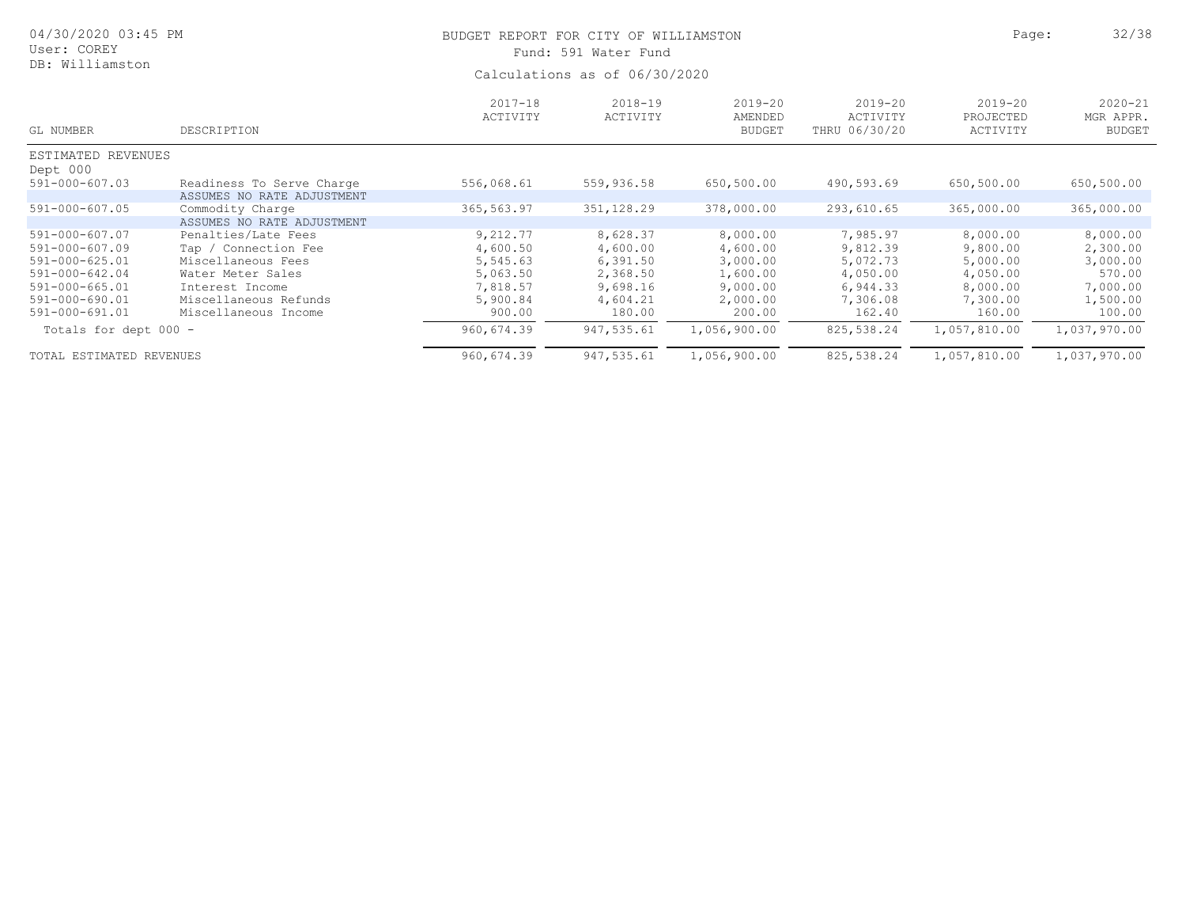| 04/30/2020 03:45 PM<br>User: COREY |                            | BUDGET REPORT FOR CITY OF WILLIAMSTON | Fund: 591 Water Fund    |                                         |                                          | Page:                                | 32/38                                     |
|------------------------------------|----------------------------|---------------------------------------|-------------------------|-----------------------------------------|------------------------------------------|--------------------------------------|-------------------------------------------|
| DB: Williamston                    |                            | Calculations as of 06/30/2020         |                         |                                         |                                          |                                      |                                           |
| GL NUMBER                          | DESCRIPTION                | $2017 - 18$<br>ACTIVITY               | $2018 - 19$<br>ACTIVITY | $2019 - 20$<br>AMENDED<br><b>BUDGET</b> | $2019 - 20$<br>ACTIVITY<br>THRU 06/30/20 | $2019 - 20$<br>PROJECTED<br>ACTIVITY | $2020 - 21$<br>MGR APPR.<br><b>BUDGET</b> |
| ESTIMATED REVENUES                 |                            |                                       |                         |                                         |                                          |                                      |                                           |
| Dept 000                           |                            |                                       |                         |                                         |                                          |                                      |                                           |
| $591 - 000 - 607.03$               | Readiness To Serve Charge  | 556,068.61                            | 559,936.58              | 650,500.00                              | 490,593.69                               | 650,500.00                           | 650,500.00                                |
|                                    | ASSUMES NO RATE ADJUSTMENT |                                       |                         |                                         |                                          |                                      |                                           |
| $591 - 000 - 607.05$               | Commodity Charge           | 365,563.97                            | 351,128.29              | 378,000.00                              | 293,610.65                               | 365,000.00                           | 365,000.00                                |
|                                    | ASSUMES NO RATE ADJUSTMENT |                                       |                         |                                         |                                          |                                      |                                           |
| 591-000-607.07                     | Penalties/Late Fees        | 9,212.77                              | 8,628.37                | 8,000.00                                | 7,985.97                                 | 8,000.00                             | 8,000.00                                  |
| 591-000-607.09                     | Tap / Connection Fee       | 4,600.50                              | 4,600.00                | 4,600.00                                | 9,812.39                                 | 9,800.00                             | 2,300.00                                  |
| 591-000-625.01                     | Miscellaneous Fees         | 5,545.63                              | 6,391.50                | 3,000.00                                | 5,072.73                                 | 5,000.00                             | 3,000.00                                  |
| 591-000-642.04                     | Water Meter Sales          | 5,063.50                              | 2,368.50                | 1,600.00                                | 4,050.00                                 | 4,050.00                             | 570.00                                    |
| 591-000-665.01                     | Interest Income            | 7,818.57                              | 9,698.16                | 9,000.00                                | 6,944.33                                 | 8,000.00                             | 7,000.00                                  |
| $591 - 000 - 690.01$               | Miscellaneous Refunds      | 5,900.84                              | 4,604.21                | 2,000.00                                | 7,306.08                                 | 7,300.00                             | 1,500.00                                  |
| 591-000-691.01                     | Miscellaneous Income       | 900.00                                | 180.00                  | 200.00                                  | 162.40                                   | 160.00                               | 100.00                                    |
| Totals for dept 000 -              |                            | 960,674.39                            | 947,535.61              | 1,056,900.00                            | 825,538.24                               | 1,057,810.00                         | 1,037,970.00                              |
| TOTAL ESTIMATED REVENUES           |                            | 960,674.39                            | 947,535.61              | 1,056,900.00                            | 825,538.24                               | 1,057,810.00                         | 1,037,970.00                              |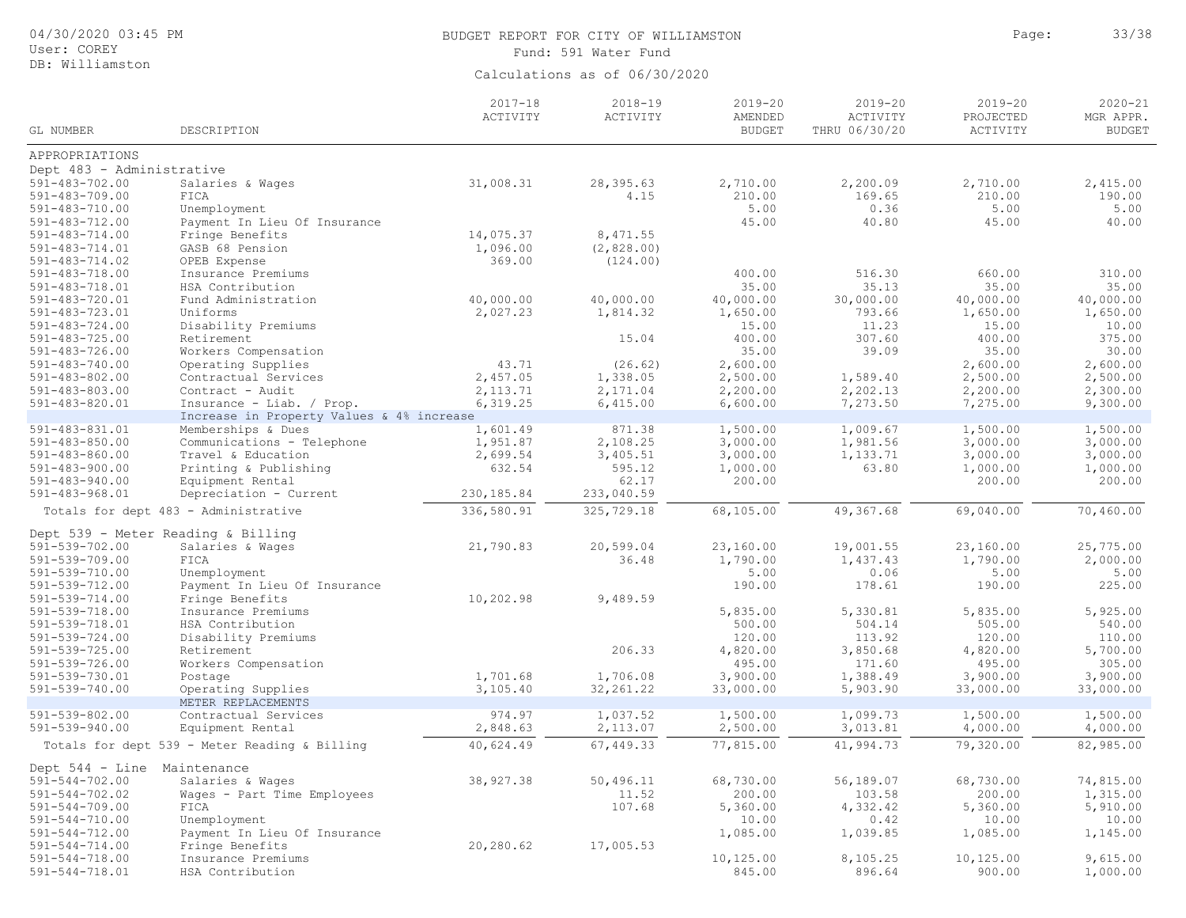| 04/30/2020 03:45 PM<br>User: COREY           |                                                                   | BUDGET REPORT FOR CITY OF WILLIAMSTON<br>Fund: 591 Water Fund | Page:                         | 33/38                                   |                                          |                                      |                                           |
|----------------------------------------------|-------------------------------------------------------------------|---------------------------------------------------------------|-------------------------------|-----------------------------------------|------------------------------------------|--------------------------------------|-------------------------------------------|
| DB: Williamston                              |                                                                   |                                                               | Calculations as of 06/30/2020 |                                         |                                          |                                      |                                           |
| GL NUMBER                                    | DESCRIPTION                                                       | $2017 - 18$<br>ACTIVITY                                       | $2018 - 19$<br>ACTIVITY       | $2019 - 20$<br>AMENDED<br><b>BUDGET</b> | $2019 - 20$<br>ACTIVITY<br>THRU 06/30/20 | $2019 - 20$<br>PROJECTED<br>ACTIVITY | $2020 - 21$<br>MGR APPR.<br><b>BUDGET</b> |
| APPROPRIATIONS                               |                                                                   |                                                               |                               |                                         |                                          |                                      |                                           |
| Dept 483 - Administrative                    |                                                                   |                                                               |                               |                                         |                                          |                                      |                                           |
| $591 - 483 - 702.00$                         | Salaries & Wages                                                  | 31,008.31                                                     | 28,395.63                     | 2,710.00                                | 2,200.09                                 | 2,710.00                             | 2,415.00                                  |
| $591 - 483 - 709.00$                         | FICA                                                              |                                                               | 4.15                          | 210.00                                  | 169.65                                   | 210.00                               | 190.00                                    |
| $591 - 483 - 710.00$                         | Unemployment                                                      |                                                               |                               | 5.00                                    | 0.36                                     | 5.00                                 | 5.00                                      |
| $591 - 483 - 712.00$                         | Payment In Lieu Of Insurance                                      |                                                               |                               | 45.00                                   | 40.80                                    | 45.00                                | 40.00                                     |
| $591 - 483 - 714.00$                         | Fringe Benefits                                                   | 14,075.37                                                     | 8,471.55                      |                                         |                                          |                                      |                                           |
| 591-483-714.01                               | GASB 68 Pension                                                   | 1,096.00<br>369.00                                            | (2, 828.00)                   |                                         |                                          |                                      |                                           |
| $591 - 483 - 714.02$<br>$591 - 483 - 718.00$ | OPEB Expense<br>Insurance Premiums                                |                                                               | (124.00)                      | 400.00                                  | 516.30                                   | 660.00                               | 310.00                                    |
| 591-483-718.01                               | HSA Contribution                                                  |                                                               |                               | 35.00                                   | 35.13                                    | 35.00                                | 35.00                                     |
| 591-483-720.01                               | Fund Administration                                               | 40,000.00                                                     | 40,000.00                     | 40,000.00                               | 30,000.00                                | 40,000.00                            | 40,000.00                                 |
| 591-483-723.01                               | Uniforms                                                          | 2,027.23                                                      | 1,814.32                      | 1,650.00                                | 793.66                                   | 1,650.00                             | 1,650.00                                  |
| $591 - 483 - 724.00$                         | Disability Premiums                                               |                                                               |                               | 15.00                                   | 11.23                                    | 15.00                                | 10.00                                     |
| $591 - 483 - 725.00$                         | Retirement                                                        |                                                               | 15.04                         | 400.00                                  | 307.60                                   | 400.00                               | 375.00                                    |
| $591 - 483 - 726.00$                         | Workers Compensation                                              |                                                               |                               | 35.00                                   | 39.09                                    | 35.00                                | 30.00                                     |
| $591 - 483 - 740.00$                         | Operating Supplies                                                | 43.71                                                         | (26.62)                       | 2,600.00                                |                                          | 2,600.00                             | 2,600.00                                  |
| $591 - 483 - 802.00$                         | Contractual Services<br>Contract - Audit                          | 2,457.05                                                      | 1,338.05                      | 2,500.00                                | 1,589.40                                 | 2,500.00                             | 2,500.00                                  |
| $591 - 483 - 803.00$<br>591-483-820.01       | Insurance - Liab. / Prop.                                         | 2, 113.71<br>6,319.25                                         | 2,171.04<br>6,415.00          | 2,200.00<br>6,600.00                    | 2,202.13<br>7,273.50                     | 2,200.00<br>7,275.00                 | 2,300.00<br>9,300.00                      |
|                                              | Increase in Property Values & 4% increase                         |                                                               |                               |                                         |                                          |                                      |                                           |
| $591 - 483 - 831.01$                         | Memberships & Dues                                                | 1,601.49                                                      | 871.38                        | 1,500.00                                | 1,009.67                                 | 1,500.00                             | 1,500.00                                  |
| $591 - 483 - 850.00$                         | Communications - Telephone                                        | 1,951.87                                                      | 2,108.25                      | 3,000.00                                | 1,981.56                                 | 3,000.00                             | 3,000.00                                  |
| $591 - 483 - 860.00$                         | Travel & Education                                                | 2,699.54                                                      | 3,405.51                      | 3,000.00                                | 1,133.71                                 | 3,000.00                             | 3,000.00                                  |
| $591 - 483 - 900.00$                         | Printing & Publishing                                             | 632.54                                                        | 595.12                        | 1,000.00                                | 63.80                                    | 1,000.00                             | 1,000.00                                  |
| $591 - 483 - 940.00$                         | Equipment Rental                                                  |                                                               | 62.17                         | 200.00                                  |                                          | 200.00                               | 200.00                                    |
| $591 - 483 - 968.01$                         | Depreciation - Current                                            | 230, 185.84                                                   | 233,040.59                    |                                         |                                          |                                      |                                           |
|                                              | Totals for dept 483 - Administrative                              | 336,580.91                                                    | 325,729.18                    | 68,105.00                               | 49,367.68                                | 69,040.00                            | 70,460.00                                 |
| Dept $539$ - Meter Reading & Billing         |                                                                   |                                                               |                               |                                         |                                          |                                      |                                           |
| 591-539-702.00                               | Salaries & Wages                                                  | 21,790.83                                                     | 20,599.04                     | 23,160.00                               | 19,001.55                                | 23,160.00                            | 25,775.00                                 |
| $591 - 539 - 709.00$                         | FICA                                                              |                                                               | 36.48                         | 1,790.00                                | 1,437.43                                 | 1,790.00                             | 2,000.00                                  |
| 591-539-710.00                               | Unemployment                                                      |                                                               |                               | 5.00                                    | 0.06                                     | 5.00                                 | 5.00                                      |
| $591 - 539 - 712.00$                         | Payment In Lieu Of Insurance                                      |                                                               |                               | 190.00                                  | 178.61                                   | 190.00                               | 225.00                                    |
| $591 - 539 - 714.00$                         | Fringe Benefits<br>Insurance Premiums                             | 10,202.98                                                     | 9,489.59                      | 5,835.00                                | 5,330.81                                 | 5,835.00                             | 5,925.00                                  |
| $591 - 539 - 718.00$<br>591-539-718.01       | HSA Contribution                                                  |                                                               |                               | 500.00                                  | 504.14                                   | 505.00                               | 540.00                                    |
| $591 - 539 - 724.00$                         | Disability Premiums                                               |                                                               |                               | 120.00                                  | 113.92                                   | 120.00                               | 110.00                                    |
| $591 - 539 - 725.00$                         | Retirement                                                        |                                                               | 206.33                        | 4,820.00                                | 3,850.68                                 | 4,820.00                             | 5,700.00                                  |
| $591 - 539 - 726.00$                         | Workers Compensation                                              |                                                               |                               | 495.00                                  | 171.60                                   | 495.00                               | 305.00                                    |
| 591-539-730.01                               | Postage                                                           | 1,701.68                                                      | 1,706.08                      | 3,900.00                                | 1,388.49                                 | 3,900.00                             | 3,900.00                                  |
| 591-539-740.00                               | Operating Supplies                                                | 3,105.40                                                      | 32, 261.22                    | 33,000.00                               | 5,903.90                                 | 33,000.00                            | 33,000.00                                 |
|                                              | METER REPLACEMENTS                                                |                                                               |                               |                                         |                                          |                                      |                                           |
| $591 - 539 - 802.00$<br>$591 - 539 - 940.00$ | Contractual Services                                              | 974.97                                                        | 1,037.52                      | 1,500.00                                | 1,099.73                                 | 1,500.00                             | 1,500.00                                  |
|                                              | Equipment Rental<br>Totals for dept 539 - Meter Reading & Billing | 2,848.63                                                      | 2,113.07<br>67,449.33         | 2,500.00<br>77,815.00                   | 3,013.81<br>41,994.73                    | 4,000.00<br>79,320.00                | 4,000.00<br>82,985.00                     |
|                                              |                                                                   | 40,624.49                                                     |                               |                                         |                                          |                                      |                                           |
| Dept 544 - Line Maintenance                  |                                                                   |                                                               |                               |                                         |                                          |                                      |                                           |
| $591 - 544 - 702.00$                         | Salaries & Wages                                                  | 38,927.38                                                     | 50,496.11                     | 68,730.00                               | 56,189.07                                | 68,730.00                            | 74,815.00                                 |
| $591 - 544 - 702.02$                         | Wages - Part Time Employees<br>FICA                               |                                                               | 11.52<br>107.68               | 200.00<br>5,360.00                      | 103.58<br>4,332.42                       | 200.00<br>5,360.00                   | 1,315.00<br>5,910.00                      |
| $591 - 544 - 709.00$<br>$591 - 544 - 710.00$ | Unemployment                                                      |                                                               |                               | 10.00                                   | 0.42                                     | 10.00                                | 10.00                                     |
| $591 - 544 - 712.00$                         | Payment In Lieu Of Insurance                                      |                                                               |                               | 1,085.00                                | 1,039.85                                 | 1,085.00                             | 1,145.00                                  |
| $591 - 544 - 714.00$                         | Fringe Benefits                                                   | 20,280.62                                                     | 17,005.53                     |                                         |                                          |                                      |                                           |
| $591 - 544 - 718.00$                         | Insurance Premiums                                                |                                                               |                               | 10, 125.00                              | 8,105.25                                 | 10,125.00                            | 9,615.00                                  |
| 591-544-718.01                               | HSA Contribution                                                  |                                                               |                               | 845.00                                  | 896.64                                   | 900.00                               | 1,000.00                                  |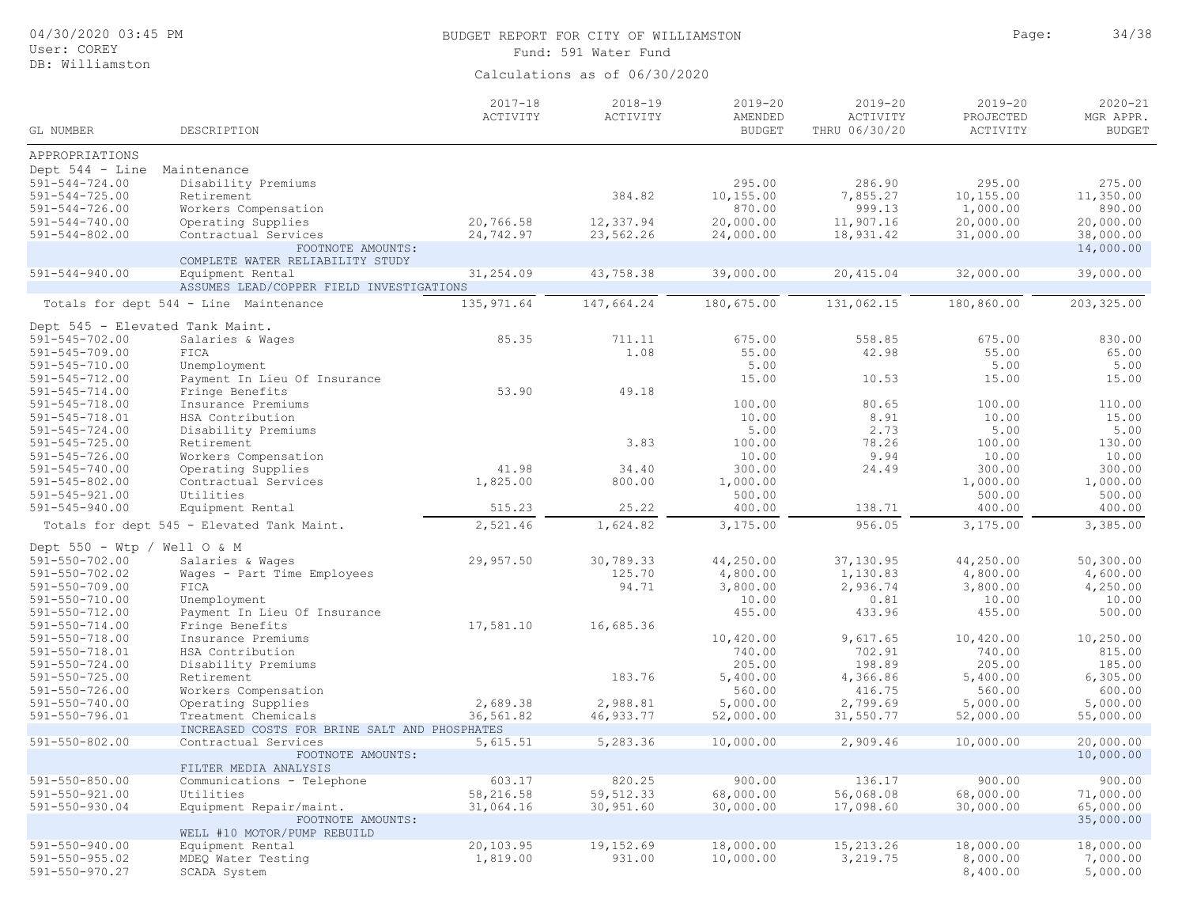| 04/30/2020 03:45 PM<br>User: COREY                                                                                          |                                                                                                         | BUDGET REPORT FOR CITY OF WILLIAMSTON<br>Fund: 591 Water Fund | Page:                             | 34/38                                                |                                                     |                                                      |                                                       |
|-----------------------------------------------------------------------------------------------------------------------------|---------------------------------------------------------------------------------------------------------|---------------------------------------------------------------|-----------------------------------|------------------------------------------------------|-----------------------------------------------------|------------------------------------------------------|-------------------------------------------------------|
| DB: Williamston                                                                                                             |                                                                                                         |                                                               | Calculations as of 06/30/2020     |                                                      |                                                     |                                                      |                                                       |
| GL NUMBER                                                                                                                   | DESCRIPTION                                                                                             | $2017 - 18$<br>ACTIVITY                                       | $2018 - 19$<br>ACTIVITY           | $2019 - 20$<br>AMENDED<br><b>BUDGET</b>              | $2019 - 20$<br>ACTIVITY<br>THRU 06/30/20            | $2019 - 20$<br>PROJECTED<br>ACTIVITY                 | $2020 - 21$<br>MGR APPR.<br><b>BUDGET</b>             |
| APPROPRIATIONS                                                                                                              |                                                                                                         |                                                               |                                   |                                                      |                                                     |                                                      |                                                       |
| Dept 544 - Line Maintenance<br>$591 - 544 - 724.00$<br>$591 - 544 - 725.00$<br>$591 - 544 - 726.00$<br>$591 - 544 - 740.00$ | Disability Premiums<br>Retirement<br>Workers Compensation<br>Operating Supplies                         | 20,766.58                                                     | 384.82<br>12,337.94               | 295.00<br>10,155.00<br>870.00<br>20,000.00           | 286.90<br>7,855.27<br>999.13<br>11,907.16           | 295.00<br>10,155.00<br>1,000.00<br>20,000.00         | 275.00<br>11,350.00<br>890.00<br>20,000.00            |
| $591 - 544 - 802.00$                                                                                                        | Contractual Services                                                                                    | 24,742.97                                                     | 23,562.26                         | 24,000.00                                            | 18,931.42                                           | 31,000.00                                            | 38,000.00                                             |
|                                                                                                                             | FOOTNOTE AMOUNTS:<br>COMPLETE WATER RELIABILITY STUDY                                                   |                                                               |                                   |                                                      |                                                     |                                                      | 14,000.00                                             |
| $591 - 544 - 940.00$                                                                                                        | Equipment Rental<br>ASSUMES LEAD/COPPER FIELD INVESTIGATIONS                                            | 31,254.09                                                     | 43,758.38                         | 39,000.00                                            | 20,415.04                                           | 32,000.00                                            | 39,000.00                                             |
|                                                                                                                             | Totals for dept 544 - Line Maintenance                                                                  | 135, 971.64                                                   | 147,664.24                        | 180,675.00                                           | 131,062.15                                          | 180,860.00                                           | 203, 325.00                                           |
|                                                                                                                             | Dept 545 - Elevated Tank Maint.                                                                         |                                                               |                                   |                                                      |                                                     |                                                      |                                                       |
| $591 - 545 - 702.00$<br>$591 - 545 - 709.00$<br>$591 - 545 - 710.00$                                                        | Salaries & Wages<br>FICA<br>Unemployment                                                                | 85.35                                                         | 711.11<br>1.08                    | 675.00<br>55.00<br>5.00                              | 558.85<br>42.98                                     | 675.00<br>55.00<br>5.00                              | 830.00<br>65.00<br>5.00                               |
| $591 - 545 - 712.00$<br>$591 - 545 - 714.00$<br>$591 - 545 - 718.00$                                                        | Payment In Lieu Of Insurance<br>Fringe Benefits<br>Insurance Premiums                                   | 53.90                                                         | 49.18                             | 15.00<br>100.00<br>10.00                             | 10.53<br>80.65<br>8.91                              | 15.00<br>100.00<br>10.00                             | 15.00<br>110.00<br>15.00                              |
| 591-545-718.01<br>$591 - 545 - 724.00$<br>$591 - 545 - 725.00$                                                              | HSA Contribution<br>Disability Premiums<br>Retirement                                                   |                                                               | 3.83                              | 5.00<br>100.00                                       | 2.73<br>78.26                                       | 5.00<br>100.00                                       | 5.00<br>130.00                                        |
| $591 - 545 - 726.00$<br>$591 - 545 - 740.00$<br>$591 - 545 - 802.00$<br>$591 - 545 - 921.00$                                | Workers Compensation<br>Operating Supplies<br>Contractual Services<br>Utilities                         | 41.98<br>1,825.00                                             | 34.40<br>800.00                   | 10.00<br>300.00<br>1,000.00<br>500.00                | 9.94<br>24.49                                       | 10.00<br>300.00<br>1,000.00<br>500.00                | 10.00<br>300.00<br>1,000.00<br>500.00                 |
| $591 - 545 - 940.00$                                                                                                        | Equipment Rental                                                                                        | 515.23                                                        | 25.22                             | 400.00                                               | 138.71                                              | 400.00                                               | 400.00                                                |
|                                                                                                                             | Totals for dept 545 - Elevated Tank Maint.                                                              | 2,521.46                                                      | 1,624.82                          | 3,175.00                                             | 956.05                                              | 3,175.00                                             | 3,385.00                                              |
| Dept $550 - Wtp$ / Well O & M                                                                                               |                                                                                                         |                                                               |                                   |                                                      |                                                     |                                                      |                                                       |
| $591 - 550 - 702.00$<br>$591 - 550 - 702.02$<br>$591 - 550 - 709.00$<br>$591 - 550 - 710.00$<br>$591 - 550 - 712.00$        | Salaries & Wages<br>Wages - Part Time Employees<br>FICA<br>Unemployment<br>Payment In Lieu Of Insurance | 29,957.50                                                     | 30,789.33<br>125.70<br>94.71      | 44,250.00<br>4,800.00<br>3,800.00<br>10.00<br>455.00 | 37,130.95<br>1,130.83<br>2,936.74<br>0.81<br>433.96 | 44,250.00<br>4,800.00<br>3,800.00<br>10.00<br>455.00 | 50, 300.00<br>4,600.00<br>4,250.00<br>10.00<br>500.00 |
| $591 - 550 - 714.00$<br>$591 - 550 - 718.00$<br>$591 - 550 - 718.01$<br>$591 - 550 - 724.00$                                | Fringe Benefits<br>Insurance Premiums<br>HSA Contribution<br>Disability Premiums                        | 17,581.10                                                     | 16,685.36                         | 10,420.00<br>740.00<br>205.00                        | 9,617.65<br>702.91<br>198.89                        | 10,420.00<br>740.00<br>205.00                        | 10,250.00<br>815.00<br>185.00                         |
| $591 - 550 - 725.00$<br>$591 - 550 - 726.00$<br>$591 - 550 - 740.00$                                                        | Retirement<br>Workers Compensation<br>Operating Supplies                                                | 2,689.38                                                      | 183.76<br>2,988.81                | 5,400.00<br>560.00<br>5,000.00                       | 4,366.86<br>416.75<br>2,799.69                      | 5,400.00<br>560.00<br>5,000.00                       | 6, 305.00<br>600.00<br>5,000.00                       |
| $591 - 550 - 796.01$                                                                                                        | Treatment Chemicals                                                                                     | 36,561.82                                                     | 46,933.77                         | 52,000.00                                            | 31,550.77                                           | 52,000.00                                            | 55,000.00                                             |
| $591 - 550 - 802.00$                                                                                                        | INCREASED COSTS FOR BRINE SALT AND PHOSPHATES<br>Contractual Services                                   | 5,615.51                                                      | 5,283.36                          | 10,000.00                                            | 2,909.46                                            | 10,000.00                                            | 20,000.00                                             |
|                                                                                                                             | FOOTNOTE AMOUNTS:<br>FILTER MEDIA ANALYSIS                                                              |                                                               |                                   |                                                      |                                                     |                                                      | 10,000.00                                             |
| $591 - 550 - 850.00$<br>$591 - 550 - 921.00$<br>$591 - 550 - 930.04$                                                        | Communications - Telephone<br>Utilities<br>Equipment Repair/maint.<br>FOOTNOTE AMOUNTS:                 | 603.17<br>58,216.58<br>31,064.16                              | 820.25<br>59, 512.33<br>30,951.60 | 900.00<br>68,000.00<br>30,000.00                     | 136.17<br>56,068.08<br>17,098.60                    | 900.00<br>68,000.00<br>30,000.00                     | 900.00<br>71,000.00<br>65,000.00<br>35,000.00         |
|                                                                                                                             | WELL #10 MOTOR/PUMP REBUILD                                                                             |                                                               |                                   |                                                      |                                                     |                                                      |                                                       |
| $591 - 550 - 940.00$<br>$591 - 550 - 955.02$<br>$591 - 550 - 970.27$                                                        | Equipment Rental<br>MDEQ Water Testing<br>SCADA System                                                  | 20,103.95<br>1,819.00                                         | 19,152.69<br>931.00               | 18,000.00<br>10,000.00                               | 15,213.26<br>3,219.75                               | 18,000.00<br>8,000.00<br>8,400.00                    | 18,000.00<br>7,000.00<br>5,000.00                     |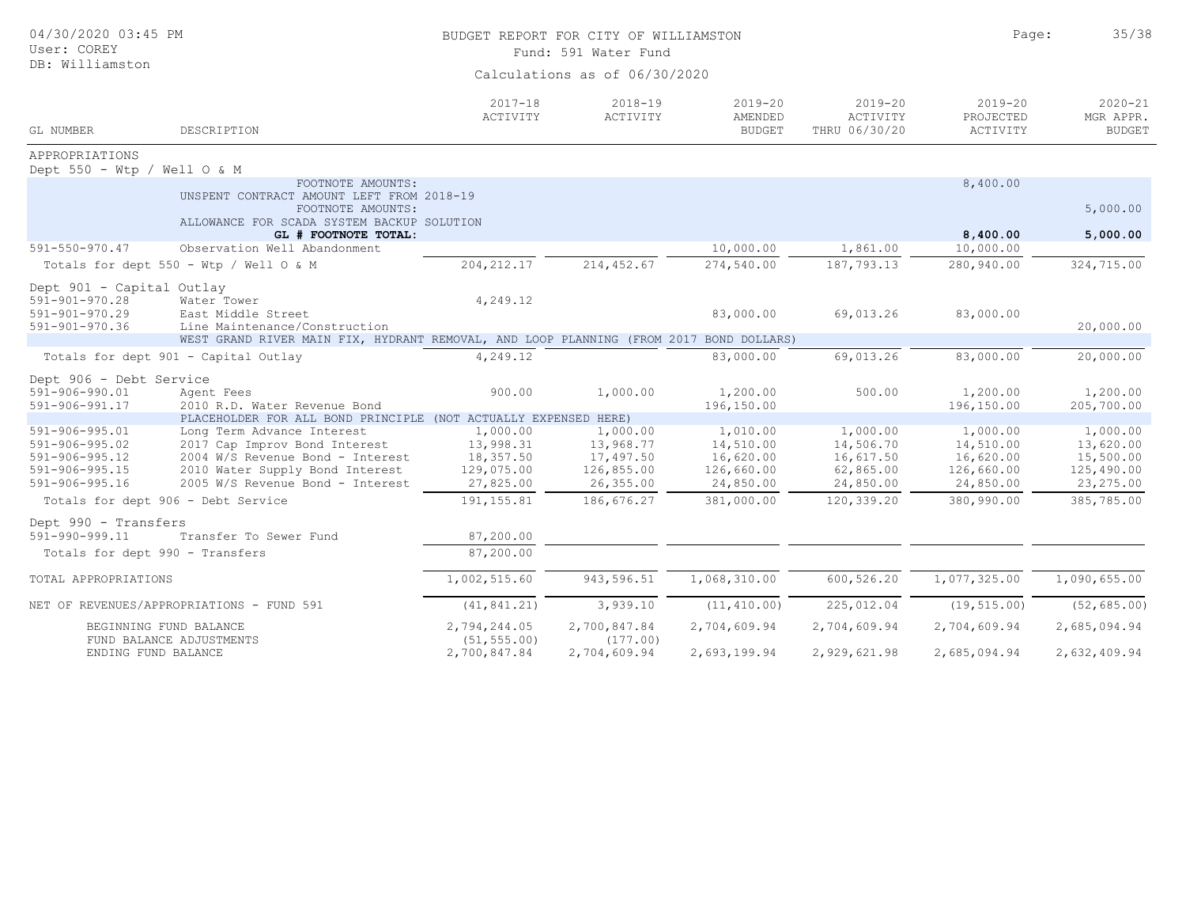| 04/30/2020 03:45 PM<br>User: COREY<br>DB: Williamston                                                                |                                                                                                                                                                        | BUDGET REPORT FOR CITY OF WILLIAMSTON<br>Fund: 591 Water Fund<br>Calculations as of 06/30/2020 | Page:                                                         | 35/38                                                         |                                                              |                                                               |                                                                |
|----------------------------------------------------------------------------------------------------------------------|------------------------------------------------------------------------------------------------------------------------------------------------------------------------|------------------------------------------------------------------------------------------------|---------------------------------------------------------------|---------------------------------------------------------------|--------------------------------------------------------------|---------------------------------------------------------------|----------------------------------------------------------------|
| GL NUMBER                                                                                                            | DESCRIPTION                                                                                                                                                            | $2017 - 18$<br>ACTIVITY                                                                        | $2018 - 19$<br>ACTIVITY                                       | $2019 - 20$<br>AMENDED<br>$\ensuremath{\mathsf{BUDGET}}$      | $2019 - 20$<br>ACTIVITY<br>THRU 06/30/20                     | $2019 - 20$<br>PROJECTED<br>ACTIVITY                          | $2020 - 21$<br>MGR APPR.<br><b>BUDGET</b>                      |
| APPROPRIATIONS                                                                                                       |                                                                                                                                                                        |                                                                                                |                                                               |                                                               |                                                              |                                                               |                                                                |
| Dept $550 - Wtp$ / Well $0 & w$                                                                                      | FOOTNOTE AMOUNTS:                                                                                                                                                      |                                                                                                |                                                               |                                                               |                                                              | 8,400.00                                                      |                                                                |
|                                                                                                                      | UNSPENT CONTRACT AMOUNT LEFT FROM 2018-19<br>FOOTNOTE AMOUNTS:                                                                                                         |                                                                                                |                                                               |                                                               |                                                              |                                                               | 5,000.00                                                       |
|                                                                                                                      | ALLOWANCE FOR SCADA SYSTEM BACKUP SOLUTION<br>GL # FOOTNOTE TOTAL:                                                                                                     |                                                                                                |                                                               |                                                               |                                                              | 8,400.00                                                      | 5,000.00                                                       |
| $591 - 550 - 970.47$                                                                                                 | Observation Well Abandonment                                                                                                                                           |                                                                                                |                                                               | 10,000.00                                                     | 1,861.00                                                     | 10,000.00                                                     |                                                                |
|                                                                                                                      | Totals for dept 550 - Wtp / Well $O & M$                                                                                                                               | 204, 212.17                                                                                    | 214, 452.67                                                   | 274,540.00                                                    | 187,793.13                                                   | 280,940.00                                                    | 324,715.00                                                     |
| Dept 901 - Capital Outlay<br>$591 - 901 - 970.28$<br>$591 - 901 - 970.29$<br>$591 - 901 - 970.36$                    | Water Tower<br>East Middle Street<br>Line Maintenance/Construction                                                                                                     | 4,249.12                                                                                       |                                                               | 83,000.00                                                     | 69,013.26                                                    | 83,000.00                                                     | 20,000.00                                                      |
|                                                                                                                      | WEST GRAND RIVER MAIN FIX, HYDRANT REMOVAL, AND LOOP PLANNING (FROM 2017 BOND DOLLARS)                                                                                 |                                                                                                |                                                               |                                                               |                                                              |                                                               |                                                                |
| Totals for dept 901 - Capital Outlay                                                                                 |                                                                                                                                                                        | 4,249.12                                                                                       |                                                               | 83,000.00                                                     | 69,013.26                                                    | 83,000.00                                                     | 20,000.00                                                      |
| Dept 906 - Debt Service<br>591-906-990.01<br>591-906-991.17                                                          | Agent Fees<br>2010 R.D. Water Revenue Bond                                                                                                                             | 900.00                                                                                         | 1,000.00                                                      | 1,200.00<br>196,150.00                                        | 500.00                                                       | 1,200.00<br>196,150.00                                        | 1,200.00<br>205,700.00                                         |
|                                                                                                                      | PLACEHOLDER FOR ALL BOND PRINCIPLE (NOT ACTUALLY EXPENSED HERE)                                                                                                        |                                                                                                |                                                               |                                                               |                                                              |                                                               |                                                                |
| $591 - 906 - 995.01$<br>$591 - 906 - 995.02$<br>$591 - 906 - 995.12$<br>$591 - 906 - 995.15$<br>$591 - 906 - 995.16$ | Long Term Advance Interest<br>2017 Cap Improv Bond Interest<br>2004 W/S Revenue Bond - Interest<br>2010 Water Supply Bond Interest<br>2005 W/S Revenue Bond - Interest | 1,000.00<br>13,998.31<br>18,357.50<br>129,075.00<br>27,825.00                                  | 1,000.00<br>13,968.77<br>17,497.50<br>126,855.00<br>26,355.00 | 1,010.00<br>14,510.00<br>16,620.00<br>126,660.00<br>24,850.00 | 1,000.00<br>14,506.70<br>16,617.50<br>62,865.00<br>24,850.00 | 1,000.00<br>14,510.00<br>16,620.00<br>126,660.00<br>24,850.00 | 1,000.00<br>13,620.00<br>15,500.00<br>125,490.00<br>23, 275.00 |
| Totals for dept 906 - Debt Service                                                                                   |                                                                                                                                                                        | 191, 155.81                                                                                    | 186,676.27                                                    | 381,000.00                                                    | 120,339.20                                                   | 380,990.00                                                    | 385,785.00                                                     |
| Dept 990 - Transfers<br>591-990-999.11                                                                               | Transfer To Sewer Fund                                                                                                                                                 | 87,200.00                                                                                      |                                                               |                                                               |                                                              |                                                               |                                                                |
| Totals for dept 990 - Transfers                                                                                      |                                                                                                                                                                        | 87,200.00                                                                                      |                                                               |                                                               |                                                              |                                                               |                                                                |
| TOTAL APPROPRIATIONS                                                                                                 |                                                                                                                                                                        | 1,002,515.60                                                                                   | 943,596.51                                                    | 1,068,310.00                                                  | 600,526.20                                                   | 1,077,325.00                                                  | 1,090,655.00                                                   |
|                                                                                                                      | NET OF REVENUES/APPROPRIATIONS - FUND 591                                                                                                                              | (41, 841.21)                                                                                   | 3,939.10                                                      | (11, 410.00)                                                  | 225,012.04                                                   | (19, 515.00)                                                  | (52, 685.00)                                                   |
| BEGINNING FUND BALANCE<br>FUND BALANCE ADJUSTMENTS<br>ENDING FUND BALANCE                                            |                                                                                                                                                                        | 2,794,244.05<br>(51, 555.00)<br>2,700,847.84                                                   | 2,700,847.84<br>(177.00)<br>2,704,609.94                      | 2,704,609.94<br>2,693,199.94                                  | 2,704,609.94<br>2,929,621.98                                 | 2,704,609.94<br>2,685,094.94                                  | 2,685,094.94<br>2,632,409.94                                   |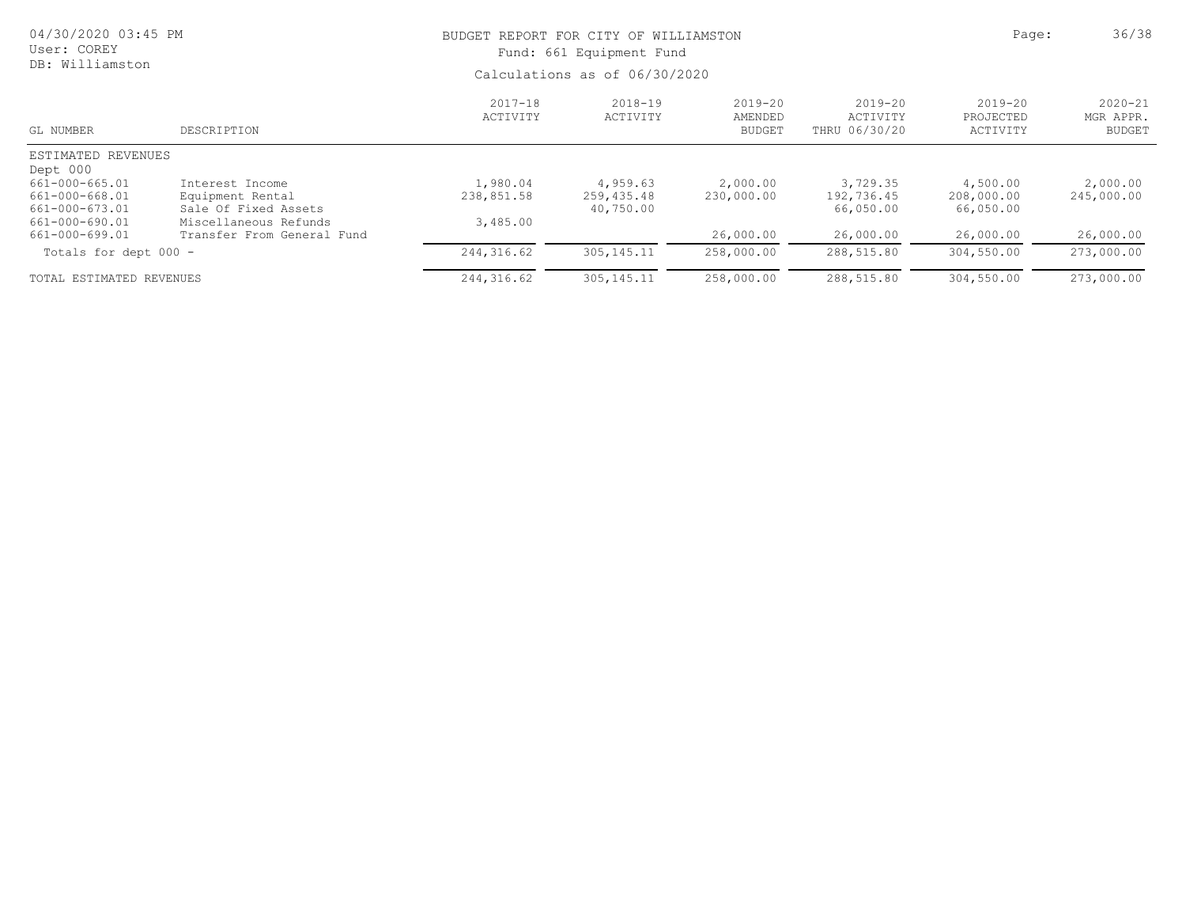| 04/30/2020 03:45 PM<br>User: COREY<br>DB: Williamston |                            | BUDGET REPORT FOR CITY OF WILLIAMSTON<br>Fund: 661 Equipment Fund | Page:                   | 36/38                               |                                          |                                      |                                           |
|-------------------------------------------------------|----------------------------|-------------------------------------------------------------------|-------------------------|-------------------------------------|------------------------------------------|--------------------------------------|-------------------------------------------|
|                                                       |                            | Calculations as of 06/30/2020                                     |                         |                                     |                                          |                                      |                                           |
| GL NUMBER                                             | DESCRIPTION                | $2017 - 18$<br>ACTIVITY                                           | $2018 - 19$<br>ACTIVITY | 2019-20<br>AMENDED<br><b>BUDGET</b> | $2019 - 20$<br>ACTIVITY<br>THRU 06/30/20 | $2019 - 20$<br>PROJECTED<br>ACTIVITY | $2020 - 21$<br>MGR APPR.<br><b>BUDGET</b> |
| ESTIMATED REVENUES                                    |                            |                                                                   |                         |                                     |                                          |                                      |                                           |
| Dept 000                                              |                            |                                                                   |                         |                                     |                                          |                                      |                                           |
| 661-000-665.01                                        | Interest Income            | 1,980.04                                                          | 4,959.63                | 2,000.00                            | 3,729.35                                 | 4,500.00                             | 2,000.00                                  |
| 661-000-668.01                                        | Equipment Rental           | 238,851.58                                                        | 259,435.48              | 230,000.00                          | 192,736.45                               | 208,000.00                           | 245,000.00                                |
| 661-000-673.01                                        | Sale Of Fixed Assets       |                                                                   | 40,750.00               |                                     | 66,050.00                                | 66,050.00                            |                                           |
| 661-000-690.01                                        | Miscellaneous Refunds      | 3,485.00                                                          |                         |                                     |                                          |                                      |                                           |
| 661-000-699.01                                        | Transfer From General Fund |                                                                   |                         | 26,000.00                           | 26,000.00                                | 26,000.00                            | 26,000.00                                 |
| Totals for dept 000 -                                 |                            | 244, 316.62                                                       | 305, 145. 11            | 258,000.00                          | 288,515.80                               | 304,550.00                           | 273,000.00                                |
| TOTAL ESTIMATED REVENUES                              |                            | 244, 316.62                                                       | 305, 145. 11            | 258,000.00                          | 288,515.80                               | 304,550.00                           | 273,000.00                                |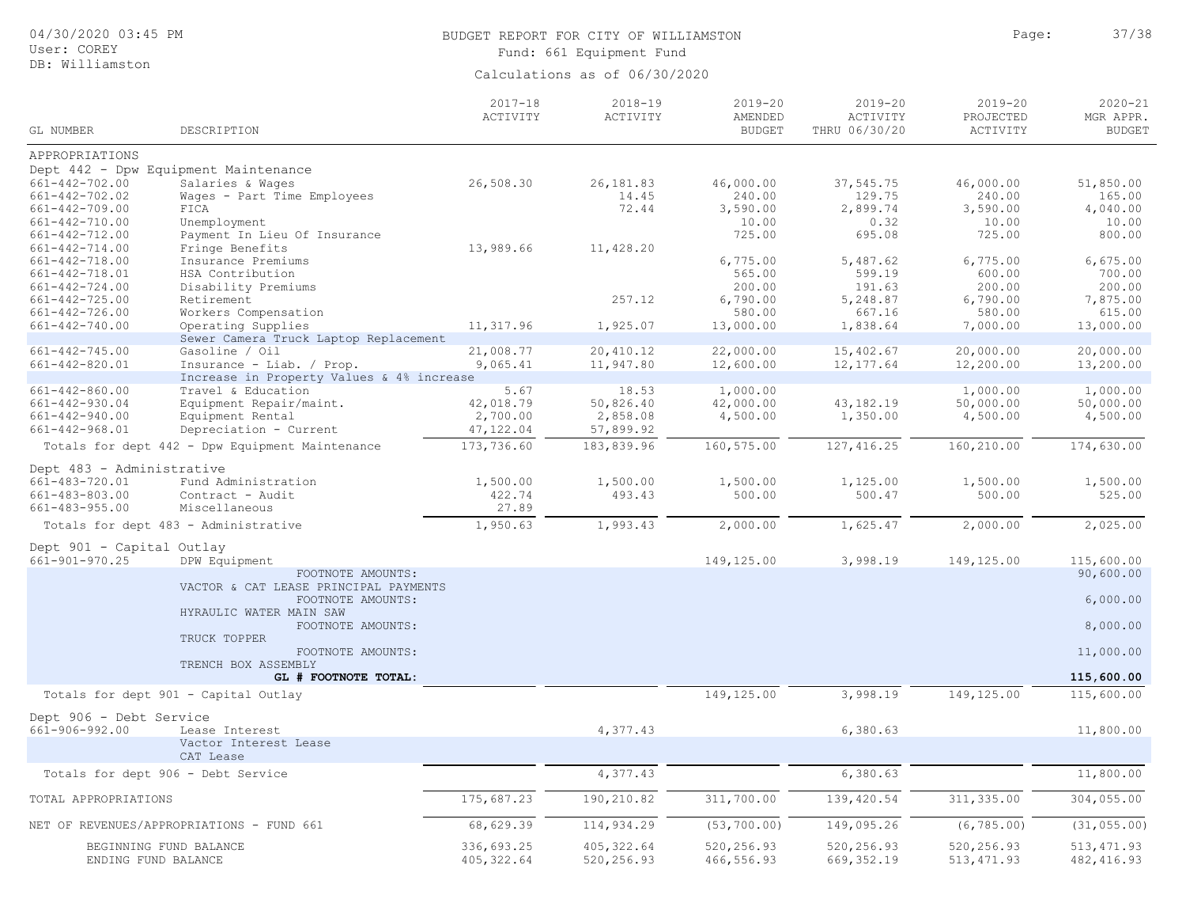| 04/30/2020 03:45 PM |  |  |
|---------------------|--|--|
|---------------------|--|--|

## User: COREY DB: Williamston

# BUDGET REPORT FOR CITY OF WILLIAMSTON **Page:** 37/38 Fund: 661 Equipment Fund

| GL NUMBER                 | DESCRIPTION                                     | $2017 - 18$<br>ACTIVITY | $2018 - 19$<br>ACTIVITY | $2019 - 20$<br>AMENDED<br><b>BUDGET</b> | $2019 - 20$<br>ACTIVITY<br>THRU 06/30/20 | $2019 - 20$<br>PROJECTED | $2020 - 21$<br>MGR APPR.<br><b>BUDGET</b> |
|---------------------------|-------------------------------------------------|-------------------------|-------------------------|-----------------------------------------|------------------------------------------|--------------------------|-------------------------------------------|
|                           |                                                 |                         |                         |                                         |                                          | ACTIVITY                 |                                           |
| APPROPRIATIONS            |                                                 |                         |                         |                                         |                                          |                          |                                           |
|                           | Dept 442 - Dpw Equipment Maintenance            |                         |                         |                                         |                                          |                          |                                           |
| $661 - 442 - 702.00$      | Salaries & Wages                                | 26,508.30               | 26,181.83               | 46,000.00                               | 37,545.75                                | 46,000.00                | 51,850.00                                 |
| $661 - 442 - 702.02$      | Wages - Part Time Employees                     |                         | 14.45                   | 240.00                                  | 129.75                                   | 240.00                   | 165.00                                    |
| $661 - 442 - 709.00$      | FICA                                            |                         | 72.44                   | 3,590.00                                | 2,899.74                                 | 3,590.00                 | 4,040.00                                  |
| 661-442-710.00            | Unemployment                                    |                         |                         | 10.00                                   | 0.32                                     | 10.00                    | 10.00                                     |
| $661 - 442 - 712.00$      | Payment In Lieu Of Insurance                    |                         |                         | 725.00                                  | 695.08                                   | 725.00                   | 800.00                                    |
| $661 - 442 - 714.00$      | Fringe Benefits                                 | 13,989.66               | 11,428.20               |                                         |                                          |                          |                                           |
| 661-442-718.00            | Insurance Premiums                              |                         |                         | 6,775.00                                | 5,487.62                                 | 6,775.00                 | 6,675.00                                  |
| 661-442-718.01            | HSA Contribution                                |                         |                         | 565.00                                  | 599.19                                   | 600.00                   | 700.00                                    |
| $661 - 442 - 724.00$      | Disability Premiums                             |                         |                         | 200.00                                  | 191.63                                   | 200.00                   | 200.00                                    |
| $661 - 442 - 725.00$      | Retirement                                      |                         | 257.12                  | 6,790.00                                | 5,248.87                                 | 6,790.00                 | 7,875.00                                  |
| 661-442-726.00            | Workers Compensation                            |                         |                         | 580.00                                  | 667.16                                   | 580.00                   | 615.00                                    |
| $661 - 442 - 740.00$      | Operating Supplies                              | 11,317.96               | 1,925.07                | 13,000.00                               | 1,838.64                                 | 7,000.00                 | 13,000.00                                 |
|                           | Sewer Camera Truck Laptop Replacement           |                         |                         |                                         |                                          |                          |                                           |
| $661 - 442 - 745.00$      | Gasoline / Oil                                  | 21,008.77               | 20,410.12               | 22,000.00                               | 15,402.67                                | 20,000.00                | 20,000.00                                 |
| $661 - 442 - 820.01$      | Insurance - Liab. / Prop.                       | 9,065.41                | 11,947.80               | 12,600.00                               | 12, 177.64                               | 12,200.00                | 13,200.00                                 |
|                           | Increase in Property Values & 4% increase       |                         |                         |                                         |                                          |                          |                                           |
| $661 - 442 - 860.00$      | Travel & Education                              | 5.67                    | 18.53                   | 1,000.00                                |                                          | 1,000.00                 | 1,000.00                                  |
| $661 - 442 - 930.04$      | Equipment Repair/maint.                         | 42,018.79               | 50,826.40               | 42,000.00                               | 43,182.19                                | 50,000.00                | 50,000.00                                 |
| $661 - 442 - 940.00$      | Equipment Rental                                | 2,700.00                | 2,858.08                | 4,500.00                                | 1,350.00                                 | 4,500.00                 | 4,500.00                                  |
| 661-442-968.01            | Depreciation - Current                          | 47,122.04               | 57,899.92               |                                         |                                          |                          |                                           |
|                           | Totals for dept 442 - Dpw Equipment Maintenance | 173,736.60              | 183,839.96              | 160,575.00                              | 127, 416.25                              | 160,210.00               | 174,630.00                                |
| Dept 483 - Administrative |                                                 |                         |                         |                                         |                                          |                          |                                           |
| 661-483-720.01            | Fund Administration                             | 1,500.00                | 1,500.00                | 1,500.00                                | 1,125.00                                 | 1,500.00                 | 1,500.00                                  |
| $661 - 483 - 803.00$      | Contract - Audit                                | 422.74                  | 493.43                  | 500.00                                  | 500.47                                   | 500.00                   | 525.00                                    |
| $661 - 483 - 955.00$      | Miscellaneous                                   | 27.89                   |                         |                                         |                                          |                          |                                           |
|                           | Totals for dept 483 - Administrative            | 1,950.63                | 1,993.43                | 2,000.00                                | 1,625.47                                 | 2,000.00                 | 2,025.00                                  |
|                           |                                                 |                         |                         |                                         |                                          |                          |                                           |
| Dept 901 - Capital Outlay |                                                 |                         |                         |                                         |                                          |                          |                                           |
| 661-901-970.25            | DPW Equipment                                   |                         |                         | 149,125.00                              | 3,998.19                                 | 149,125.00               | 115,600.00                                |
|                           | FOOTNOTE AMOUNTS:                               |                         |                         |                                         |                                          |                          | 90,600.00                                 |
|                           | VACTOR & CAT LEASE PRINCIPAL PAYMENTS           |                         |                         |                                         |                                          |                          |                                           |
|                           | FOOTNOTE AMOUNTS:                               |                         |                         |                                         |                                          |                          | 6,000.00                                  |
|                           | HYRAULIC WATER MAIN SAW                         |                         |                         |                                         |                                          |                          |                                           |
|                           | FOOTNOTE AMOUNTS:                               |                         |                         |                                         |                                          |                          | 8,000.00                                  |
|                           | TRUCK TOPPER                                    |                         |                         |                                         |                                          |                          |                                           |
|                           | FOOTNOTE AMOUNTS:                               |                         |                         |                                         |                                          |                          | 11,000.00                                 |
|                           | TRENCH BOX ASSEMBLY                             |                         |                         |                                         |                                          |                          |                                           |
|                           | GL # FOOTNOTE TOTAL:                            |                         |                         |                                         |                                          |                          | 115,600.00                                |
|                           | Totals for dept 901 - Capital Outlay            |                         |                         | 149,125.00                              | 3,998.19                                 | 149,125.00               | 115,600.00                                |
| Dept 906 - Debt Service   |                                                 |                         |                         |                                         |                                          |                          |                                           |
| $661 - 906 - 992.00$      | Lease Interest                                  |                         | 4,377.43                |                                         | 6,380.63                                 |                          | 11,800.00                                 |
|                           | Vactor Interest Lease                           |                         |                         |                                         |                                          |                          |                                           |
|                           | CAT Lease                                       |                         |                         |                                         |                                          |                          |                                           |
|                           | Totals for dept 906 - Debt Service              |                         | 4,377.43                |                                         | 6,380.63                                 |                          | 11,800.00                                 |
|                           |                                                 |                         |                         |                                         |                                          |                          |                                           |
| TOTAL APPROPRIATIONS      |                                                 | 175,687.23              | 190,210.82              | 311,700.00                              | 139,420.54                               | 311, 335.00              | 304,055.00                                |
|                           | NET OF REVENUES/APPROPRIATIONS - FUND 661       | 68,629.39               | 114,934.29              | (53, 700.00)                            | 149,095.26                               | (6, 785.00)              | (31, 055.00)                              |
|                           |                                                 |                         |                         |                                         |                                          |                          |                                           |
|                           | BEGINNING FUND BALANCE                          | 336,693.25              | 405, 322.64             | 520,256.93                              | 520,256.93                               | 520,256.93               | 513, 471.93                               |
|                           | ENDING FUND BALANCE                             | 405, 322.64             | 520,256.93              | 466,556.93                              | 669, 352.19                              | 513, 471.93              | 482, 416.93                               |